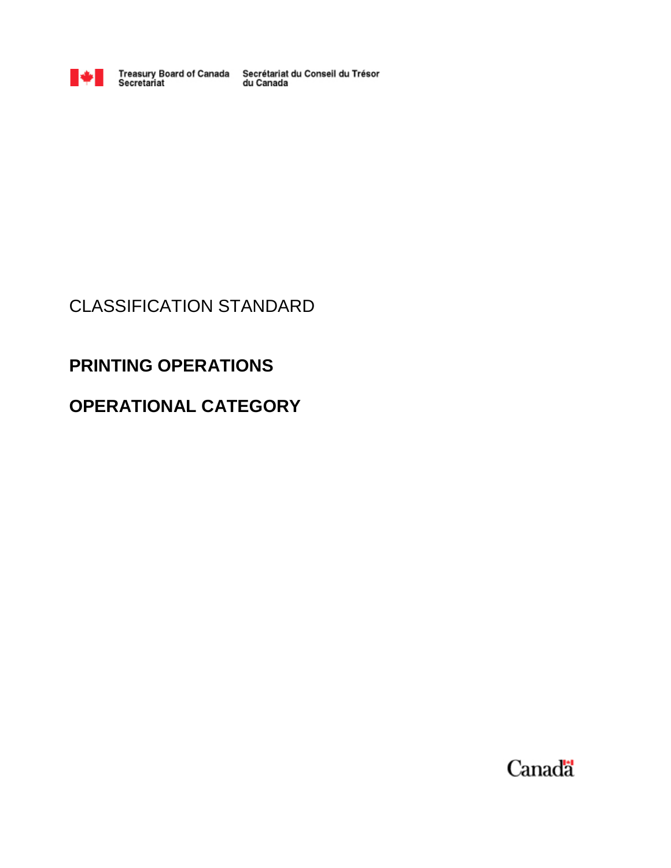

Treasury Board of Canada Secrétariat du Conseil du Trésor<br>Secretariat du Canada

# CLASSIFICATION STANDARD

# **PRINTING OPERATIONS**

# **OPERATIONAL CATEGORY**

Canada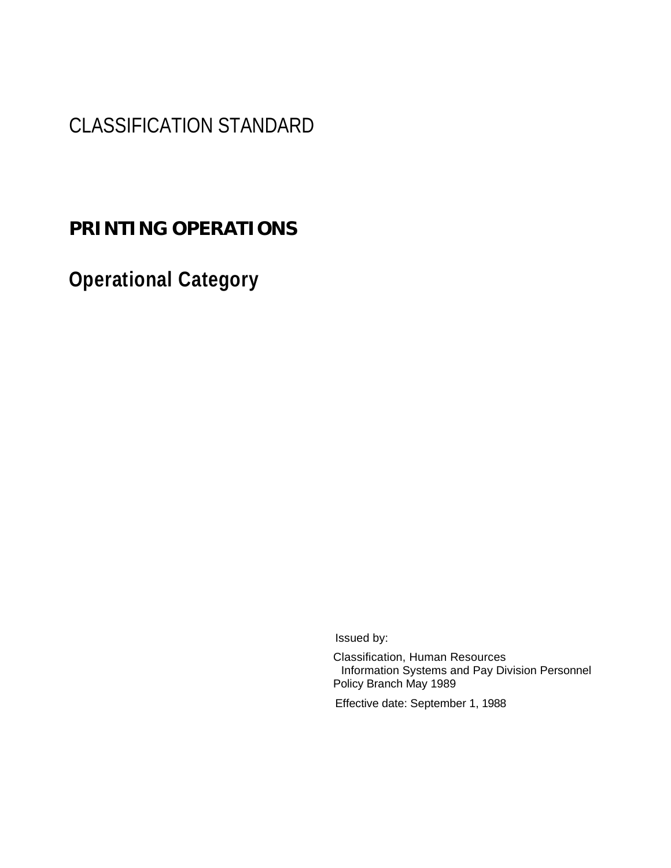CLASSIFICATION STANDARD

# **PRINTING OPERATIONS**

**Operational Category** 

Issued by:

Classification, Human Resources Information Systems and Pay Division Personnel Policy Branch May 1989

Effective date: September 1, 1988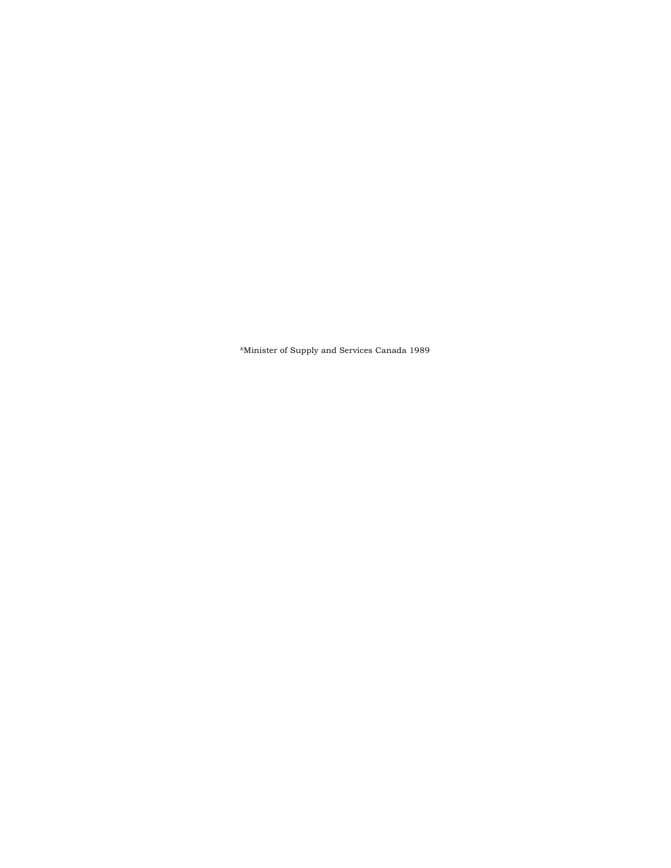®Minister of Supply and Services Canada 1989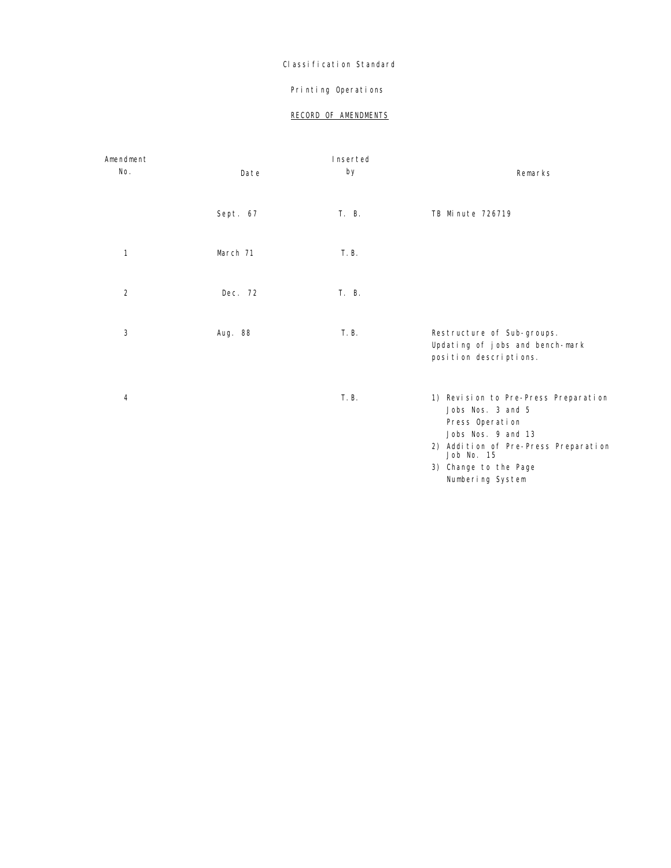# Classification Standard

# Printing Operations

# RECORD OF AMENDMENTS

| Amendment      |          | Inserted |                                                               |
|----------------|----------|----------|---------------------------------------------------------------|
| No.            | Date     | by       | Remarks                                                       |
|                |          |          |                                                               |
|                | Sept. 67 | T. B.    | TB Minute 726719                                              |
|                |          |          |                                                               |
| $\mathbf{1}$   | March 71 | T. B.    |                                                               |
|                |          |          |                                                               |
| $\overline{2}$ | Dec. 72  | T. B.    |                                                               |
|                |          |          |                                                               |
| 3              | Aug. 88  | T. B.    | Restructure of Sub-groups.<br>Updating of jobs and bench-mark |
|                |          |          | position descriptions.                                        |
|                |          |          |                                                               |
| 4              |          | T. B.    | 1) Revision to Pre-Press Preparation                          |
|                |          |          | Jobs Nos. 3 and 5                                             |
|                |          |          | Press Operation                                               |
|                |          |          | Jobs Nos. 9 and 13                                            |
|                |          |          | 2) Addition of Pre-Press Preparation<br>Job No. 15            |
|                |          |          | 3) Change to the Page                                         |
|                |          |          | Numbering System                                              |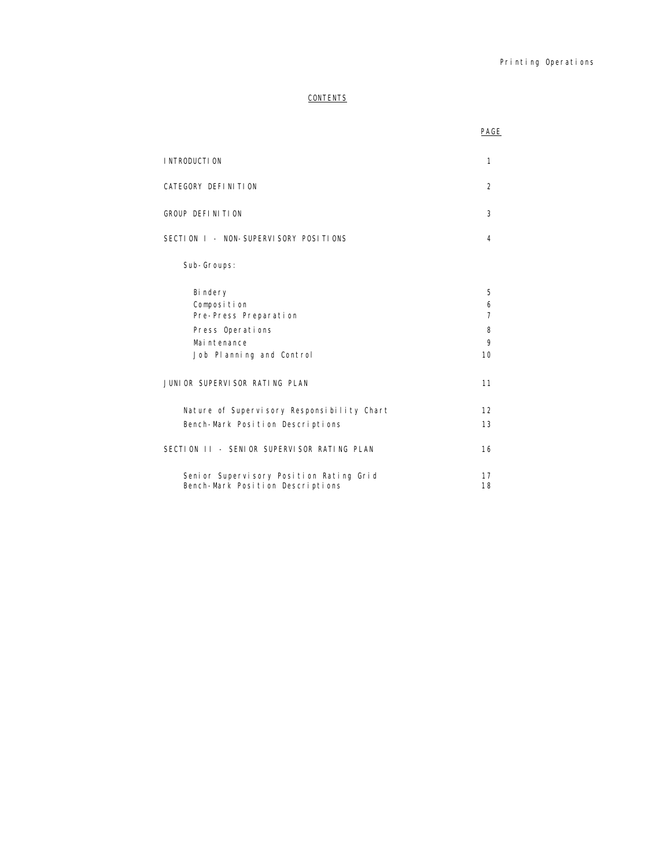# **CONTENTS**

|                                                                             | PAGE           |  |
|-----------------------------------------------------------------------------|----------------|--|
| I NTRODUCTI ON                                                              |                |  |
| CATEGORY DEFINITION                                                         | $\overline{2}$ |  |
| GROUP DEFINITION                                                            |                |  |
| SECTION I - NON-SUPERVISORY POSITIONS                                       | 4              |  |
| Sub-Groups:                                                                 |                |  |
| Bi ndery<br>Composition                                                     | 5<br>6         |  |
| Pre-Press Preparation                                                       | $\overline{7}$ |  |
| Press Operations                                                            | 8              |  |
| Mai ntenance                                                                | 9              |  |
| Job Planning and Control                                                    | 10             |  |
| JUNIOR SUPERVISOR RATING PLAN                                               |                |  |
| Nature of Supervisory Responsibility Chart                                  | 12             |  |
| Bench-Mark Position Descriptions                                            | 13             |  |
| SECTION II - SENIOR SUPERVISOR RATING PLAN                                  | 16             |  |
| Senior Supervisory Position Rating Grid<br>Bench-Mark Position Descriptions | 17<br>18       |  |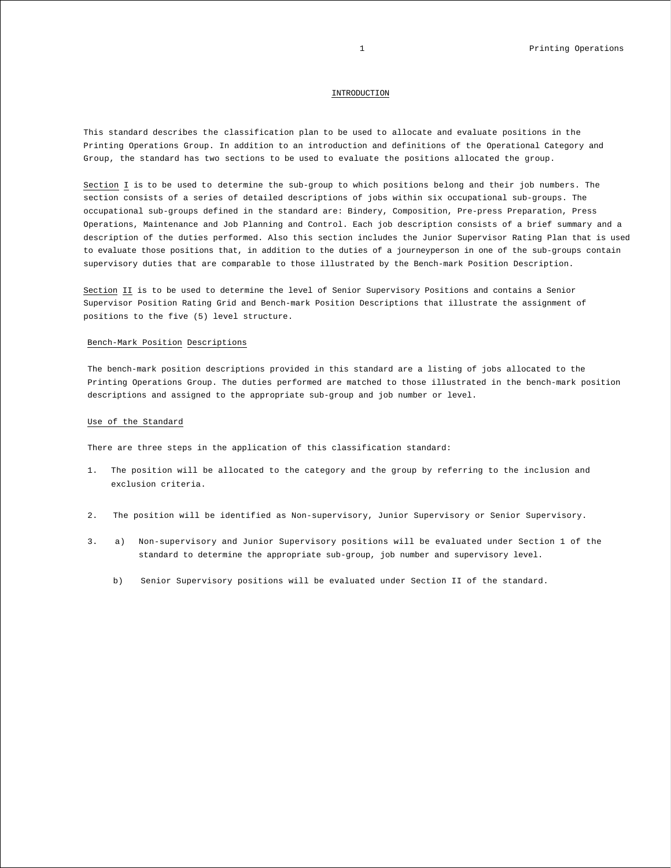#### INTRODUCTION

This standard describes the classification plan to be used to allocate and evaluate positions in the Printing Operations Group. In addition to an introduction and definitions of the Operational Category and Group, the standard has two sections to be used to evaluate the positions allocated the group.

Section I is to be used to determine the sub-group to which positions belong and their job numbers. The section consists of a series of detailed descriptions of jobs within six occupational sub-groups. The occupational sub-groups defined in the standard are: Bindery, Composition, Pre-press Preparation, Press Operations, Maintenance and Job Planning and Control. Each job description consists of a brief summary and a description of the duties performed. Also this section includes the Junior Supervisor Rating Plan that is used to evaluate those positions that, in addition to the duties of a journeyperson in one of the sub-groups contain supervisory duties that are comparable to those illustrated by the Bench-mark Position Description.

Section II is to be used to determine the level of Senior Supervisory Positions and contains a Senior Supervisor Position Rating Grid and Bench-mark Position Descriptions that illustrate the assignment of positions to the five (5) level structure.

#### Bench-Mark Position Descriptions

The bench-mark position descriptions provided in this standard are a listing of jobs allocated to the Printing Operations Group. The duties performed are matched to those illustrated in the bench-mark position descriptions and assigned to the appropriate sub-group and job number or level.

#### Use of the Standard

There are three steps in the application of this classification standard:

- 1. The position will be allocated to the category and the group by referring to the inclusion and exclusion criteria.
- 2. The position will be identified as Non-supervisory, Junior Supervisory or Senior Supervisory.
- 3. a) Non-supervisory and Junior Supervisory positions will be evaluated under Section 1 of the standard to determine the appropriate sub-group, job number and supervisory level.
	- b) Senior Supervisory positions will be evaluated under Section II of the standard.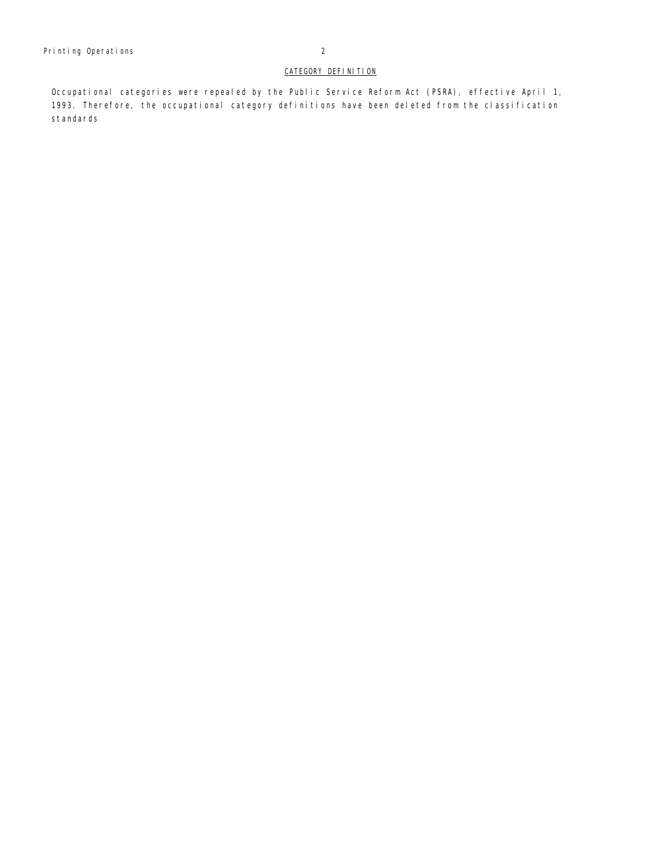Occupational categories were repealed by the Public Service Reform Act (PSRA), effective April 1, 1993. Therefore, the occupational category definitions have been deleted from the classification standards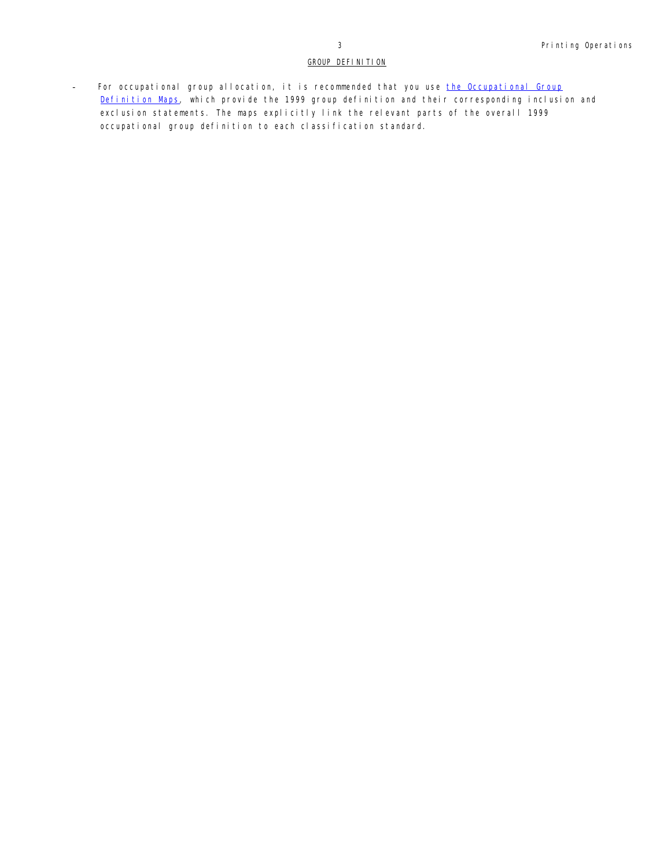# GROUP DEFINITION

- For occupational group allocation, it is recommended that you use *the Occupational Group* Definition Maps, which provide the 1999 group definition and their corresponding inclusion and exclusion statements. The maps explicitly link the relevant parts of the overall 1999 occupational group definition to each classification standard.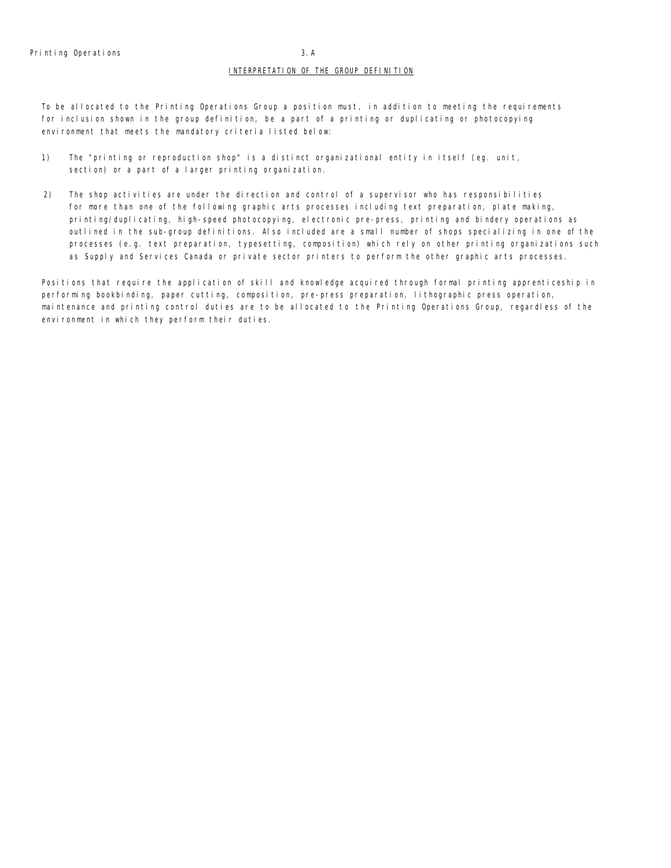#### INTERPRETATION OF THE GROUP DEFINITION

To be allocated to the Printing Operations Group a position must, in addition to meeting the requirements for inclusion shown in the group definition, be a part of a printing or duplicating or photocopying environment that meets the mandatory criteria listed below:

- 1) The "printing or reproduction shop" is a distinct organizational entity in itself (eg. unit, section) or a part of a larger printing organization.
- 2) The shop activities are under the direction and control of a supervisor who has responsibilities for more than one of the following graphic arts processes including text preparation, plate making, printing/duplicating, high-speed photocopying, electronic pre-press, printing and bindery operations as outlined in the sub-group definitions. Also included are a small number of shops specializing in one of the processes (e.g. text preparation, typesetting, composition) which rely on other printing organizations such as Supply and Services Canada or private sector printers to perform the other graphic arts processes.

Positions that require the application of skill and knowledge acquired through formal printing apprenticeship in performing bookbinding, paper cutting, composition, pre-press preparation, lithographic press operation, maintenance and printing control duties are to be allocated to the Printing Operations Group, regardless of the environment in which they perform their duties.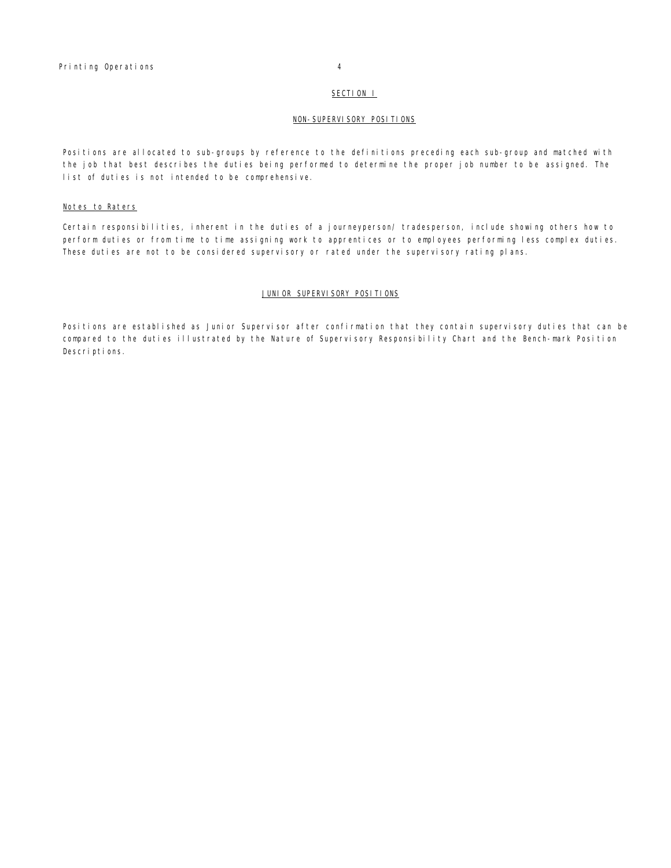#### SECTION I

#### NON-SUPERVISORY POSITIONS

Positions are allocated to sub-groups by reference to the definitions preceding each sub-group and matched with the job that best describes the duties being performed to determine the proper job number to be assigned. The list of duties is not intended to be comprehensive.

#### Notes to Raters

Certain responsibilities, inherent in the duties of a journeyperson/ tradesperson, include showing others how to perform duties or from time to time assigning work to apprentices or to employees performing less complex duties. These duties are not to be considered supervisory or rated under the supervisory rating plans.

#### JUNIOR SUPERVISORY POSITIONS

Positions are established as Junior Supervisor after confirmation that they contain supervisory duties that can be compared to the duties illustrated by the Nature of Supervisory Responsibility Chart and the Bench-mark Position Descriptions.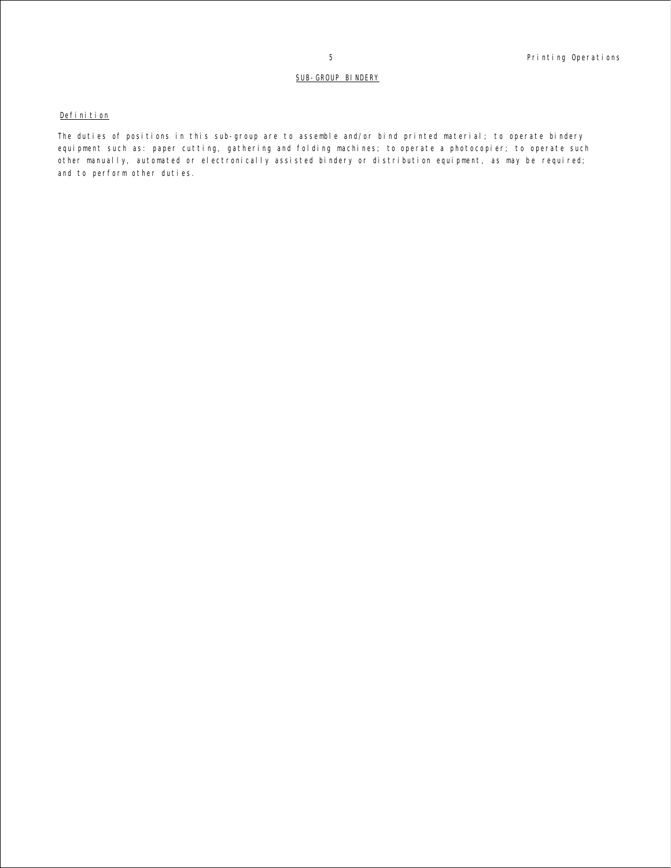# SUB-GROUP BINDERY

# Definition

The duties of positions in this sub-group are to assemble and/or bind printed material; to operate bindery equipment such as: paper cutting, gathering and folding machines; to operate a photocopier; to operate such other manually, automated or electronically assisted bindery or distribution equipment, as may be required; and to perform other duties.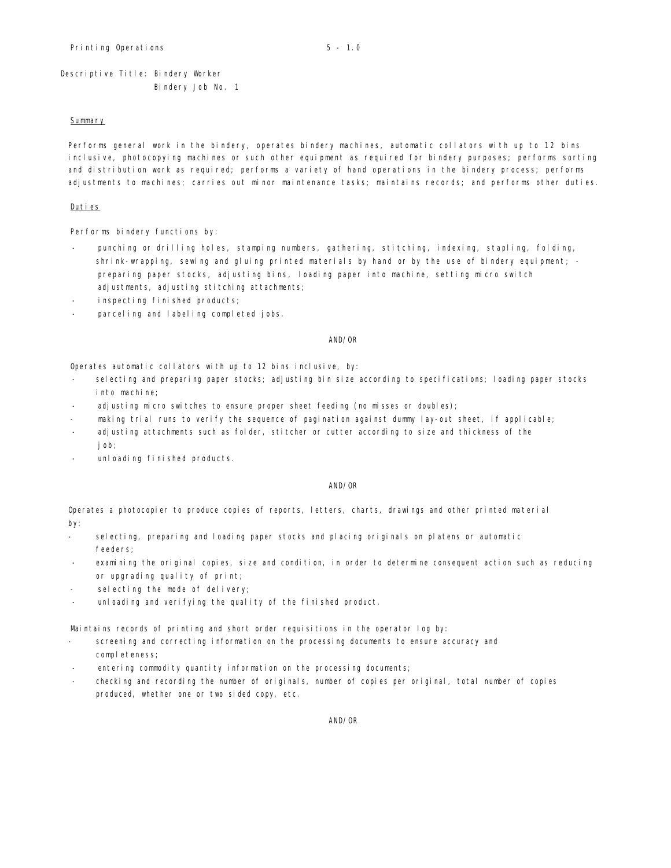Descriptive Title: Bindery Worker

# Bindery Job No. 1

#### **Summary**

Performs general work in the bindery, operates bindery machines, automatic collators with up to 12 bins inclusive, photocopying machines or such other equipment as required for bindery purposes; performs sorting and distribution work as required; performs a variety of hand operations in the bindery process; performs adjustments to machines; carries out minor maintenance tasks; maintains records; and performs other duties.

#### Duties

Performs bindery functions by:

- punching or drilling holes, stamping numbers, gathering, stitching, indexing, stapling, folding, shrink-wrapping, sewing and gluing printed materials by hand or by the use of bindery equipment; preparing paper stocks, adjusting bins, loading paper into machine, setting micro switch adjustments, adjusting stitching attachments;
- inspecting finished products;
- parceling and labeling completed jobs.

#### AND/OR

Operates automatic collators with up to 12 bins inclusive, by:

- selecting and preparing paper stocks; adjusting bin size according to specifications; loading paper stocks into machine;
- adjusting micro switches to ensure proper sheet feeding (no misses or doubles);
- making trial runs to verify the sequence of pagination against dummy lay-out sheet, if applicable;
- adjusting attachments such as folder, stitcher or cutter according to size and thickness of the job;
- unloading finished products.

#### AND/OR

Operates a photocopier to produce copies of reports, letters, charts, drawings and other printed material by:

- selecting, preparing and loading paper stocks and placing originals on platens or automatic feeders;
- examining the original copies, size and condition, in order to determine consequent action such as reducing or upgrading quality of print;
- selecting the mode of delivery;
- unloading and verifying the quality of the finished product.

Maintains records of printing and short order requisitions in the operator log by:

- screening and correcting information on the processing documents to ensure accuracy and completeness;
- entering commodity quantity information on the processing documents;
- checking and recording the number of originals, number of copies per original, total number of copies produced, whether one or two sided copy, etc.

AND/OR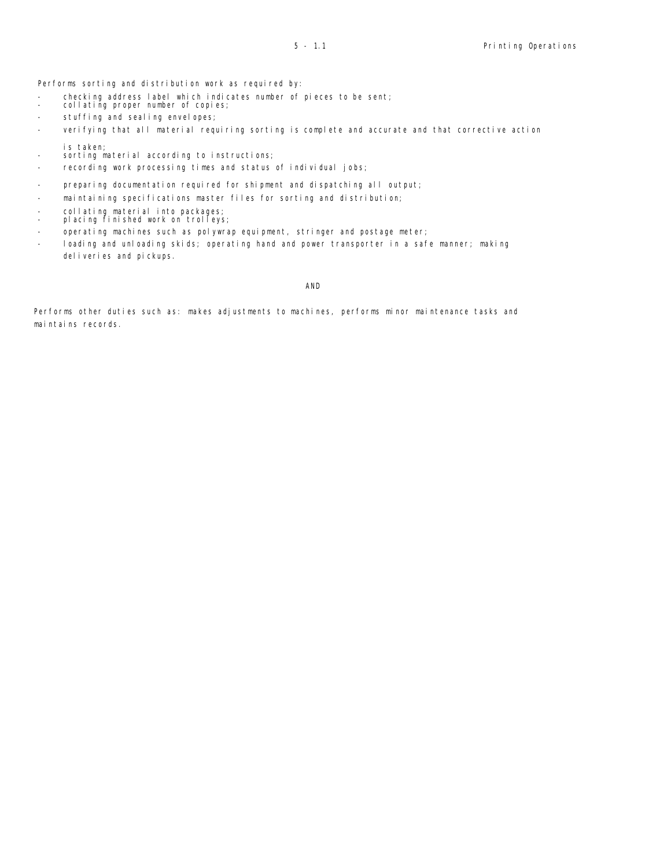Performs sorting and distribution work as required by:

- checking address label which indicates number of pieces to be sent; collating proper number of copies;
- 
- stuffing and sealing envelopes;
- verifying that all material requiring sorting is complete and accurate and that corrective action is taken;
- sorting material according to instructions;
- recording work processing times and status of individual jobs;
- preparing documentation required for shipment and dispatching all output;
- maintaining specifications master files for sorting and distribution;
- 
- collating material into packages; placing finished work on trolleys;
- operating machines such as polywrap equipment, stringer and postage meter;
- loading and unloading skids; operating hand and power transporter in a safe manner; making del i veries and pickups.

#### AND

Performs other duties such as: makes adjustments to machines, performs minor maintenance tasks and maintains records.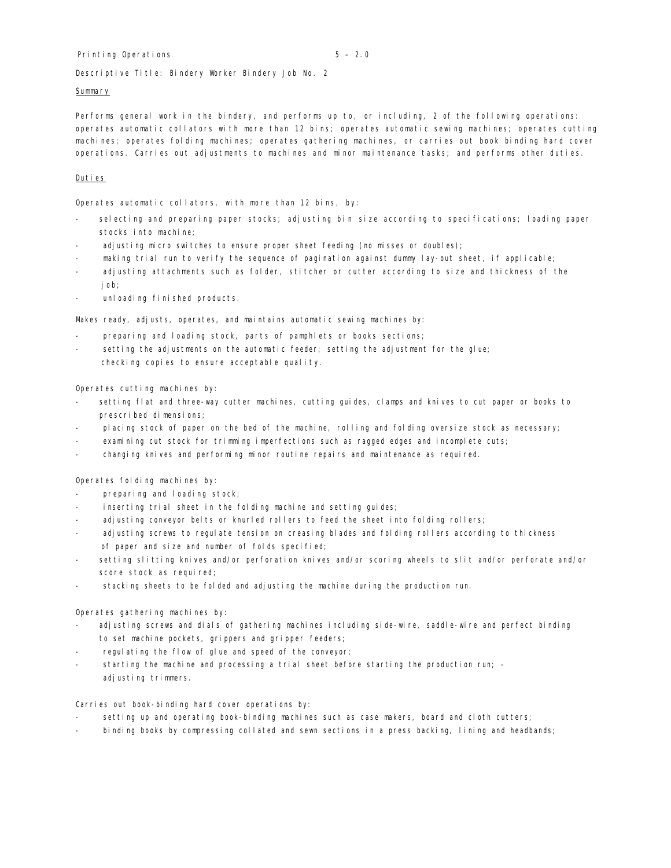#### Printing Operations 5 – 2.0

Descriptive Title: Bindery Worker Bindery Job No. 2

#### **Summary**

Performs general work in the bindery, and performs up to, or including, 2 of the following operations: operates automatic collators with more than 12 bins; operates automatic sewing machines; operates cutting machines; operates folding machines; operates gathering machines, or carries out book binding hard cover operations. Carries out adjustments to machines and minor maintenance tasks; and performs other duties.

### Duties

Operates automatic collators, with more than 12 bins, by:

- selecting and preparing paper stocks; adjusting bin size according to specifications; loading paper stocks into machine;
- adjusting micro switches to ensure proper sheet feeding (no misses or doubles);
- making trial run to verify the sequence of pagination against dummy lay-out sheet, if applicable;
- adjusting attachments such as folder, stitcher or cutter according to size and thickness of the job;
- unloading finished products.

Makes ready, adjusts, operates, and maintains automatic sewing machines by:

- preparing and loading stock, parts of pamphlets or books sections;
- setting the adjustments on the automatic feeder; setting the adjustment for the glue; checking copies to ensure acceptable quality.

Operates cutting machines by:

- setting flat and three-way cutter machines, cutting guides, clamps and knives to cut paper or books to prescribed dimensions;
- placing stock of paper on the bed of the machine, rolling and folding oversize stock as necessary;
- examining cut stock for trimming imperfections such as ragged edges and incomplete cuts;
- changing knives and performing minor routine repairs and maintenance as required.

Operates folding machines by:

- preparing and loading stock;
- inserting trial sheet in the folding machine and setting quides;
- adjusting conveyor belts or knurled rollers to feed the sheet into folding rollers;
- adjusting screws to regulate tension on creasing blades and folding rollers according to thickness of paper and size and number of folds specified;
- setting slitting knives and/or perforation knives and/or scoring wheels to slit and/or perforate and/or score stock as required;
- stacking sheets to be folded and adjusting the machine during the production run.

Operates gathering machines by:

- adjusting screws and dials of gathering machines including side-wire, saddle-wire and perfect binding to set machine pockets, grippers and gripper feeders;
- regulating the flow of glue and speed of the conveyor;
- starting the machine and processing a trial sheet before starting the production run; adjusting trimmers.

Carries out book-binding hard cover operations by:

- setting up and operating book-binding machines such as case makers, board and cloth cutters;
- binding books by compressing collated and sewn sections in a press backing, lining and headbands;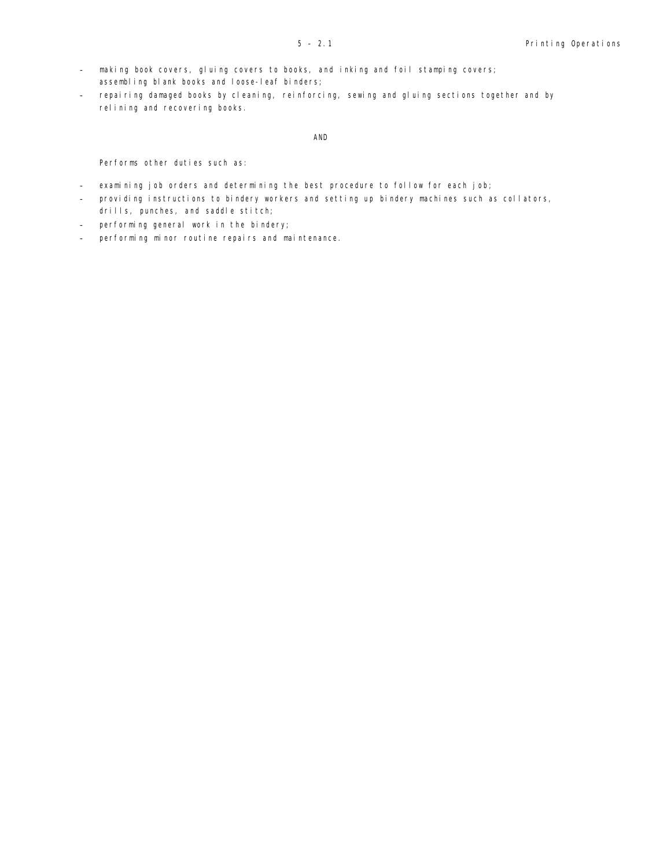repairing damaged books by cleaning, reinforcing, sewing and gluing sections together and by relining and recovering books.

#### AND

Performs other duties such as:

- examining job orders and determining the best procedure to follow for each job;
- providing instructions to bindery workers and setting up bindery machines such as collators, drills, punches, and saddle stitch;
- performing general work in the bindery;
- performing minor routine repairs and maintenance.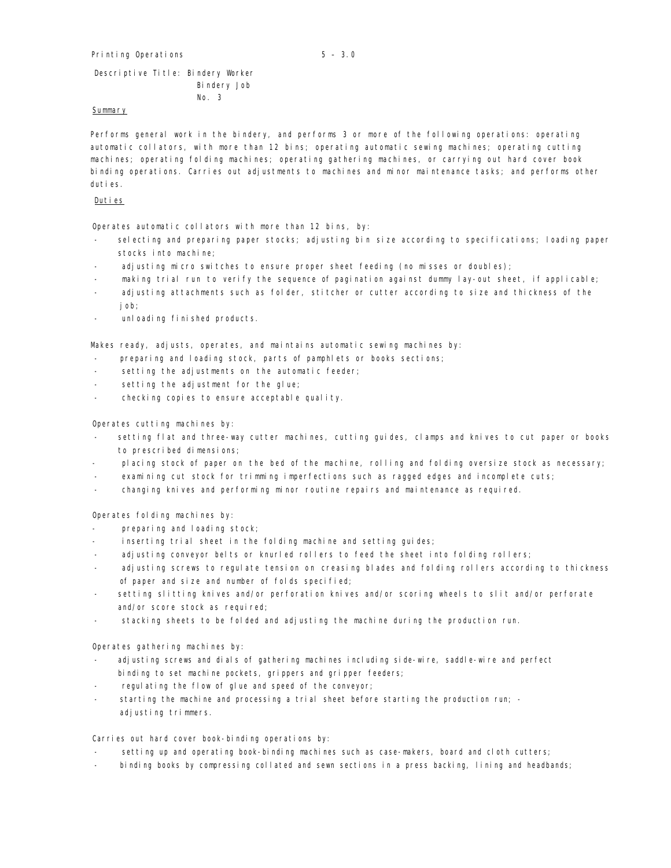#### Printing Operations 5 – 3.0

Descriptive Title: Bindery Worker Bindery Job  $N_0$  3

#### **Summary**

Performs general work in the bindery, and performs 3 or more of the following operations: operating automatic collators, with more than 12 bins; operating automatic sewing machines; operating cutting machines; operating folding machines; operating gathering machines, or carrying out hard cover book binding operations. Carries out adjustments to machines and minor maintenance tasks; and performs other duties.

#### Duties

Operates automatic collators with more than 12 bins, by:

- selecting and preparing paper stocks; adjusting bin size according to specifications; loading paper stocks into machine;
- adjusting micro switches to ensure proper sheet feeding (no misses or doubles);
- making trial run to verify the sequence of pagination against dummy lay-out sheet, if applicable;
- adjusting attachments such as folder, stitcher or cutter according to size and thickness of the job;
- unloading finished products.

Makes ready, adjusts, operates, and maintains automatic sewing machines by:

- preparing and loading stock, parts of pamphlets or books sections;
- setting the adjustments on the automatic feeder;
- setting the adjustment for the glue;
- checking copies to ensure acceptable quality.

Operates cutting machines by:

- setting flat and three-way cutter machines, cutting quides, clamps and knives to cut paper or books to prescribed dimensions;
- placing stock of paper on the bed of the machine, rolling and folding oversize stock as necessary;
- examining cut stock for trimming imperfections such as ragged edges and incomplete cuts;
- changing knives and performing minor routine repairs and maintenance as required.

Operates folding machines by:

- preparing and loading stock;
- inserting trial sheet in the folding machine and setting quides;
- adjusting conveyor belts or knurled rollers to feed the sheet into folding rollers;
- adjusting screws to regulate tension on creasing blades and folding rollers according to thickness of paper and size and number of folds specified;
- setting slitting knives and/or perforation knives and/or scoring wheels to slit and/or perforate and/or score stock as required;
- stacking sheets to be folded and adjusting the machine during the production run.

Operates gathering machines by:

- adjusting screws and dials of gathering machines including side-wire, saddle-wire and perfect binding to set machine pockets, grippers and gripper feeders;
- regulating the flow of glue and speed of the conveyor;
- starting the machine and processing a trial sheet before starting the production run; adjusting trimmers.

Carries out hard cover book-binding operations by:

- setting up and operating book-binding machines such as case-makers, board and cloth cutters;
- binding books by compressing collated and sewn sections in a press backing, lining and headbands;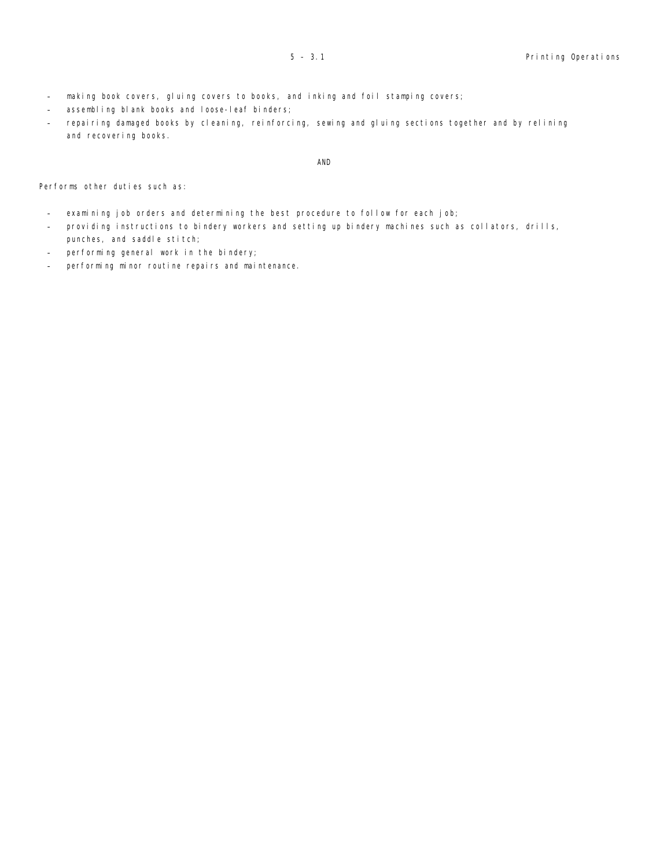- making book covers, gluing covers to books, and inking and foil stamping covers;
- assembling blank books and loose-leaf binders;
- repairing damaged books by cleaning, reinforcing, sewing and gluing sections together and by relining and recovering books.

# AND

Performs other duties such as:

- examining job orders and determining the best procedure to follow for each job;
- providing instructions to bindery workers and setting up bindery machines such as collators, drills, punches, and saddle stitch;
- performing general work in the bindery;
- performing minor routine repairs and maintenance.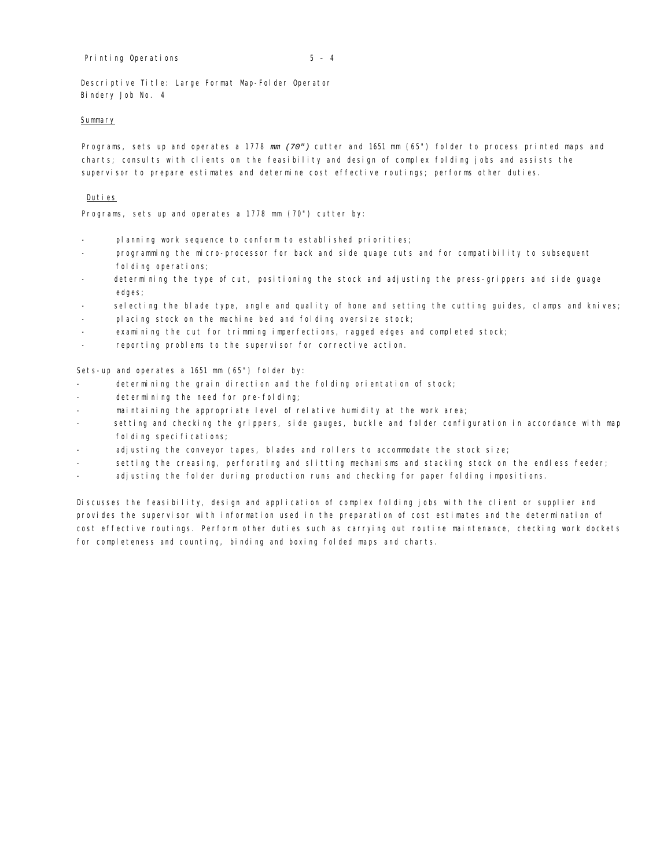Descriptive Title: Large Format Map-Folder Operator Bindery Job No. 4

#### **Summary**

Programs, sets up and operates a 1778 *mm (70")* cutter and 1651 mm (65") folder to process printed maps and charts; consults with clients on the feasibility and design of complex folding jobs and assists the supervisor to prepare estimates and determine cost effective routings; performs other duties.

# Duties

Programs, sets up and operates a 1778 mm (70") cutter by:

- planning work sequence to conform to established priorities;
- programming the micro-processor for back and side quage cuts and for compatibility to subsequent folding operations;
- determining the type of cut, positioning the stock and adjusting the press-grippers and side guage edges;
- selecting the blade type, angle and quality of hone and setting the cutting guides, clamps and knives;
- placing stock on the machine bed and folding oversize stock;
- examining the cut for trimming imperfections, ragged edges and completed stock;
- reporting problems to the supervisor for corrective action.

Sets-up and operates a 1651 mm (65") folder by:

- determining the grain direction and the folding orientation of stock;
- determining the need for pre-folding;
- maintaining the appropriate level of relative humidity at the work area;
- setting and checking the grippers, side gauges, buckle and folder configuration in accordance with map folding specifications;
- adjusting the conveyor tapes, blades and rollers to accommodate the stock size;
- setting the creasing, perforating and slitting mechanisms and stacking stock on the endless feeder;
- adjusting the folder during production runs and checking for paper folding impositions.

Discusses the feasibility, design and application of complex folding jobs with the client or supplier and provides the supervisor with information used in the preparation of cost estimates and the determination of cost effective routings. Perform other duties such as carrying out routine maintenance, checking work dockets for completeness and counting, binding and boxing folded maps and charts.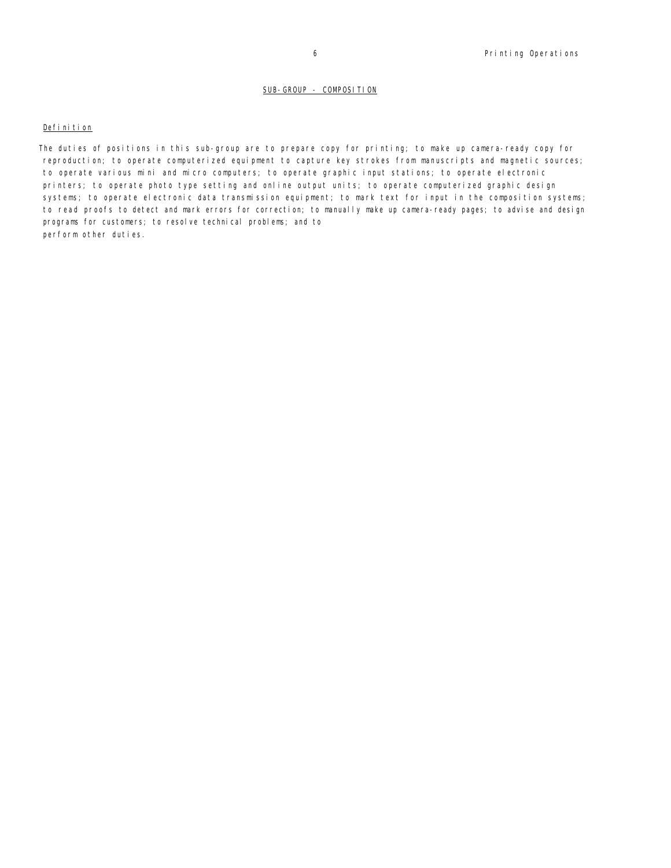#### SUB-GROUP - COMPOSITION

#### Definition

The duties of positions in this sub-group are to prepare copy for printing; to make up camera-ready copy for reproduction; to operate computerized equipment to capture key strokes from manuscripts and magnetic sources; to operate various mini and micro computers; to operate graphic input stations; to operate electronic printers; to operate photo type setting and online output units; to operate computerized graphic design systems; to operate electronic data transmission equipment; to mark text for input in the composition systems; to read proofs to detect and mark errors for correction; to manually make up camera-ready pages; to advise and design programs for customers; to resolve technical problems; and to perform other duties.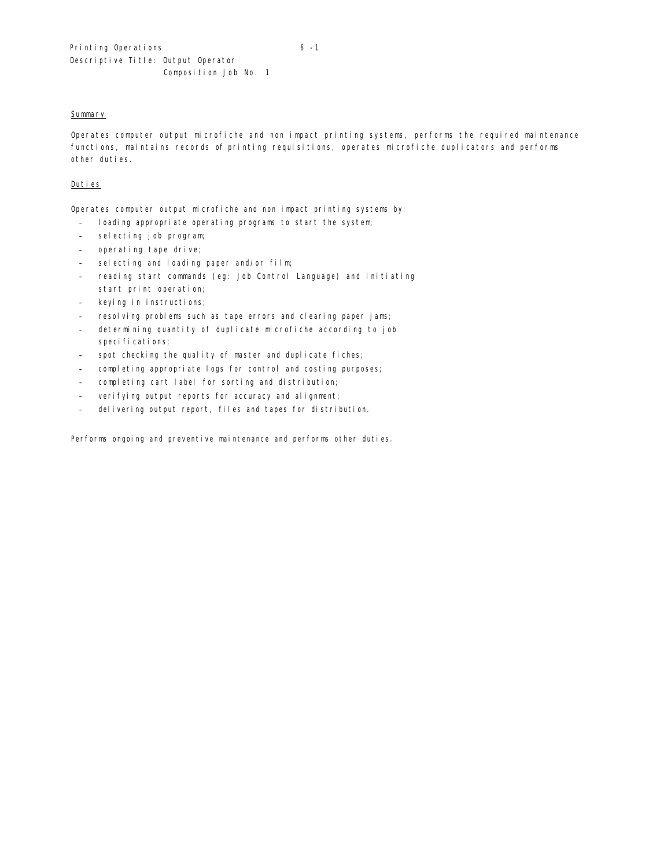#### **Summary**

Operates computer output microfiche and non impact printing systems, performs the required maintenance functions, maintains records of printing requisitions, operates microfiche duplicators and performs other duties.

### Duties

Operates computer output microfiche and non impact printing systems by:

- loading appropriate operating programs to start the system;
- sel ecting job program;
- operating tape drive;
- selecting and loading paper and/or film;
- reading start commands (eg: Job Control Language) and initiating start print operation;
- keying in instructions;
- resolving problems such as tape errors and clearing paper jams;
- determining quantity of duplicate microfiche according to job specifications;
- spot checking the quality of master and duplicate fiches;
- completing appropriate logs for control and costing purposes;
- completing cart label for sorting and distribution;
- verifying output reports for accuracy and alignment;
- delivering output report, files and tapes for distribution.

Performs ongoing and preventive maintenance and performs other duties.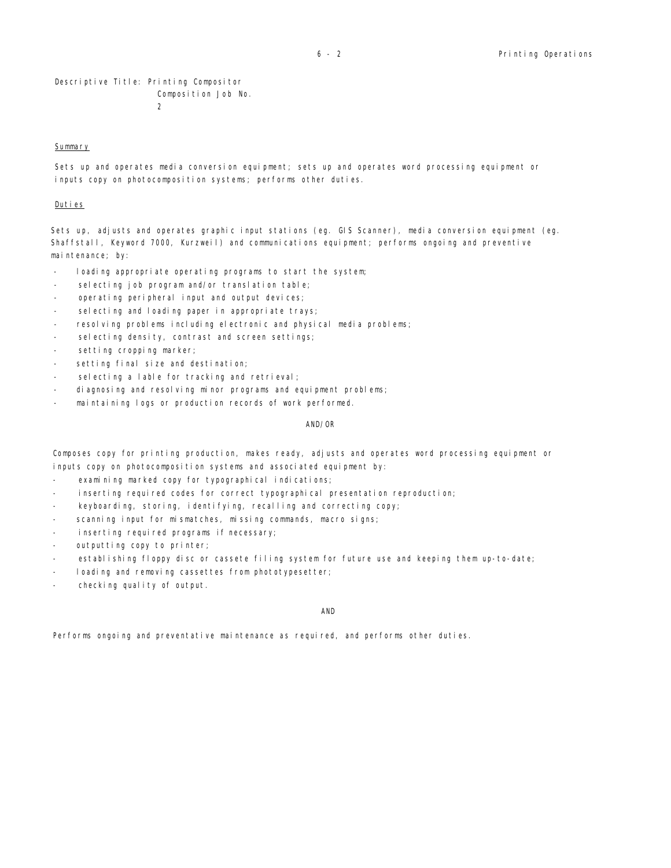Descriptive Title: Printing Compositor Composition Job No.  $\overline{2}$ 

#### Summary

Sets up and operates media conversion equipment; sets up and operates word processing equipment or inputs copy on photocomposition systems; performs other duties.

#### Duties

Sets up, adjusts and operates graphic input stations (eg. GIS Scanner), media conversion equipment (eg. Shaffstall, Keyword 7000, Kurzweil) and communications equipment; performs ongoing and preventive maintenance; by:

- loading appropriate operating programs to start the system;
- selecting job program and/or translation table;
- operating peripheral input and output devices;
- selecting and loading paper in appropriate trays;
- resolving problems including electronic and physical media problems;
- selecting density, contrast and screen settings;
- setting cropping marker;
- setting final size and destination;
- selecting a lable for tracking and retrieval;
- diagnosing and resolving minor programs and equipment problems;
- maintaining logs or production records of work performed.

#### AND/OR

Composes copy for printing production, makes ready, adjusts and operates word processing equipment or inputs copy on photocomposition systems and associated equipment by:

- examining marked copy for typographical indications;
- inserting required codes for correct typographical presentation reproduction;
- keyboarding, storing, identifying, recalling and correcting copy;
- scanning input for mismatches, missing commands, macro signs;
- inserting required programs if necessary;
- outputting copy to printer;
- establishing floppy disc or cassete filing system for future use and keeping them up-to-date;
- loading and removing cassettes from phototypesetter;
- checking quality of output.

AND

Performs ongoing and preventative maintenance as required, and performs other duties.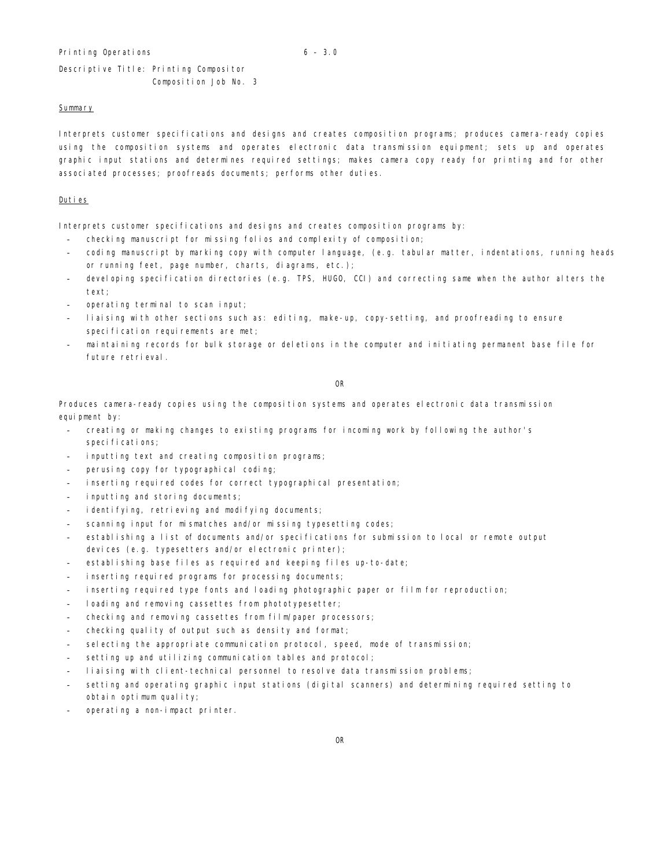Printing Operations 6 – 3.0

Descriptive Title: Printing Compositor Composition Job No. 3

# Summary

Interprets customer specifications and designs and creates composition programs; produces camera-ready copies using the composition systems and operates electronic data transmission equipment; sets up and operates graphic input stations and determines required settings; makes camera copy ready for printing and for other associated processes; proofreads documents; performs other duties.

#### Duties

Interprets customer specifications and designs and creates composition programs by:

- checking manuscript for missing folios and complexity of composition;
- coding manuscript by marking copy with computer language, (e.g. tabular matter, indentations, running heads or running feet, page number, charts, diagrams, etc.);
- developing specification directories (e.g. TPS, HUGO, CCI) and correcting same when the author alters the text;
- operating terminal to scan input;
- liaising with other sections such as: editing, make-up, copy-setting, and proofreading to ensure specification requirements are met;
- maintaining records for bulk storage or deletions in the computer and initiating permanent base file for future retrieval.

OR

Produces camera-ready copies using the composition systems and operates electronic data transmission equipment by:

- creating or making changes to existing programs for incoming work by following the author's specifications;
- inputting text and creating composition programs;
- perusing copy for typographical coding;
- inserting required codes for correct typographical presentation;
- inputting and storing documents;
- identifying, retrieving and modifying documents;
- scanning input for mismatches and/or missing typesetting codes;
- establishing a list of documents and/or specifications for submission to local or remote output devices (e.g. typesetters and/or electronic printer);
- establishing base files as required and keeping files up-to-date;
- inserting required programs for processing documents;
- inserting required type fonts and loading photographic paper or film for reproduction;
- loading and removing cassettes from phototypesetter;
- checking and removing cassettes from film/paper processors;
- checking quality of output such as density and format;
- selecting the appropriate communication protocol, speed, mode of transmission;
- setting up and utilizing communication tables and protocol;
- liaising with client-technical personnel to resolve data transmission problems;
- setting and operating graphic input stations (digital scanners) and determining required setting to obtain optimum quality;
- operating a non-impact printer.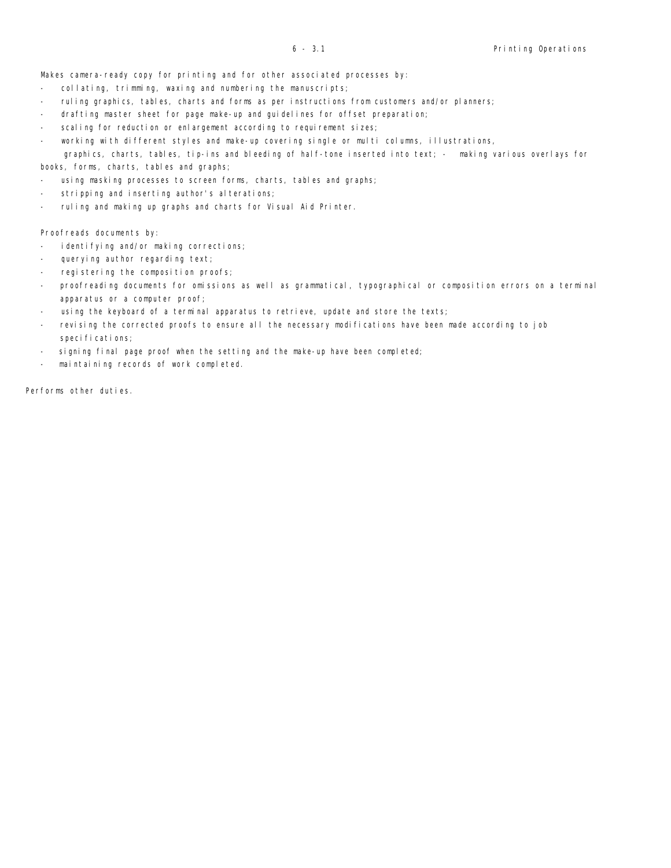Makes camera-ready copy for printing and for other associated processes by:

- collating, trimming, waxing and numbering the manuscripts;
- ruling graphics, tables, charts and forms as per instructions from customers and/or planners;
- drafting master sheet for page make-up and guidelines for offset preparation;
- scaling for reduction or enlargement according to requirement sizes;
- working with different styles and make-up covering single or multi columns, illustrations,

graphics, charts, tables, tip-ins and bleeding of half-tone inserted into text; - making various overlays for books, forms, charts, tables and graphs;

- using masking processes to screen forms, charts, tables and graphs;
- stripping and inserting author's alterations;
- ruling and making up graphs and charts for Visual Aid Printer.

Proofreads documents by:

- identifying and/or making corrections;
- querying author regarding text;
- registering the composition proofs;
- proofreading documents for omissions as well as grammatical, typographical or composition errors on a terminal apparatus or a computer proof;
- using the keyboard of a terminal apparatus to retrieve, update and store the texts;
- revising the corrected proofs to ensure all the necessary modifications have been made according to job specifications;
- signing final page proof when the setting and the make-up have been completed;
- maintaining records of work completed.

Performs other duties.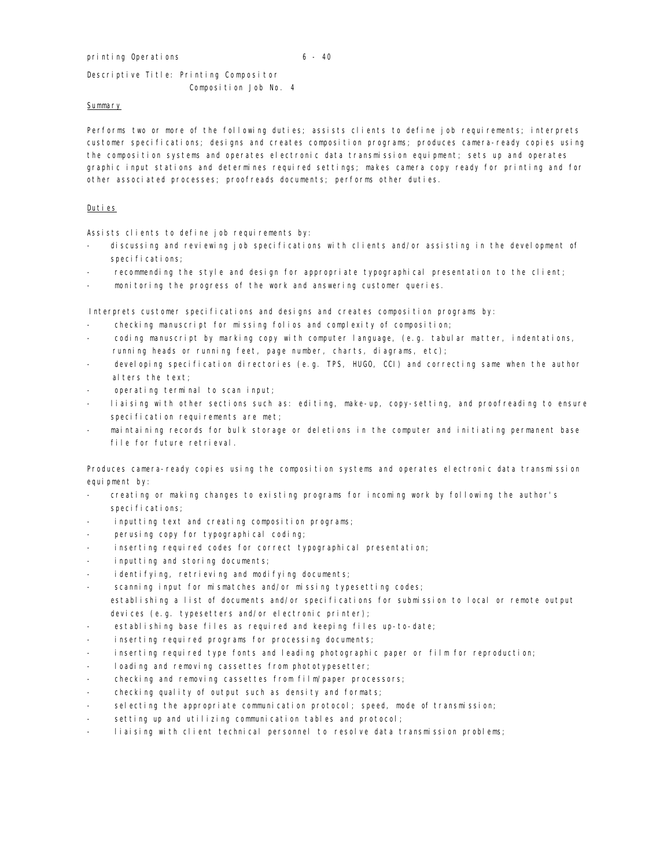#### printing Operations 6 - 40

Descriptive Title: Printing Compositor Composition Job No. 4

#### Summary

Performs two or more of the following duties; assists clients to define job requirements; interprets customer specifications; designs and creates composition programs; produces camera-ready copies using the composition systems and operates electronic data transmission equipment; sets up and operates graphic input stations and determines required settings; makes camera copy ready for printing and for other associated processes; proofreads documents; performs other duties.

# Duties

Assists clients to define job requirements by:

- discussing and reviewing job specifications with clients and/or assisting in the development of specifications;
- recommending the style and design for appropriate typographical presentation to the client;
- monitoring the progress of the work and answering customer queries.

Interprets customer specifications and designs and creates composition programs by:

- checking manuscript for missing folios and complexity of composition;
- coding manuscript by marking copy with computer language, (e.g. tabular matter, indentations, running heads or running feet, page number, charts, diagrams, etc);
- devel oping specification directories (e.g. TPS, HUGO, CCI) and correcting same when the author alters the text;
- operating terminal to scan input;
- liaising with other sections such as: editing, make-up, copy-setting, and proofreading to ensure specification requirements are met;
- maintaining records for bulk storage or deletions in the computer and initiating permanent base file for future retrieval.

Produces camera-ready copies using the composition systems and operates electronic data transmission equipment by:

- creating or making changes to existing programs for incoming work by following the author's specifications;
- inputting text and creating composition programs;
- perusing copy for typographical coding;
- inserting required codes for correct typographical presentation;
- inputting and storing documents;
- identifying, retrieving and modifying documents;
- scanning input for mismatches and/or missing typesetting codes; establishing a list of documents and/or specifications for submission to local or remote output devices (e.g. typesetters and/or electronic printer);
- establishing base files as required and keeping files up-to-date;
- inserting required programs for processing documents;
- inserting required type fonts and leading photographic paper or film for reproduction;
- loading and removing cassettes from phototypesetter;
- checking and removing cassettes from film/paper processors;
- checking quality of output such as density and formats;
- selecting the appropriate communication protocol; speed, mode of transmission;
- setting up and utilizing communication tables and protocol;
- liaising with client technical personnel to resolve data transmission problems;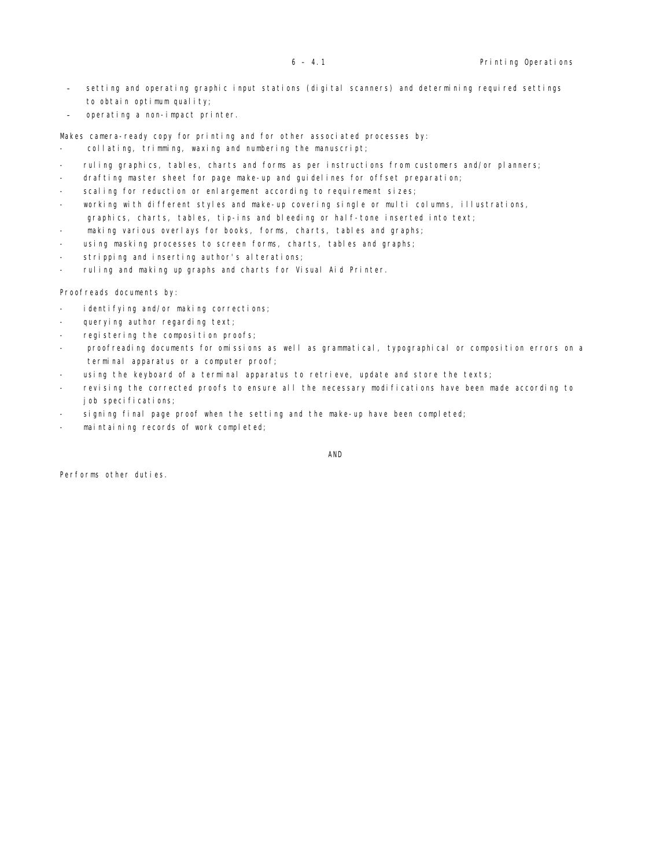- setting and operating graphic input stations (digital scanners) and determining required settings to obtain optimum quality;
- operating a non-impact printer.

Makes camera-ready copy for printing and for other associated processes by:

- collating, trimming, waxing and numbering the manuscript;
- ruling graphics, tables, charts and forms as per instructions from customers and/or planners;
- drafting master sheet for page make-up and guidelines for offset preparation;
- scaling for reduction or enlargement according to requirement sizes;
- working with different styles and make-up covering single or multi columns, illustrations, graphics, charts, tables, tip-ins and bleeding or half-tone inserted into text;
- making various overlays for books, forms, charts, tables and graphs;
- using masking processes to screen forms, charts, tables and graphs;
- stripping and inserting author's alterations;
- ruling and making up graphs and charts for Visual Aid Printer.

Proofreads documents by:

- identifying and/or making corrections;
- querying author regarding text;
- registering the composition proofs;
- proofreading documents for omissions as well as grammatical, typographical or composition errors on a terminal apparatus or a computer proof;
- using the keyboard of a terminal apparatus to retrieve, update and store the texts;
- revising the corrected proofs to ensure all the necessary modifications have been made according to job specifications;
- signing final page proof when the setting and the make-up have been completed;
- maintaining records of work completed;

AND

Performs other duties.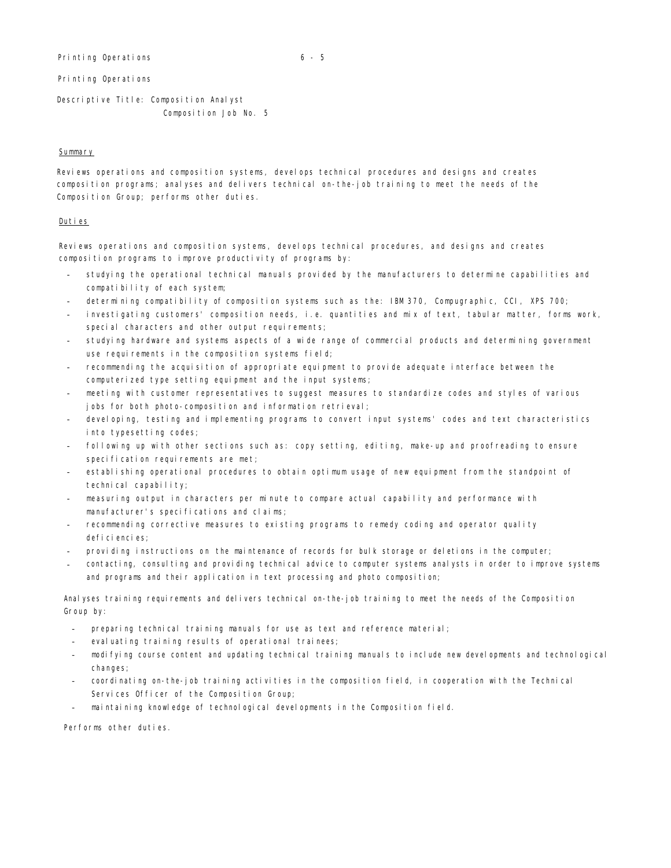Printing Operations 6 - 5

Printing Operations

Descriptive Title: Composition Analyst Composition Job No. 5

#### Summary

Reviews operations and composition systems, develops technical procedures and designs and creates composition programs; analyses and delivers technical on-the-job training to meet the needs of the Composition Group; performs other duties.

#### Duties

Reviews operations and composition systems, develops technical procedures, and designs and creates composition programs to improve productivity of programs by:

- studying the operational technical manuals provided by the manufacturers to determine capabilities and compatibility of each system;
- determining compatibility of composition systems such as the: IBM 370, Compugraphic, CCI, XPS 700;
- investigating customers' composition needs, i.e. quantities and mix of text, tabular matter, forms work, special characters and other output requirements;
- studying hardware and systems aspects of a wide range of commercial products and determining government use requirements in the composition systems field;
- recommending the acquisition of appropriate equipment to provide adequate interface between the computerized type setting equipment and the input systems;
- meeting with customer representatives to suggest measures to standardize codes and styles of various jobs for both photo-composition and information retrieval;
- developing, testing and implementing programs to convert input systems' codes and text characteristics into typesetting codes;
- following up with other sections such as: copy setting, editing, make-up and proofreading to ensure specification requirements are met;
- establishing operational procedures to obtain optimum usage of new equipment from the standpoint of technical capability;
- measuring output in characters per minute to compare actual capability and performance with manufacturer's specifications and claims;
- recommending corrective measures to existing programs to remedy coding and operator quality deficiencies;
- providing instructions on the maintenance of records for bulk storage or deletions in the computer;
- contacting, consulting and providing technical advice to computer systems analysts in order to improve systems and programs and their application in text processing and photo composition;

Analyses training requirements and delivers technical on-the-job training to meet the needs of the Composition Group by:

- preparing technical training manuals for use as text and reference material;
- evaluating training results of operational trainees;
- modifying course content and updating technical training manuals to include new developments and technological changes;
- coordinating on-the-job training activities in the composition field, in cooperation with the Technical Services Officer of the Composition Group;
- maintaining knowledge of technological developments in the Composition field.

Performs other duties.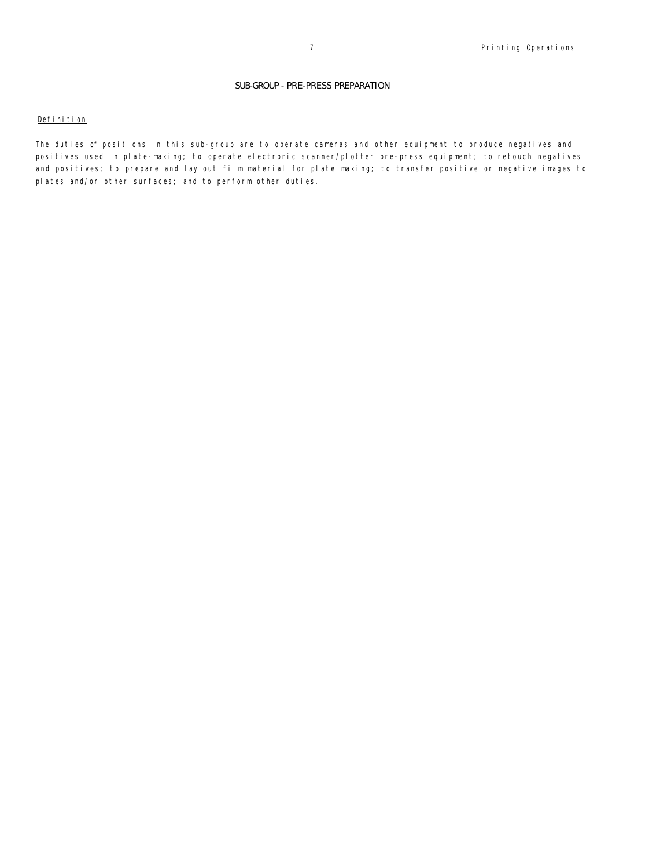# SUB-GROUP - PRE-PRESS PREPARATION

# Definition

The duties of positions in this sub-group are to operate cameras and other equipment to produce negatives and positives used in plate-making; to operate electronic scanner/plotter pre-press equipment; to retouch negatives and positives; to prepare and lay out film material for plate making; to transfer positive or negative images to plates and/or other surfaces; and to perform other duties.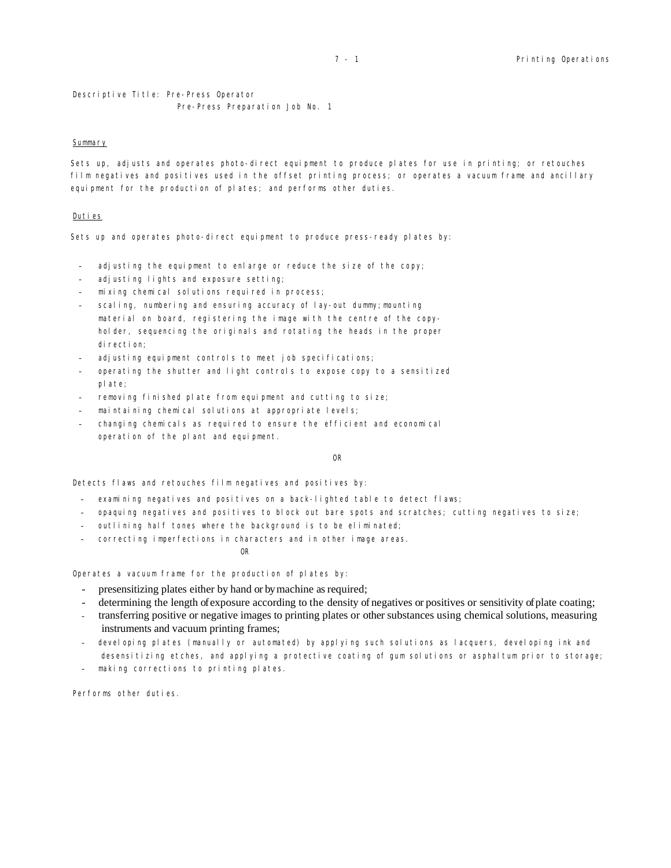Descriptive Title: Pre-Press Operator Pre-Press Preparation Job No. 1

#### Summary

Sets up, adjusts and operates photo-direct equipment to produce plates for use in printing; or retouches film negatives and positives used in the offset printing process; or operates a vacuum frame and ancillary equipment for the production of plates; and performs other duties.

#### Duties

Sets up and operates photo-direct equipment to produce press-ready plates by:

- adjusting the equipment to enlarge or reduce the size of the copy;
- adjusting lights and exposure setting;
- mixing chemical solutions required in process;
- scaling, numbering and ensuring accuracy of lay-out dummy; mounting material on board, registering the image with the centre of the copyholder, sequencing the originals and rotating the heads in the proper direction;
- adjusting equipment controls to meet job specifications;
- operating the shutter and light controls to expose copy to a sensitized plate;
- removing finished plate from equipment and cutting to size;
- maintaining chemical solutions at appropriate levels;
- changing chemicals as required to ensure the efficient and economical operation of the plant and equipment.

#### OR

Detects flaws and retouches film negatives and positives by:

- examining negatives and positives on a back-lighted table to detect flaws;
- opaquing negatives and positives to block out bare spots and scratches; cutting negatives to size;
- outlining half tones where the background is to be eliminated;
- correcting imperfections in characters and in other image areas.

#### OR

Operates a vacuum frame for the production of plates by:

- presensitizing plates either by hand or by machine as required;
- determining the length of exposure according to the density of negatives or positives or sensitivity of plate coating;
- transferring positive or negative images to printing plates or other substances using chemical solutions, measuring instruments and vacuum printing frames;
- developing plates (manually or automated) by applying such solutions as lacquers, developing ink and desensitizing etches, and applying a protective coating of gum solutions or asphaltum prior to storage;
- making corrections to printing plates.

Performs other duties.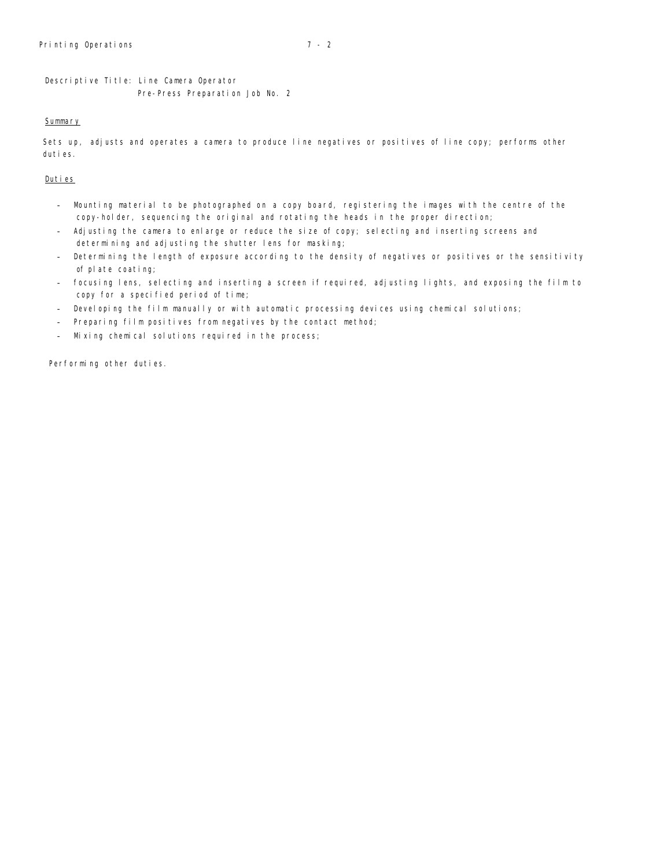Descriptive Title: Line Camera Operator Pre-Press Preparation Job No. 2

## **Summary**

Sets up, adjusts and operates a camera to produce line negatives or positives of line copy; performs other duties.

# Duties

- Mounting material to be photographed on a copy board, registering the images with the centre of the copy-holder, sequencing the original and rotating the heads in the proper direction;
- Adjusting the camera to enlarge or reduce the size of copy; selecting and inserting screens and determining and adjusting the shutter lens for masking;
- Determining the length of exposure according to the density of negatives or positives or the sensitivity of plate coating;
- focusing lens, selecting and inserting a screen if required, adjusting lights, and exposing the film to copy for a specified period of time;
- Developing the film manually or with automatic processing devices using chemical solutions;
- Preparing film positives from negatives by the contact method;
- Mixing chemical solutions required in the process;

Performing other duties.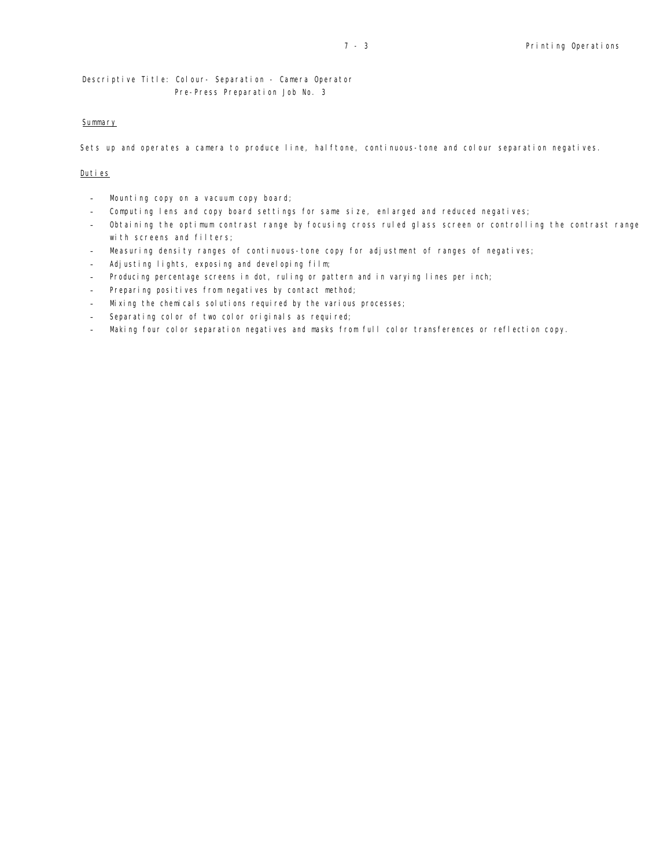Descriptive Title: Colour- Separation - Camera Operator Pre-Press Preparation Job No. 3

# **Summary**

Sets up and operates a camera to produce line, halftone, continuous-tone and colour separation negatives.

# Duties

- Mounting copy on a vacuum copy board;
- Computing lens and copy board settings for same size, enlarged and reduced negatives;
- Obtaining the optimum contrast range by focusing cross ruled glass screen or controlling the contrast range with screens and filters;
- Measuring density ranges of continuous-tone copy for adjustment of ranges of negatives;
- Adjusting lights, exposing and developing film;
- Producing percentage screens in dot, ruling or pattern and in varying lines per inch;
- Preparing positives from negatives by contact method;
- Mixing the chemicals solutions required by the various processes;
- Separating color of two color originals as required;
- Making four color separation negatives and masks from full color transferences or reflection copy.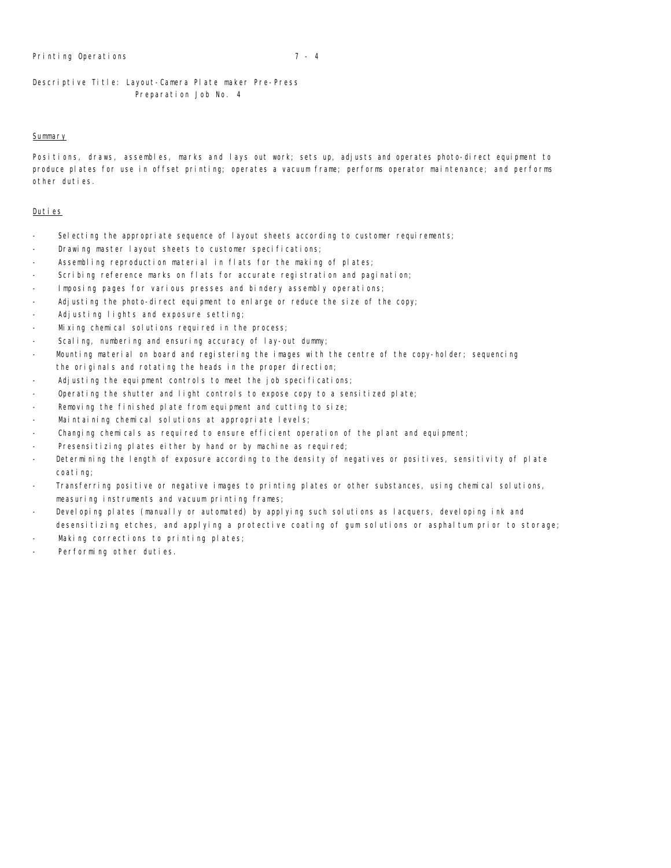Descriptive Title: Layout-Camera Plate maker Pre-Press Preparation Job No. 4

#### **Summary**

Positions, draws, assembles, marks and lays out work; sets up, adjusts and operates photo-direct equipment to produce plates for use in offset printing; operates a vacuum frame; performs operator maintenance; and performs other duties.

# Duties

- Selecting the appropriate sequence of layout sheets according to customer requirements;
- Drawing master layout sheets to customer specifications;
- Assembling reproduction material in flats for the making of plates;
- Scribing reference marks on flats for accurate registration and pagination;
- Imposing pages for various presses and bindery assembly operations;
- Adjusting the photo-direct equipment to enlarge or reduce the size of the copy;
- Adjusting lights and exposure setting;
- Mixing chemical solutions required in the process;
- Scaling, numbering and ensuring accuracy of lay-out dummy;
- Mounting material on board and registering the images with the centre of the copy-holder; sequencing the originals and rotating the heads in the proper direction;
- Adjusting the equipment controls to meet the job specifications;
- Operating the shutter and light controls to expose copy to a sensitized plate;
- Removing the finished plate from equipment and cutting to size;
- Maintaining chemical solutions at appropriate levels;
- Changing chemicals as required to ensure efficient operation of the plant and equipment;
- Presensitizing plates either by hand or by machine as required;
- Determining the length of exposure according to the density of negatives or positives, sensitivity of plate coating;
- Transferring positive or negative images to printing plates or other substances, using chemical solutions, measuring instruments and vacuum printing frames;
- Developing plates (manually or automated) by applying such solutions as lacquers, developing ink and desensitizing etches, and applying a protective coating of gum solutions or asphaltum prior to storage;
- Making corrections to printing plates;
- Performing other duties.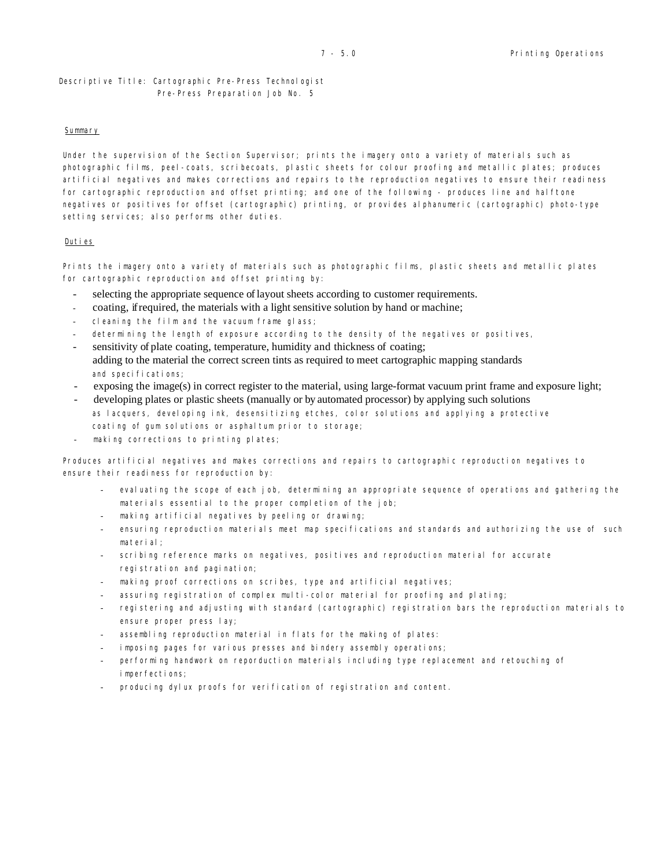# Descriptive Title: Cartographic Pre-Press Technologist Pre-Press Preparation Job No. 5

# Summary

Under the supervision of the Section Supervisor; prints the imagery onto a variety of materials such as photographic films, peel-coats, scribecoats, plastic sheets for colour proofing and metallic plates; produces artificial negatives and makes corrections and repairs to the reproduction negatives to ensure their readiness for cartographic reproduction and offset printing; and one of the following - produces line and halftone negatives or positives for offset (cartographic) printing, or provides alphanumeric (cartographic) photo-type setting services; also performs other duties.

# Duties

Prints the imagery onto a variety of materials such as photographic films, plastic sheets and metallic plates for cartographic reproduction and offset printing by:

- selecting the appropriate sequence of layout sheets according to customer requirements.
- coating, if required, the materials with a light sensitive solution by hand or machine;
- cleaning the film and the vacuum frame glass;
- determining the length of exposure according to the density of the negatives or positives,
- sensitivity of plate coating, temperature, humidity and thickness of coating; adding to the material the correct screen tints as required to meet cartographic mapping standards and specifications;
- exposing the image(s) in correct register to the material, using large-format vacuum print frame and exposure light;
- developing plates or plastic sheets (manually or by automated processor) by applying such solutions as lacquers, developing ink, desensitizing etches, color solutions and applying a protective coating of gum solutions or asphaltum prior to storage;
- making corrections to printing plates;

Produces artificial negatives and makes corrections and repairs to cartographic reproduction negatives to ensure their readiness for reproduction by:

- evaluating the scope of each job, determining an appropriate sequence of operations and gathering the materials essential to the proper completion of the job;
- making artificial negatives by peeling or drawing;
- ensuring reproduction materials meet map specifications and standards and authorizing the use of such material;
- scribing reference marks on negatives, positives and reproduction material for accurate registration and pagination;
- making proof corrections on scribes, type and artificial negatives;
- assuring registration of complex multi-color material for proofing and plating;
- registering and adjusting with standard (cartographic) registration bars the reproduction materials to ensure proper press lay;
- assembling reproduction material in flats for the making of plates:
- imposing pages for various presses and bindery assembly operations;
- performing handwork on reporduction materials including type replacement and retouching of imperfections;
- producing dylux proofs for verification of registration and content.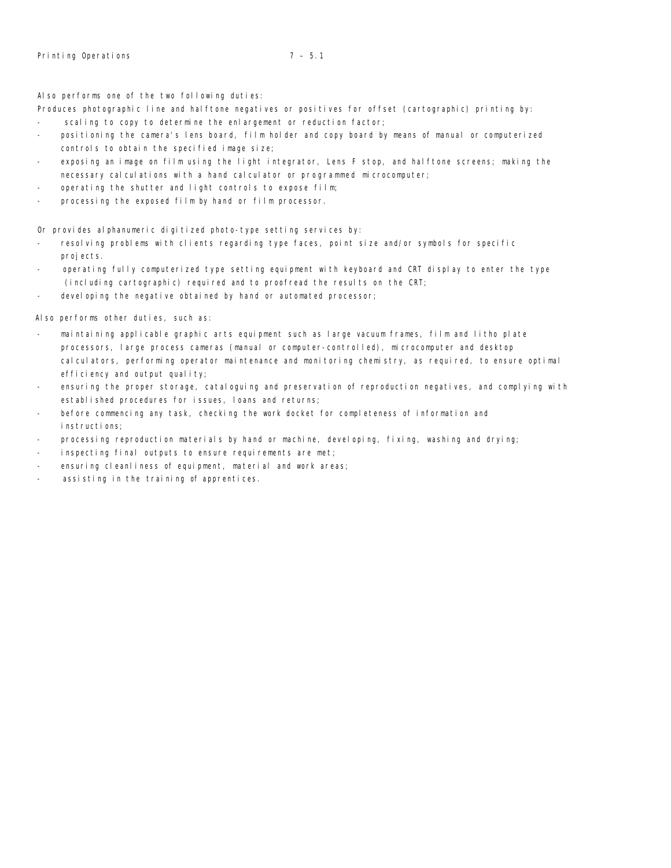Also performs one of the two following duties:

Produces photographic line and halftone negatives or positives for offset (cartographic) printing by:

- scaling to copy to determine the enlargement or reduction factor;
- positioning the camera's lens board, film holder and copy board by means of manual or computerized controls to obtain the specified image size;
- exposing an image on film using the light integrator, Lens F stop, and halftone screens; making the necessary calculations with a hand calculator or programmed microcomputer;
- operating the shutter and light controls to expose film;
- processing the exposed film by hand or film processor.

Or provides alphanumeric digitized photo-type setting services by:

- resolving problems with clients regarding type faces, point size and/or symbols for specific proj ects.
- operating fully computerized type setting equipment with keyboard and CRT display to enter the type (including cartographic) required and to proofread the results on the CRT;
- devel oping the negative obtained by hand or automated processor;

Also performs other duties, such as:

- maintaining applicable graphic arts equipment such as large vacuum frames, film and litho plate processors, large process cameras (manual or computer-controlled), microcomputer and desktop calculators, performing operator maintenance and monitoring chemistry, as required, to ensure optimal efficiency and output quality;
- ensuring the proper storage, cataloguing and preservation of reproduction negatives, and complying with established procedures for issues, loans and returns;
- before commencing any task, checking the work docket for completeness of information and instructions;
- processing reproduction materials by hand or machine, developing, fixing, washing and drying;
- inspecting final outputs to ensure requirements are met;
- ensuring cleanliness of equipment, material and work areas;
- assisting in the training of apprentices.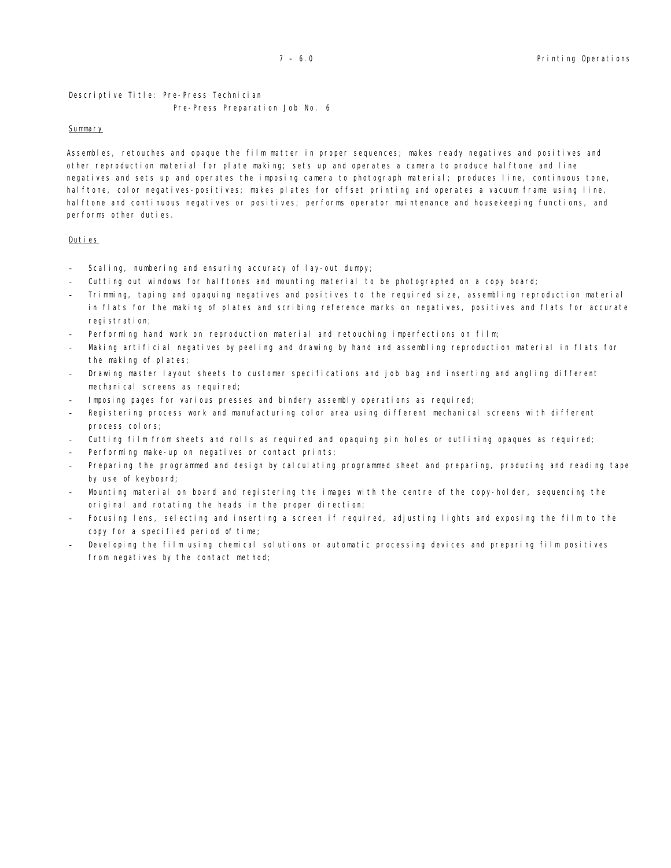Descriptive Title: Pre-Press Technician Pre-Press Preparation Job No. 6

# Summary

Assembles, retouches and opaque the film matter in proper sequences; makes ready negatives and positives and other reproduction material for plate making; sets up and operates a camera to produce halftone and line negatives and sets up and operates the imposing camera to photograph material; produces line, continuous tone, halftone, color negatives-positives; makes plates for offset printing and operates a vacuum frame using line, halftone and continuous negatives or positives; performs operator maintenance and housekeeping functions, and performs other duties.

# Duties

- Scaling, numbering and ensuring accuracy of lay-out dumpy;
- Cutting out windows for halftones and mounting material to be photographed on a copy board;
- Trimming, taping and opaquing negatives and positives to the required size, assembling reproduction material in flats for the making of plates and scribing reference marks on negatives, positives and flats for accurate registration;
- Performing hand work on reproduction material and retouching imperfections on film;
- Making artificial negatives by peeling and drawing by hand and assembling reproduction material in flats for the making of plates;
- Drawing master layout sheets to customer specifications and job bag and inserting and angling different mechanical screens as required;
- Imposing pages for various presses and bindery assembly operations as required;
- Registering process work and manufacturing color area using different mechanical screens with different process colors;
- Cutting film from sheets and rolls as required and opaquing pin holes or outlining opaques as required;
- Performing make-up on negatives or contact prints;
- Preparing the programmed and design by calculating programmed sheet and preparing, producing and reading tape by use of keyboard;
- Mounting material on board and registering the images with the centre of the copy-holder, sequencing the original and rotating the heads in the proper direction;
- Focusing lens, selecting and inserting a screen if required, adjusting lights and exposing the film to the copy for a specified period of time;
- Developing the film using chemical solutions or automatic processing devices and preparing film positives from negatives by the contact method;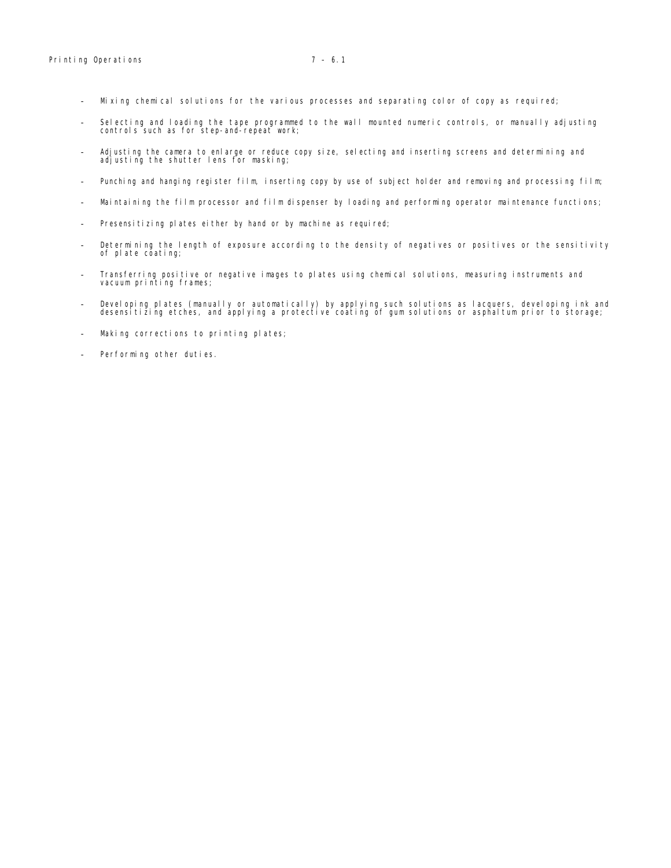- Mixing chemical solutions for the various processes and separating color of copy as required;
- Selecting and loading the tape programmed to the wall mounted numeric controls, or manually adjusting controls such as for step-and-repeat work;
- Adjusting the camera to enlarge or reduce copy size, selecting and inserting screens and determining and adjusting the shutter lens for masking;
- Punching and hanging register film, inserting copy by use of subject holder and removing and processing film;
- Maintaining the film processor and film dispenser by loading and performing operator maintenance functions;
- Presensitizing plates either by hand or by machine as required;
- Determining the length of exposure according to the density of negatives or positives or the sensitivity of plate coating;
- Transferring positive or negative images to plates using chemical solutions, measuring instruments and vacuum printing frames;
- Developing plates (manually or automatically) by applying such solutions as lacquers, developing ink and desensitizing etches, and applying a protective coating of gum solutions or asphaltum prior to storage;
- Making corrections to printing plates;
- Performing other duties.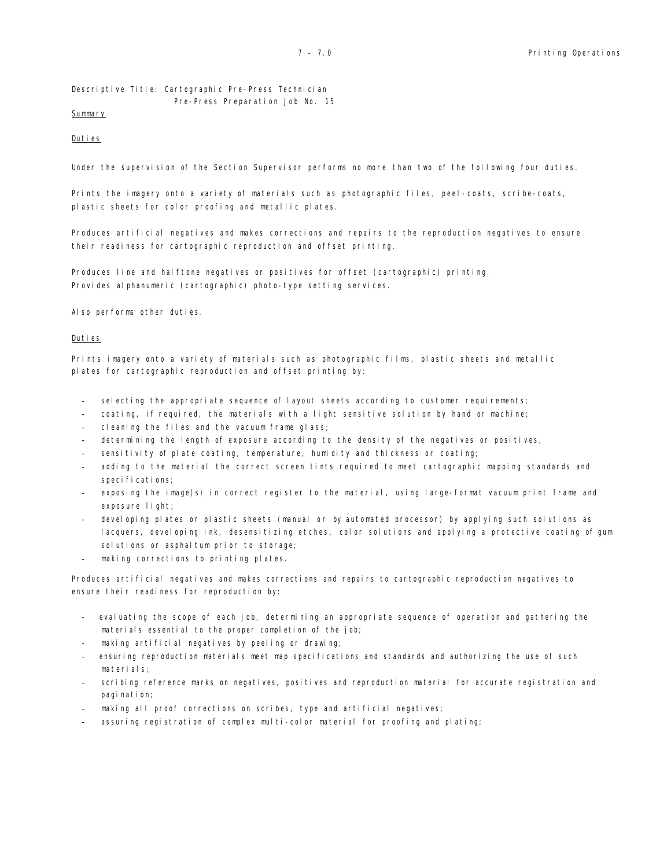Descriptive Title: Cartographic Pre-Press Technician

Pre-Press Preparation Job No. 15

# Summary

# Duties

Under the supervision of the Section Supervisor performs no more than two of the following four duties.

Prints the imagery onto a variety of materials such as photographic files, peel-coats, scribe-coats, plastic sheets for color proofing and metallic plates.

Produces artificial negatives and makes corrections and repairs to the reproduction negatives to ensure their readiness for cartographic reproduction and offset printing.

Produces line and halftone negatives or positives for offset (cartographic) printing. Provides alphanumeric (cartographic) photo-type setting services.

Also performs other duties.

#### Duties

Prints imagery onto a variety of materials such as photographic films, plastic sheets and metallic plates for cartographic reproduction and offset printing by:

- selecting the appropriate sequence of layout sheets according to customer requirements;
- coating, if required, the materials with a light sensitive solution by hand or machine;
- cleaning the files and the vacuum frame glass;
- determining the length of exposure according to the density of the negatives or positives,
- sensitivity of plate coating, temperature, humidity and thickness or coating;
- adding to the material the correct screen tints required to meet cartographic mapping standards and specifications;
- exposing the image(s) in correct register to the material, using large-format vacuum print frame and exposure light;
- developing plates or plastic sheets (manual or by automated processor) by applying such solutions as lacquers, developing ink, desensitizing etches, color solutions and applying a protective coating of gum solutions or asphaltum prior to storage;
- making corrections to printing plates.

Produces artificial negatives and makes corrections and repairs to cartographic reproduction negatives to ensure their readiness for reproduction by:

- evaluating the scope of each job, determining an appropriate sequence of operation and gathering the materials essential to the proper completion of the job;
- making artificial negatives by peeling or drawing;
- ensuring reproduction materials meet map specifications and standards and authorizing the use of such materials;
- scribing reference marks on negatives, positives and reproduction material for accurate registration and pagination;
- making all proof corrections on scribes, type and artificial negatives;
- assuring registration of complex multi-color material for proofing and plating;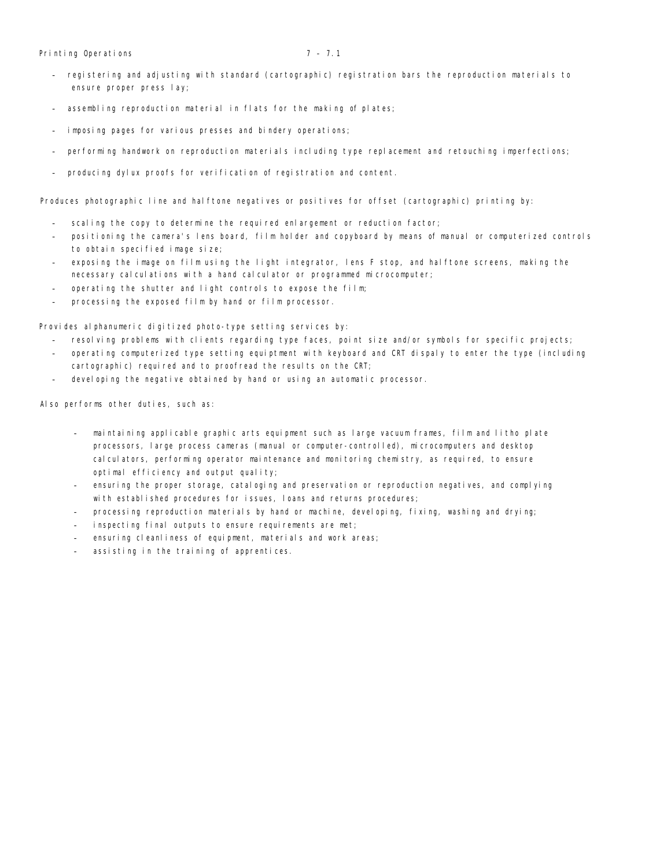# Printing Operations 7 – 7.1

- registering and adjusting with standard (cartographic) registration bars the reproduction materials to ensure proper press lay;
- assembling reproduction material in flats for the making of plates;
- imposing pages for various presses and bindery operations;
- performing handwork on reproduction materials including type replacement and retouching imperfections;
- producing dylux proofs for verification of registration and content.

Produces photographic line and halftone negatives or positives for offset (cartographic) printing by:

- scaling the copy to determine the required enlargement or reduction factor;
- positioning the camera's lens board, film holder and copyboard by means of manual or computerized controls to obtain specified image size;
- exposing the image on film using the light integrator, lens F stop, and halftone screens, making the necessary calculations with a hand calculator or programmed microcomputer;
- operating the shutter and light controls to expose the film;
- processing the exposed film by hand or film processor.

Provides alphanumeric digitized photo-type setting services by:

- resolving problems with clients regarding type faces, point size and/or symbols for specific projects;
- operating computerized type setting equiptment with keyboard and CRT dispaly to enter the type (including cartographic) required and to proofread the results on the CRT;
- devel oping the negative obtained by hand or using an automatic processor.

Also performs other duties, such as:

- maintaining applicable graphic arts equipment such as large vacuum frames, film and litho plate processors, large process cameras (manual or computer-controlled), microcomputers and desktop calculators, performing operator maintenance and monitoring chemistry, as required, to ensure optimal efficiency and output quality;
- ensuring the proper storage, cataloging and preservation or reproduction negatives, and complying with established procedures for issues, loans and returns procedures;
- processing reproduction materials by hand or machine, developing, fixing, washing and drying;
- inspecting final outputs to ensure requirements are met;
- ensuring cleanliness of equipment, materials and work areas;
- assisting in the training of apprentices.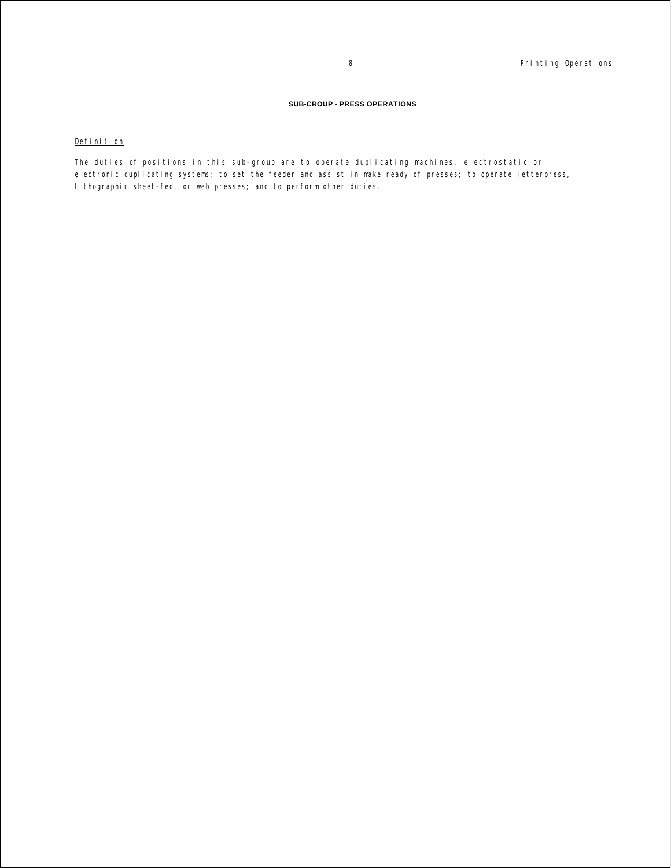## **SUB-CROUP - PRESS OPERATIONS**

## Definition

The duties of positions in this sub-group are to operate duplicating machines, electrostatic or electronic duplicating systems; to set the feeder and assist in make ready of presses; to operate letterpress, lithographic sheet-fed, or web presses; and to perform other duties.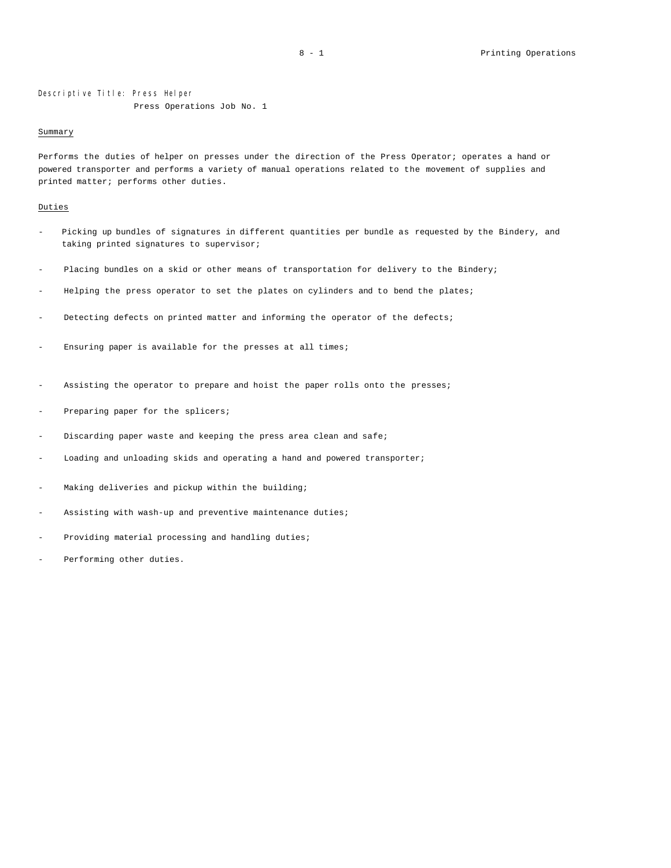Descriptive Title: Press Helper Press Operations Job No. 1

#### Summary

Performs the duties of helper on presses under the direction of the Press Operator; operates a hand or powered transporter and performs a variety of manual operations related to the movement of supplies and printed matter; performs other duties.

- Picking up bundles of signatures in different quantities per bundle as requested by the Bindery, and taking printed signatures to supervisor;
- Placing bundles on a skid or other means of transportation for delivery to the Bindery;
- Helping the press operator to set the plates on cylinders and to bend the plates;
- Detecting defects on printed matter and informing the operator of the defects;
- Ensuring paper is available for the presses at all times;
- Assisting the operator to prepare and hoist the paper rolls onto the presses;
- Preparing paper for the splicers;
- Discarding paper waste and keeping the press area clean and safe;
- Loading and unloading skids and operating a hand and powered transporter;
- Making deliveries and pickup within the building;
- Assisting with wash-up and preventive maintenance duties;
- Providing material processing and handling duties;
- Performing other duties.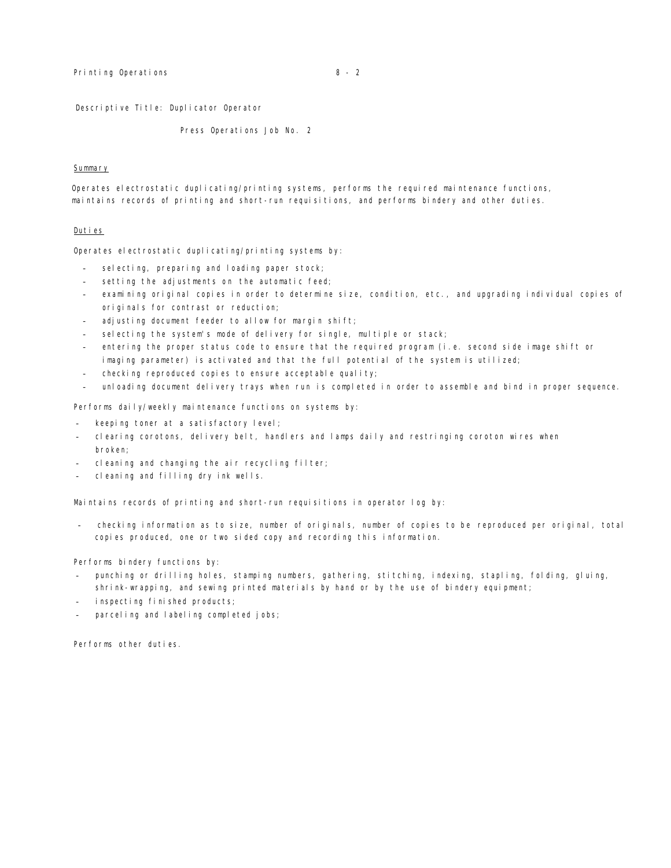Press Operations Job No. 2

#### Summary

Operates electrostatic duplicating/printing systems, performs the required maintenance functions, maintains records of printing and short-run requisitions, and performs bindery and other duties.

#### Duties

Operates electrostatic duplicating/printing systems by:

- selecting, preparing and loading paper stock;
- setting the adjustments on the automatic feed;
- examining original copies in order to determine size, condition, etc., and upgrading individual copies of originals for contrast or reduction;
- adjusting document feeder to allow for margin shift;
- selecting the system's mode of delivery for single, multiple or stack;
- entering the proper status code to ensure that the required program (i.e. second side image shift or imaging parameter) is activated and that the full potential of the system is utilized;
- checking reproduced copies to ensure acceptable quality;
- unloading document delivery trays when run is completed in order to assemble and bind in proper sequence.

Performs daily/weekly maintenance functions on systems by:

- keeping toner at a satisfactory level;
- clearing corotons, delivery belt, handlers and lamps daily and restringing coroton wires when broken;
- cleaning and changing the air recycling filter;
- cleaning and filling dry ink wells.

Maintains records of printing and short-run requisitions in operator log by:

- checking information as to size, number of originals, number of copies to be reproduced per original, total copies produced, one or two sided copy and recording this information.

Performs bindery functions by:

- punching or drilling holes, stamping numbers, gathering, stitching, indexing, stapling, folding, gluing, shrink-wrapping, and sewing printed materials by hand or by the use of bindery equipment;
- inspecting finished products;
- parceling and labeling completed jobs;

Performs other duties.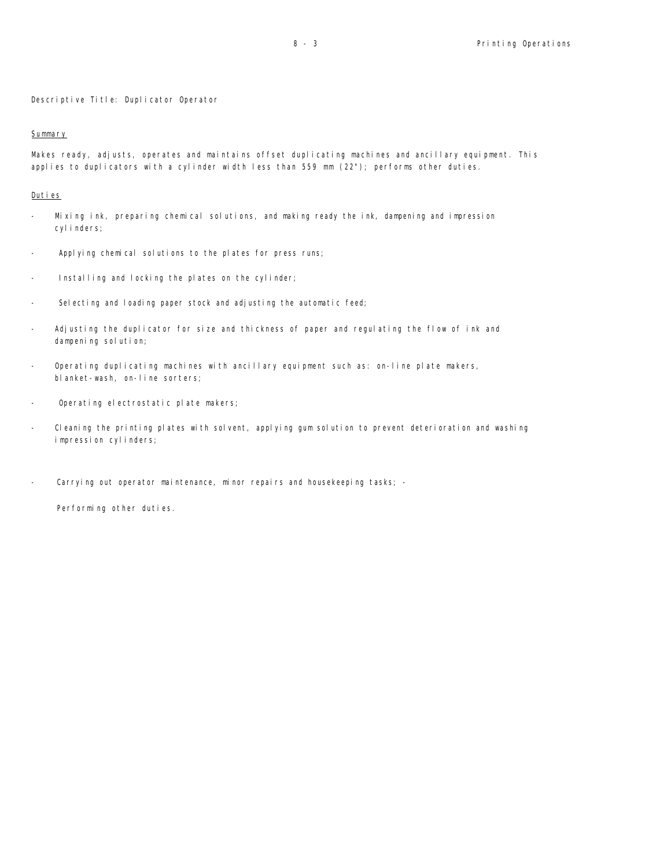#### Summary

Makes ready, adjusts, operates and maintains offset duplicating machines and ancillary equipment. This applies to duplicators with a cylinder width less than 559 mm (22"); performs other duties.

## Duties

- Mixing ink, preparing chemical solutions, and making ready the ink, dampening and impression cyl i nders;
- Applying chemical solutions to the plates for press runs;
- Installing and locking the plates on the cylinder;
- Selecting and loading paper stock and adjusting the automatic feed;
- Adjusting the duplicator for size and thickness of paper and regulating the flow of ink and dampening solution;
- Operating duplicating machines with ancillary equipment such as: on-line plate makers, blanket-wash, on-line sorters;
- Operating electrostatic plate makers;
- Cleaning the printing plates with solvent, applying gum solution to prevent deterioration and washing impression cylinders;
- Carrying out operator maintenance, minor repairs and housekeeping tasks; -

Performing other duties.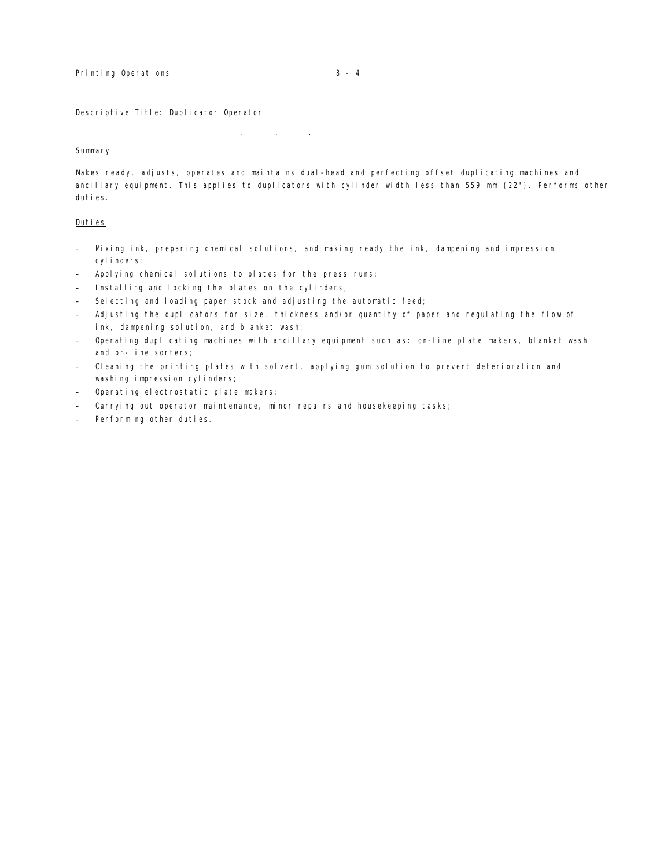# Summary

Makes ready, adjusts, operates and maintains dual-head and perfecting offset duplicating machines and ancillary equipment. This applies to duplicators with cylinder width less than 559 mm (22"). Performs other duties.

## Duties

- Mixing ink, preparing chemical solutions, and making ready the ink, dampening and impression cyl i nders;
- Applying chemical solutions to plates for the press runs;
- Installing and locking the plates on the cylinders;
- Selecting and loading paper stock and adjusting the automatic feed;

 $\alpha$  is a  $\alpha$  -dimensional function of  $\alpha$ 

- Adjusting the duplicators for size, thickness and/or quantity of paper and regulating the flow of ink, dampening solution, and blanket wash;
- Operating duplicating machines with ancillary equipment such as: on-line plate makers, blanket wash and on-line sorters;
- Cleaning the printing plates with solvent, applying gum solution to prevent deterioration and washing impression cylinders;
- Operating electrostatic plate makers;
- Carrying out operator maintenance, minor repairs and housekeeping tasks;
- Performing other duties.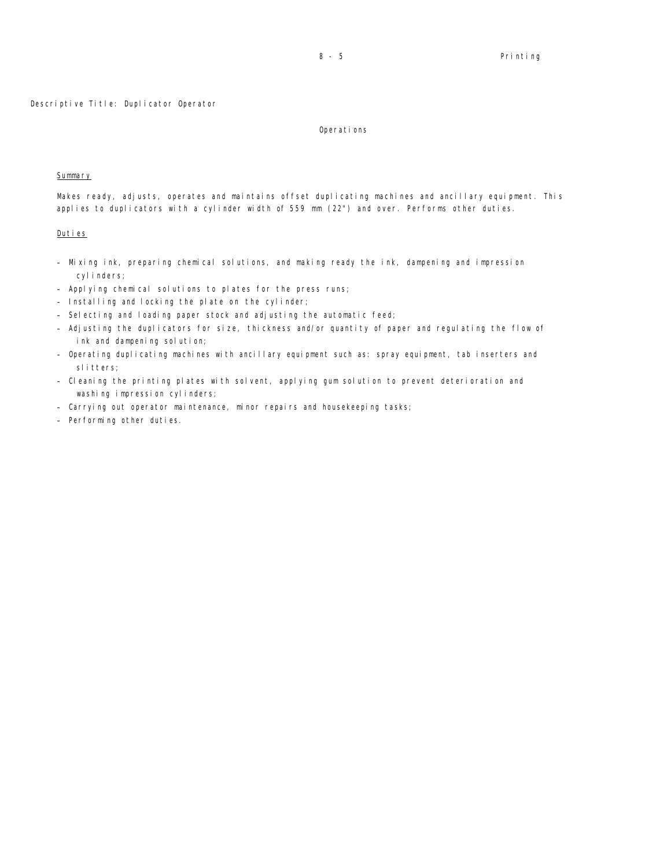#### Operations

## **Summary**

Makes ready, adjusts, operates and maintains offset duplicating machines and ancillary equipment. This applies to duplicators with a cylinder width of 559 mm (22") and over. Performs other duties.

- Mixing ink, preparing chemical solutions, and making ready the ink, dampening and impression cylinders;
- Applying chemical solutions to plates for the press runs;
- Installing and locking the plate on the cylinder;
- Selecting and loading paper stock and adjusting the automatic feed;
- Adjusting the duplicators for size, thickness and/or quantity of paper and regulating the flow of ink and dampening solution;
- Operating duplicating machines with ancillary equipment such as: spray equipment, tab inserters and slitters;
- Cleaning the printing plates with solvent, applying gum solution to prevent deterioration and washing impression cylinders;
- Carrying out operator maintenance, minor repairs and housekeeping tasks;
- Performing other duties.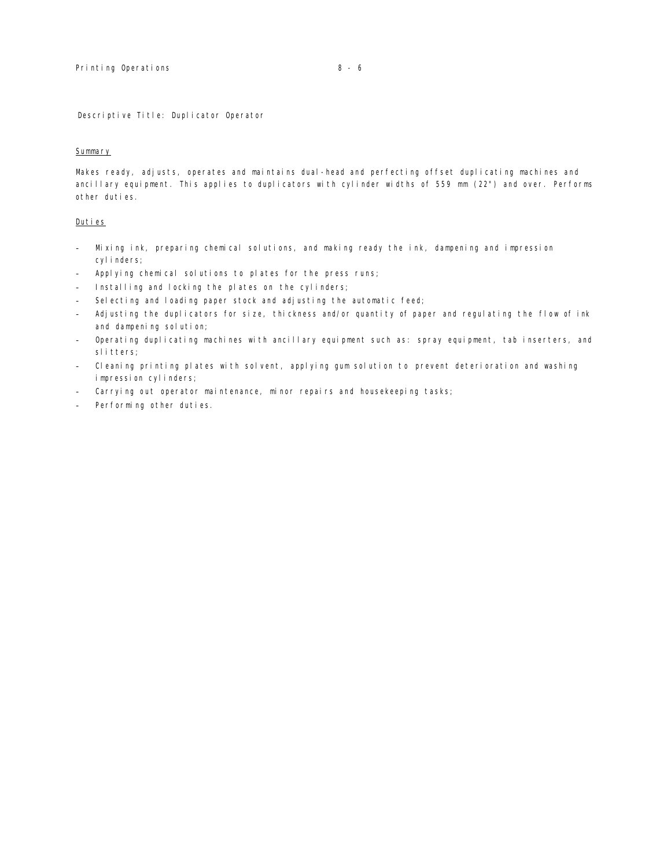## **Summary**

Makes ready, adjusts, operates and maintains dual-head and perfecting offset duplicating machines and ancillary equipment. This applies to duplicators with cylinder widths of 559 mm (22") and over. Performs other duties.

- Mixing ink, preparing chemical solutions, and making ready the ink, dampening and impression cyl i nders;
- Applying chemical solutions to plates for the press runs;
- Installing and locking the plates on the cylinders;
- Selecting and loading paper stock and adjusting the automatic feed;
- Adjusting the duplicators for size, thickness and/or quantity of paper and regulating the flow of ink and dampening solution;
- Operating duplicating machines with ancillary equipment such as: spray equipment, tab inserters, and slitters;
- Cleaning printing plates with solvent, applying gum solution to prevent deterioration and washing impression cylinders;
- Carrying out operator maintenance, minor repairs and housekeeping tasks;
- Performing other duties.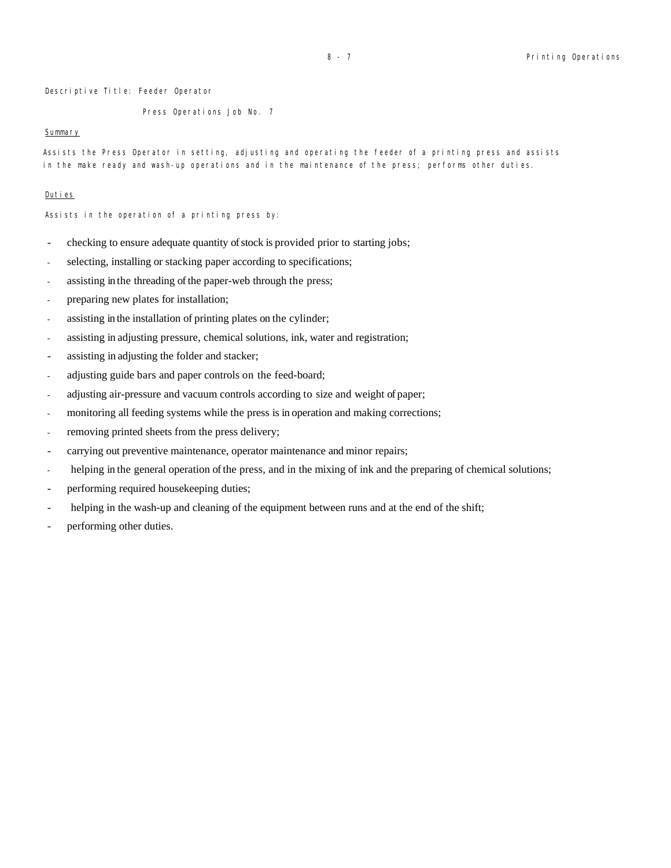Descriptive Title: Feeder Operator

Press Operations Job No. 7

#### **Summary**

Assists the Press Operator in setting, adjusting and operating the feeder of a printing press and assists in the make ready and wash-up operations and in the maintenance of the press; performs other duties.

# Duties

Assists in the operation of a printing press by:

- checking to ensure adequate quantity of stock is provided prior to starting jobs;
- selecting, installing or stacking paper according to specifications;
- assisting in the threading of the paper-web through the press;
- preparing new plates for installation;
- assisting in the installation of printing plates on the cylinder;
- assisting in adjusting pressure, chemical solutions, ink, water and registration;
- assisting in adjusting the folder and stacker;
- adjusting guide bars and paper controls on the feed-board;
- adjusting air-pressure and vacuum controls according to size and weight of paper;
- monitoring all feeding systems while the press is in operation and making corrections;
- removing printed sheets from the press delivery;
- carrying out preventive maintenance, operator maintenance and minor repairs;
- helping in the general operation of the press, and in the mixing of ink and the preparing of chemical solutions;
- performing required housekeeping duties;
- helping in the wash-up and cleaning of the equipment between runs and at the end of the shift;
- performing other duties.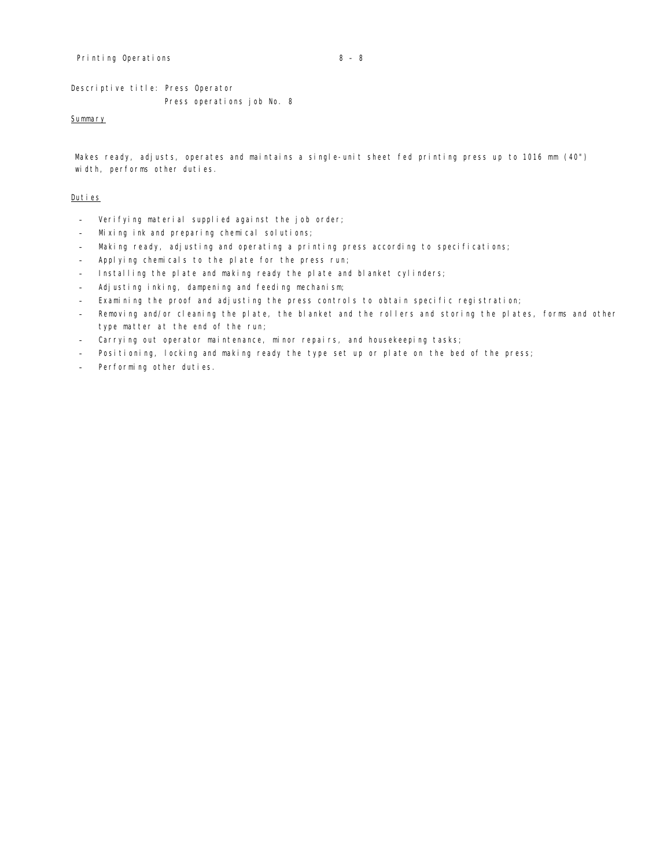#### Printing Operations 8 – 8

Descriptive title: Press Operator

Press operations job No. 8

## Summary

Makes ready, adjusts, operates and maintains a single-unit sheet fed printing press up to 1016 mm (40") width, performs other duties.

- Verifying material supplied against the job order;
- Mixing ink and preparing chemical solutions;
- Making ready, adjusting and operating a printing press according to specifications;
- Applying chemicals to the plate for the press run;
- Installing the plate and making ready the plate and blanket cylinders;
- Adjusting inking, dampening and feeding mechanism;
- Examining the proof and adjusting the press controls to obtain specific registration;
- Removing and/or cleaning the plate, the blanket and the rollers and storing the plates, forms and other type matter at the end of the run;
- Carrying out operator maintenance, minor repairs, and housekeeping tasks;
- Positioning, locking and making ready the type set up or plate on the bed of the press;
- Performing other duties.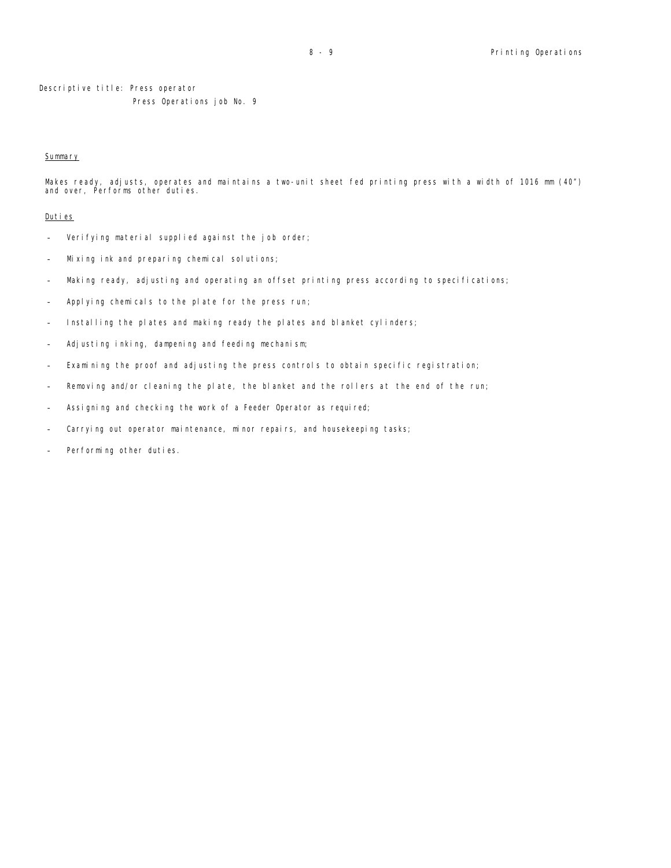Descriptive title: Press operator

Press Operations job No. 9

# **Summary**

Makes ready, adjusts, operates and maintains a two-unit sheet fed printing press with a width of 1016 mm (40") and over, Performs other duties.

- Verifying material supplied against the job order;
- Mixing ink and preparing chemical solutions;
- Making ready, adjusting and operating an offset printing press according to specifications;
- Applying chemicals to the plate for the press run;
- Installing the plates and making ready the plates and blanket cylinders;
- Adjusting inking, dampening and feeding mechanism;
- Examining the proof and adjusting the press controls to obtain specific registration;
- Removing and/or cleaning the plate, the blanket and the rollers at the end of the run;
- Assigning and checking the work of a Feeder Operator as required;
- Carrying out operator maintenance, minor repairs, and housekeeping tasks;
- Performing other duties.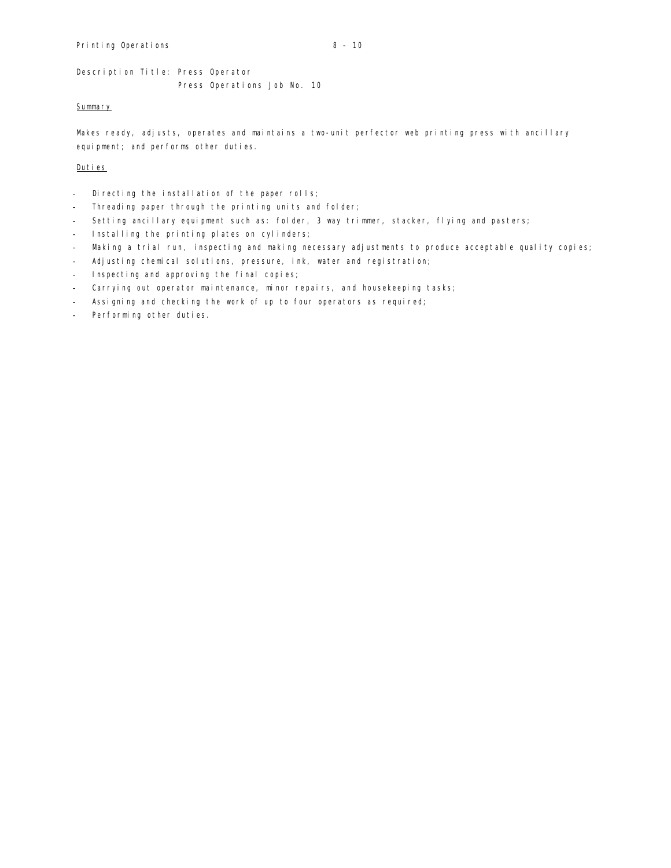Description Title: Press Operator Press Operations Job No. 10

#### **Summary**

Makes ready, adjusts, operates and maintains a two-unit perfector web printing press with ancillary equipment; and performs other duties.

- Directing the installation of the paper rolls;
- Threading paper through the printing units and folder;
- Setting ancillary equipment such as: folder, 3 way trimmer, stacker, flying and pasters;
- Installing the printing plates on cylinders;
- Making a trial run, inspecting and making necessary adjustments to produce acceptable quality copies;
- Adjusting chemical solutions, pressure, ink, water and registration;
- Inspecting and approving the final copies;
- Carrying out operator maintenance, minor repairs, and housekeeping tasks;
- Assigning and checking the work of up to four operators as required;
- Performing other duties.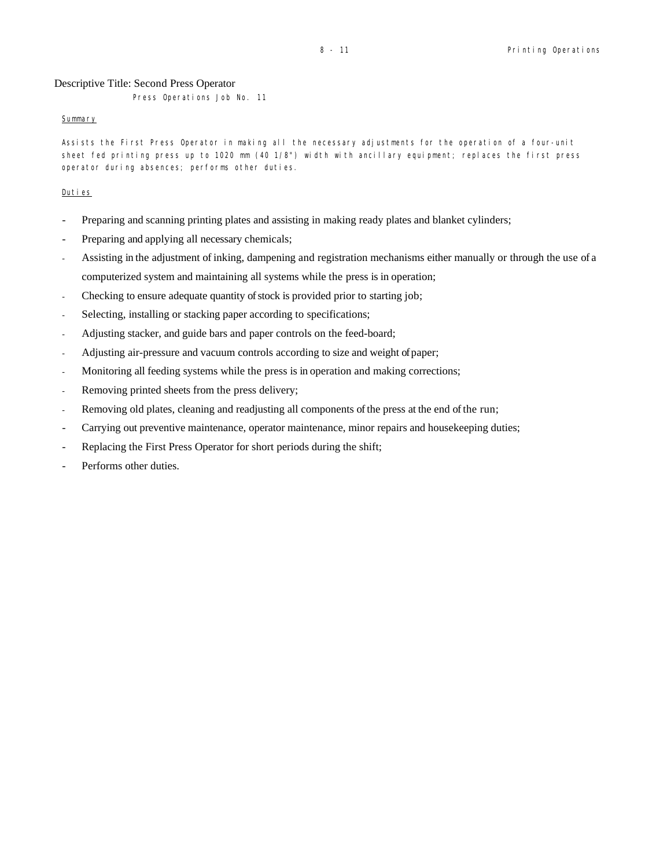Descriptive Title: Second Press Operator Press Operations Job No. 11

#### Summary

Assists the First Press Operator in making all the necessary adjustments for the operation of a four-unit sheet fed printing press up to 1020 mm (40 1/8") width with ancillary equipment; replaces the first press operator during absences; performs other duties.

- Preparing and scanning printing plates and assisting in making ready plates and blanket cylinders;
- Preparing and applying all necessary chemicals;
- Assisting in the adjustment of inking, dampening and registration mechanisms either manually or through the use of a computerized system and maintaining all systems while the press is in operation;
- Checking to ensure adequate quantity of stock is provided prior to starting job;
- Selecting, installing or stacking paper according to specifications;
- Adjusting stacker, and guide bars and paper controls on the feed-board;
- Adjusting air-pressure and vacuum controls according to size and weight of paper;
- Monitoring all feeding systems while the press is in operation and making corrections;
- Removing printed sheets from the press delivery;
- Removing old plates, cleaning and readjusting all components of the press at the end of the run;
- Carrying out preventive maintenance, operator maintenance, minor repairs and housekeeping duties;
- Replacing the First Press Operator for short periods during the shift;
- Performs other duties.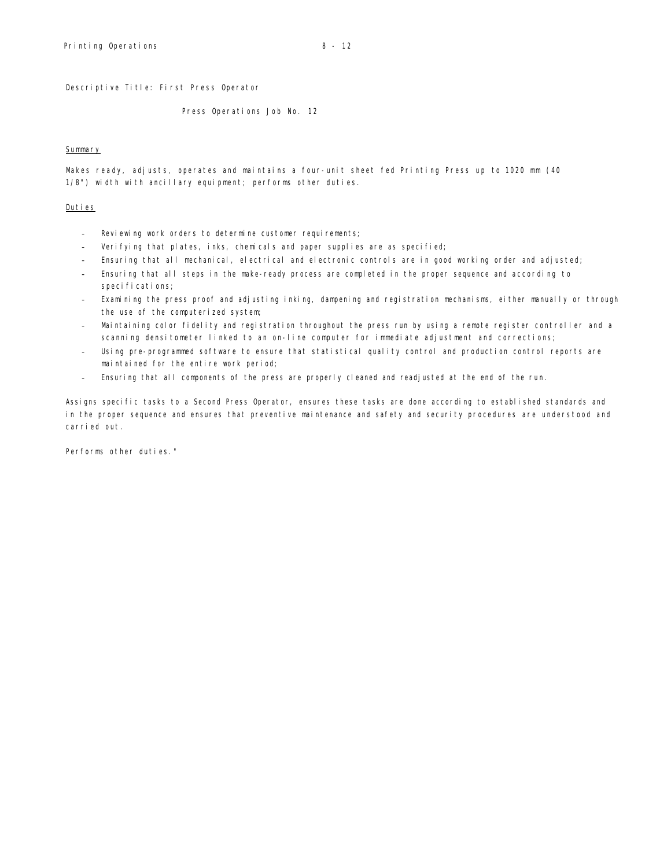Descriptive Title: First Press Operator

Press Operations Job No. 12

#### **Summary**

Makes ready, adjusts, operates and maintains a four-unit sheet fed Printing Press up to 1020 mm (40 1/8") width with ancillary equipment; performs other duties.

#### Duties

- Reviewing work orders to determine customer requirements;
- Verifying that plates, inks, chemicals and paper supplies are as specified;
- Ensuring that all mechanical, electrical and electronic controls are in good working order and adjusted;
- Ensuring that all steps in the make-ready process are completed in the proper sequence and according to specifications;
- Examining the press proof and adjusting inking, dampening and registration mechanisms, either manually or through the use of the computerized system;
- Maintaining color fidelity and registration throughout the press run by using a remote register controller and a scanning densitometer linked to an on-line computer for immediate adjustment and corrections;
- Using pre-programmed software to ensure that statistical quality control and production control reports are maintained for the entire work period;
- Ensuring that all components of the press are properly cleaned and readjusted at the end of the run.

Assigns specific tasks to a Second Press Operator, ensures these tasks are done according to established standards and in the proper sequence and ensures that preventive maintenance and safety and security procedures are understood and carried out.

Performs other duties."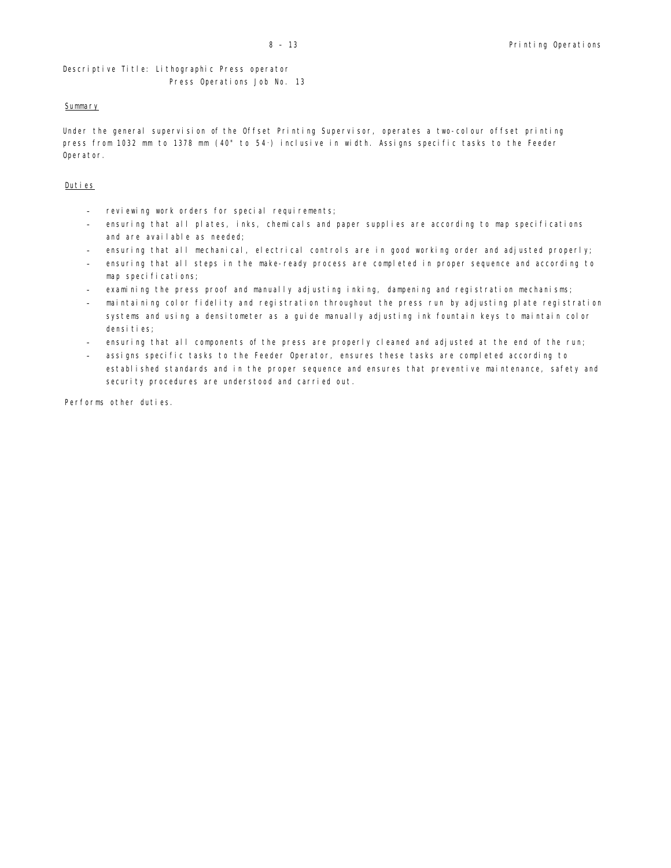## Descriptive Title: Lithographic Press operator Press Operations Job No. 13

## **Summary**

Under the general supervision of the Offset Printing Supervisor, operates a two-colour offset printing press from 1032 mm to 1378 mm (40" to 54-) inclusive in width. Assigns specific tasks to the Feeder Operator.

## Duties

- reviewing work orders for special requirements;
- ensuring that all plates, inks, chemicals and paper supplies are according to map specifications and are available as needed;
- ensuring that all mechanical, electrical controls are in good working order and adjusted properly;
- ensuring that all steps in the make-ready process are completed in proper sequence and according to map specifications;
- examining the press proof and manually adjusting inking, dampening and registration mechanisms;
- maintaining color fidelity and registration throughout the press run by adjusting plate registration systems and using a densitometer as a guide manually adjusting ink fountain keys to maintain color densi ties;
- ensuring that all components of the press are properly cleaned and adjusted at the end of the run;
- assigns specific tasks to the Feeder Operator, ensures these tasks are completed according to established standards and in the proper sequence and ensures that preventive maintenance, safety and security procedures are understood and carried out.

Performs other duties.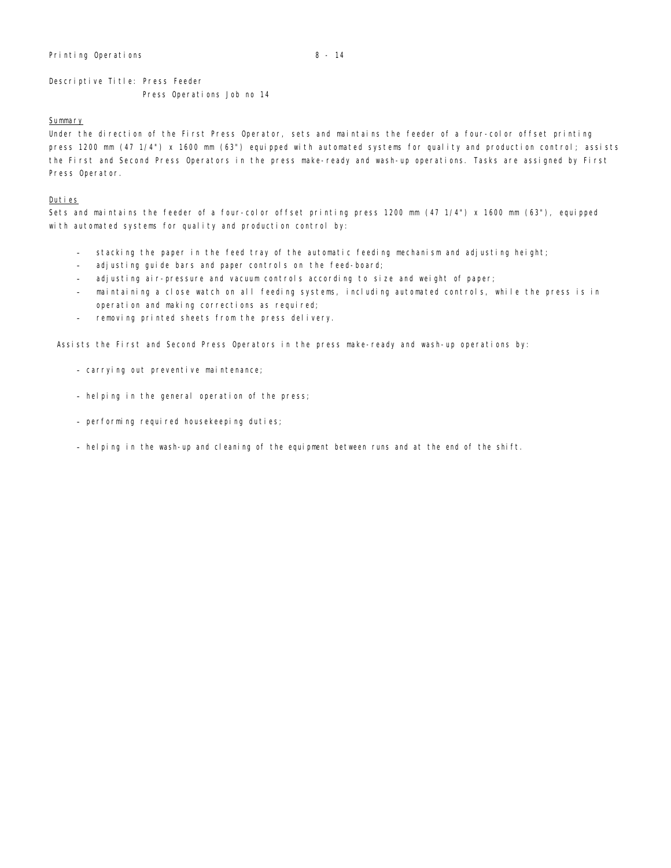Descriptive Title: Press Feeder Press Operations Job no 14

## **Summary**

Under the direction of the First Press Operator, sets and maintains the feeder of a four-color offset printing press 1200 mm (47 1/4") x 1600 mm (63") equipped with automated systems for quality and production control; assists the First and Second Press Operators in the press make-ready and wash-up operations. Tasks are assigned by First Press Operator.

## Duties

Sets and maintains the feeder of a four-color offset printing press 1200 mm (47 1/4") x 1600 mm (63"), equipped with automated systems for quality and production control by:

- stacking the paper in the feed tray of the automatic feeding mechanism and adjusting height;
- adjusting guide bars and paper controls on the feed-board;
- adjusting air-pressure and vacuum controls according to size and weight of paper;
- maintaining a close watch on all feeding systems, including automated controls, while the press is in operation and making corrections as required;
- removing printed sheets from the press delivery.

Assists the First and Second Press Operators in the press make-ready and wash-up operations by:

- carrying out preventive maintenance;
- helping in the general operation of the press;
- performing required housekeeping duties;
- helping in the wash-up and cleaning of the equipment between runs and at the end of the shift.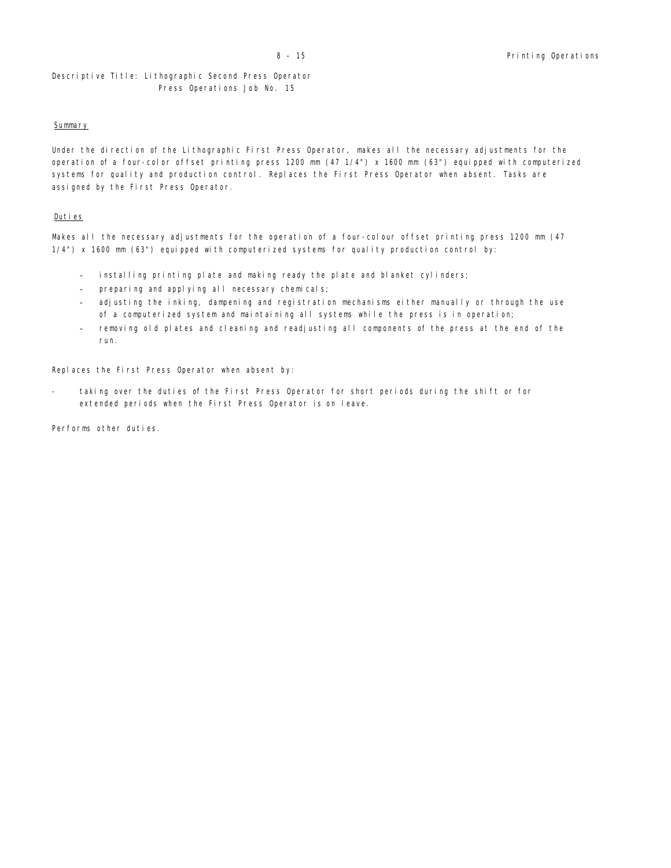# **Summary**

Under the direction of the Lithographic First Press Operator, makes all the necessary adjustments for the operation of a four-color offset printing press 1200 mm (47 1/4") x 1600 mm (63") equipped with computerized systems for quality and production control. Replaces the First Press Operator when absent. Tasks are assigned by the First Press Operator.

## Duties

Makes all the necessary adjustments for the operation of a four-colour offset printing press 1200 mm (47 1/4") x 1600 mm (63") equipped with computerized systems for quality production control by:

- installing printing plate and making ready the plate and blanket cylinders;
- preparing and applying all necessary chemicals;
- adjusting the inking, dampening and registration mechanisms either manually or through the use of a computerized system and maintaining all systems while the press is in operation;
- removing old plates and cleaning and readjusting all components of the press at the end of the run.

Replaces the First Press Operator when absent by:

taking over the duties of the First Press Operator for short periods during the shift or for extended periods when the First Press Operator is on leave.

Performs other duties.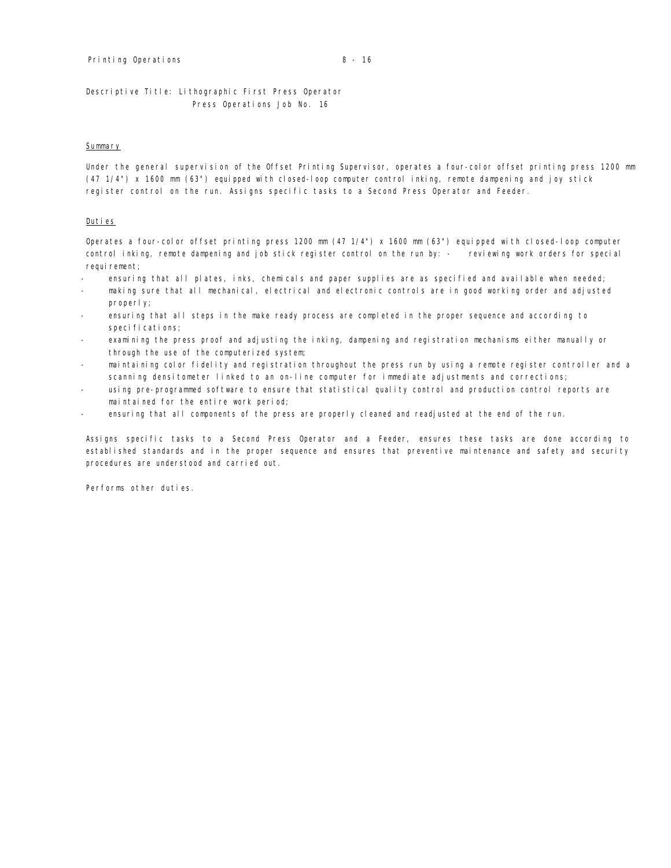Descriptive Title: Lithographic First Press Operator Press Operations Job No. 16

# **Summary**

Under the general supervision of the Offset Printing Supervisor, operates a four-color offset printing press 1200 mm (47 1/4") x 1600 mm (63") equipped with closed-loop computer control inking, remote dampening and joy stick register control on the run. Assigns specific tasks to a Second Press Operator and Feeder.

#### Duties

Operates a four-color offset printing press 1200 mm (47 1/4") x 1600 mm (63") equipped with closed-loop computer control inking, remote dampening and job stick register control on the run by: - reviewing work orders for special requirement;

- ensuring that all plates, inks, chemicals and paper supplies are as specified and available when needed;
- making sure that all mechanical, electrical and electronic controls are in good working order and adjusted properly;
- ensuring that all steps in the make ready process are completed in the proper sequence and according to specifications;
- examining the press proof and adjusting the inking, dampening and registration mechanisms either manually or through the use of the computerized system;
- maintaining color fidelity and registration throughout the press run by using a remote register controller and a scanning densitometer linked to an on-line computer for immediate adjustments and corrections;
- using pre-programmed software to ensure that statistical quality control and production control reports are maintained for the entire work period;
- ensuring that all components of the press are properly cleaned and readjusted at the end of the run.

Assigns specific tasks to a Second Press Operator and a Feeder, ensures these tasks are done according to established standards and in the proper sequence and ensures that preventive maintenance and safety and security procedures are understood and carried out.

Performs other duties.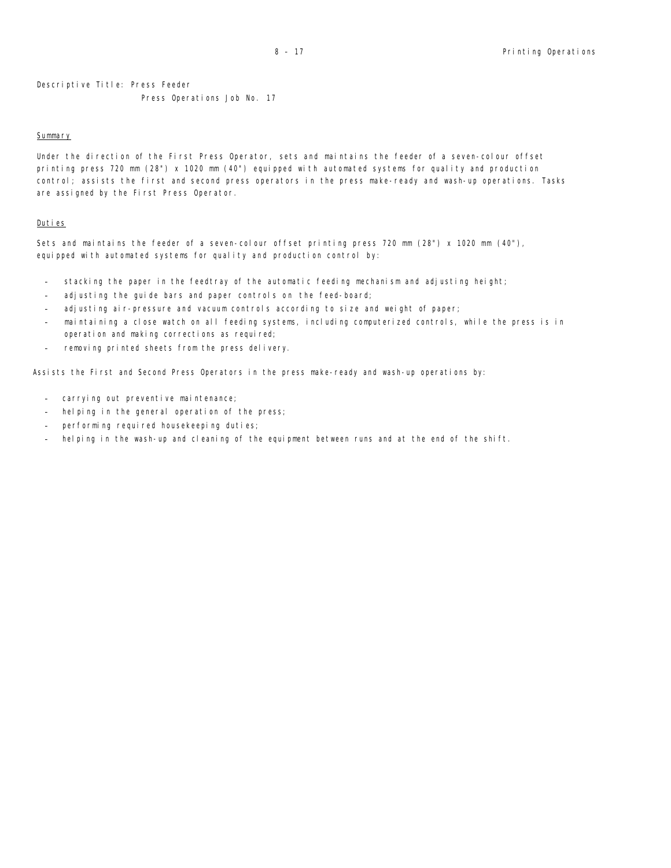Descriptive Title: Press Feeder Press Operations Job No. 17

#### **Summary**

Under the direction of the First Press Operator, sets and maintains the feeder of a seven-colour offset printing press 720 mm (28") x 1020 mm (40") equipped with automated systems for quality and production control; assists the first and second press operators in the press make-ready and wash-up operations. Tasks are assigned by the First Press Operator.

## Duties

Sets and maintains the feeder of a seven-colour offset printing press 720 mm (28") x 1020 mm (40"), equipped with automated systems for quality and production control by:

- stacking the paper in the feedtray of the automatic feeding mechanism and adjusting height;
- adjusting the guide bars and paper controls on the feed-board;
- adjusting air-pressure and vacuum controls according to size and weight of paper;
- maintaining a close watch on all feeding systems, including computerized controls, while the press is in operation and making corrections as required;
- removing printed sheets from the press delivery.

Assists the First and Second Press Operators in the press make-ready and wash-up operations by:

- carrying out preventive maintenance;
- helping in the general operation of the press;
- performing required housekeeping duties;
- helping in the wash-up and cleaning of the equipment between runs and at the end of the shift.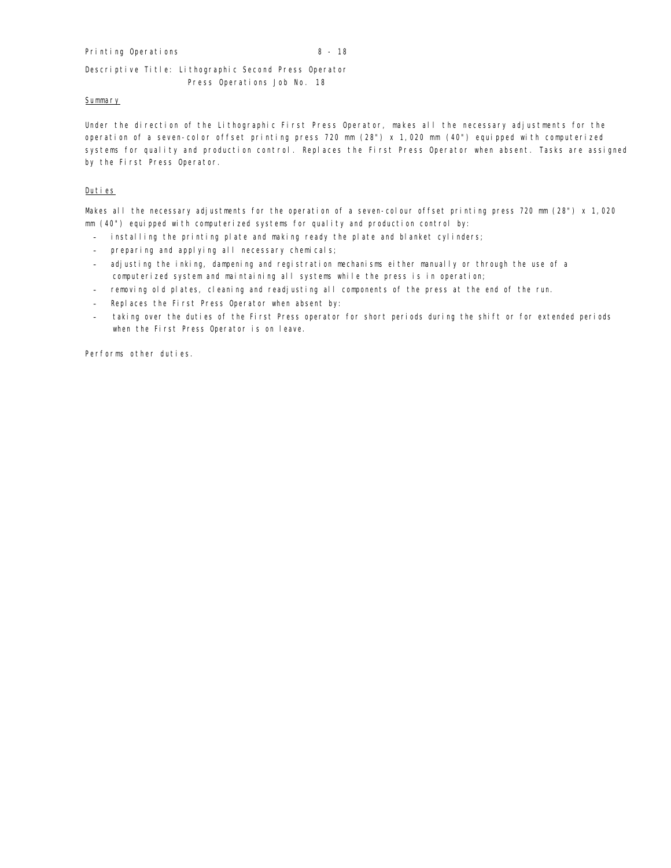# Descriptive Title: Lithographic Second Press Operator Press Operations Job No. 18

#### **Summary**

Under the direction of the Lithographic First Press Operator, makes all the necessary adjustments for the operation of a seven-color offset printing press 720 mm (28") x 1,020 mm (40") equipped with computerized systems for quality and production control. Replaces the First Press Operator when absent. Tasks are assigned by the First Press Operator.

## Duties

Makes all the necessary adjustments for the operation of a seven-colour offset printing press 720 mm (28") x 1,020 mm (40") equipped with computerized systems for quality and production control by:

- installing the printing plate and making ready the plate and blanket cylinders;
- preparing and applying all necessary chemicals;
- adjusting the inking, dampening and registration mechanisms either manually or through the use of a computerized system and maintaining all systems while the press is in operation;
- removing old plates, cleaning and readjusting all components of the press at the end of the run.
- Replaces the First Press Operator when absent by:
- taking over the duties of the First Press operator for short periods during the shift or for extended periods when the First Press Operator is on leave.

Performs other duties.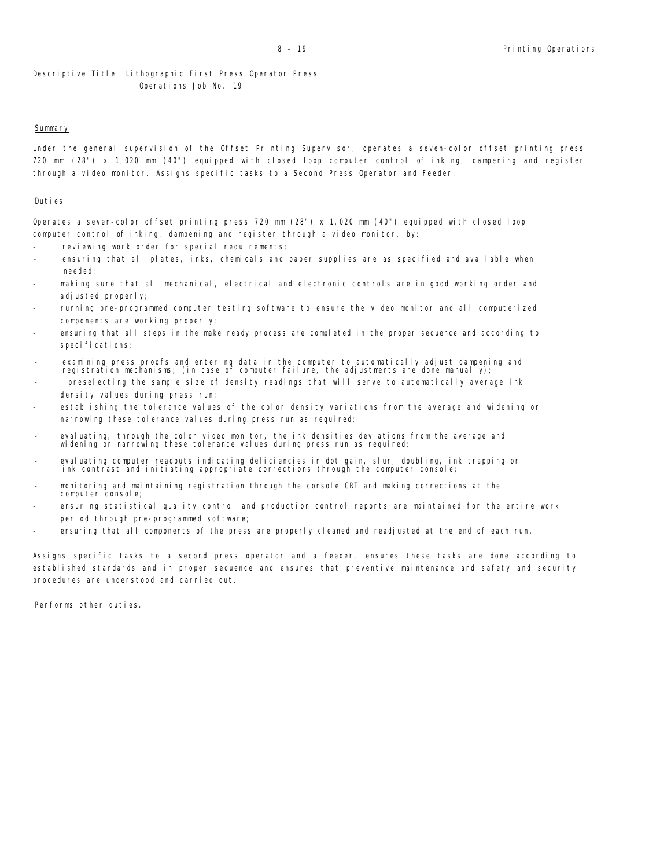# Descriptive Title: Lithographic First Press Operator Press Operations Job No. 19

#### Summary

Under the general supervision of the Offset Printing Supervisor, operates a seven-color offset printing press 720 mm (28") x 1,020 mm (40") equipped with closed loop computer control of inking, dampening and register through a video monitor. Assigns specific tasks to a Second Press Operator and Feeder.

#### Duties

Operates a seven-color offset printing press 720 mm (28") x 1,020 mm (40") equipped with closed loop computer control of inking, dampening and register through a video monitor, by:

- reviewing work order for special requirements;
- ensuring that all plates, inks, chemicals and paper supplies are as specified and available when needed;
- making sure that all mechanical, electrical and electronic controls are in good working order and adjusted properly;
- running pre-programmed computer testing software to ensure the video monitor and all computerized components are working properly;
- ensuring that all steps in the make ready process are completed in the proper sequence and according to specifications;
- examining press proofs and entering data in the computer to automatically adjust dampening and registration mechanisms; (in case of computer failure, the adjustments are done manually);
- preselecting the sample size of density readings that will serve to automatically average ink density values during press run;
- establishing the tolerance values of the color density variations from the average and widening or narrowing these tolerance values during press run as required;
- evaluating, through the color video monitor, the ink densities deviations from the average and widening or narrowing these tolerance values during press run as required;
- evaluating computer readouts indicating deficiencies in dot gain, slur, doubling, ink trapping or ink contrast and initiating appropriate corrections through the computer console;
- monitoring and maintaining registration through the console CRT and making corrections at the computer console;
- ensuring statistical quality control and production control reports are maintained for the entire work period through pre-programmed software;
- ensuring that all components of the press are properly cleaned and readjusted at the end of each run.

Assigns specific tasks to a second press operator and a feeder, ensures these tasks are done according to established standards and in proper sequence and ensures that preventive maintenance and safety and security procedures are understood and carried out.

Performs other duties.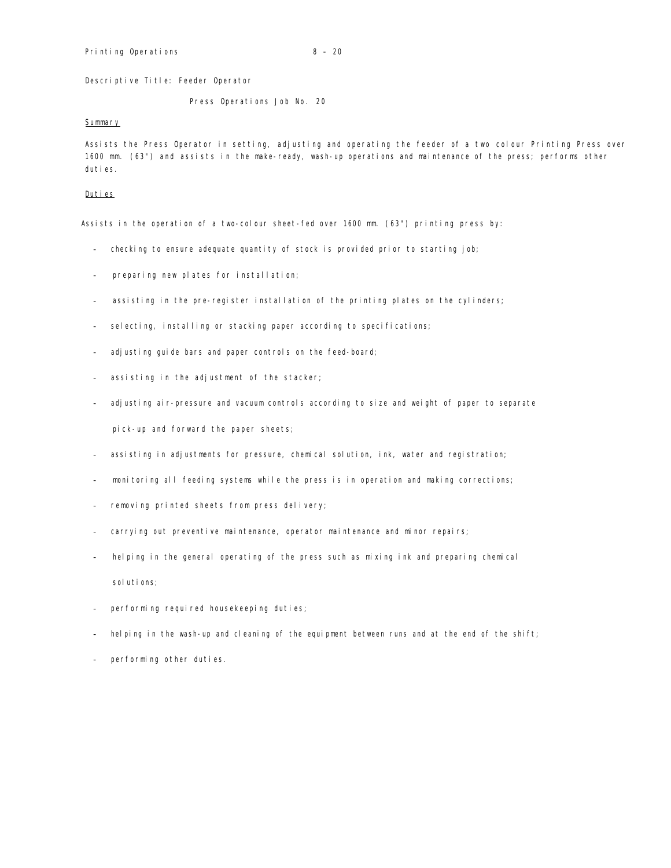Descriptive Title: Feeder Operator

Press Operations Job No. 20

## Summary

Assists the Press Operator in setting, adjusting and operating the feeder of a two colour Printing Press over 1600 mm. (63") and assists in the make-ready, wash-up operations and maintenance of the press; performs other duties.

#### Duties

Assists in the operation of a two-colour sheet-fed over 1600 mm. (63") printing press by:

- checking to ensure adequate quantity of stock is provided prior to starting job;
- preparing new plates for installation;
- assisting in the pre-register installation of the printing plates on the cylinders;
- selecting, installing or stacking paper according to specifications;
- adjusting guide bars and paper controls on the feed-board;
- assisting in the adjustment of the stacker;
- adjusting air-pressure and vacuum controls according to size and weight of paper to separate pick-up and forward the paper sheets;
- assisting in adjustments for pressure, chemical solution, ink, water and registration;
- monitoring all feeding systems while the press is in operation and making corrections;
- removing printed sheets from press delivery;
- carrying out preventive maintenance, operator maintenance and minor repairs;
- helping in the general operating of the press such as mixing ink and preparing chemical solutions;
- performing required housekeeping duties;
- helping in the wash-up and cleaning of the equipment between runs and at the end of the shift;
- performing other duties.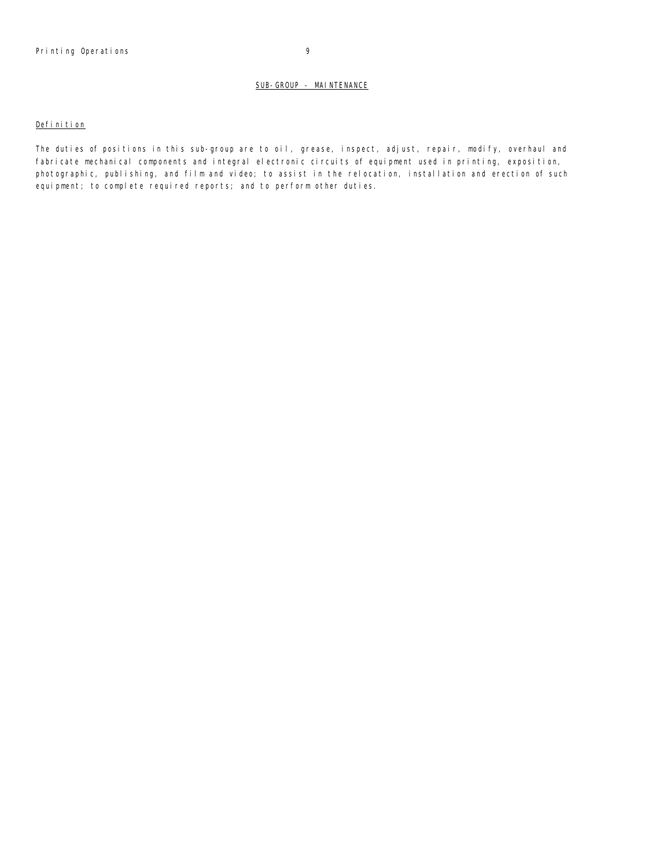## Definition

The duties of positions in this sub-group are to oil, grease, inspect, adjust, repair, modify, overhaul and fabricate mechanical components and integral electronic circuits of equipment used in printing, exposition, photographic, publishing, and film and video; to assist in the relocation, installation and erection of such equipment; to complete required reports; and to perform other duties.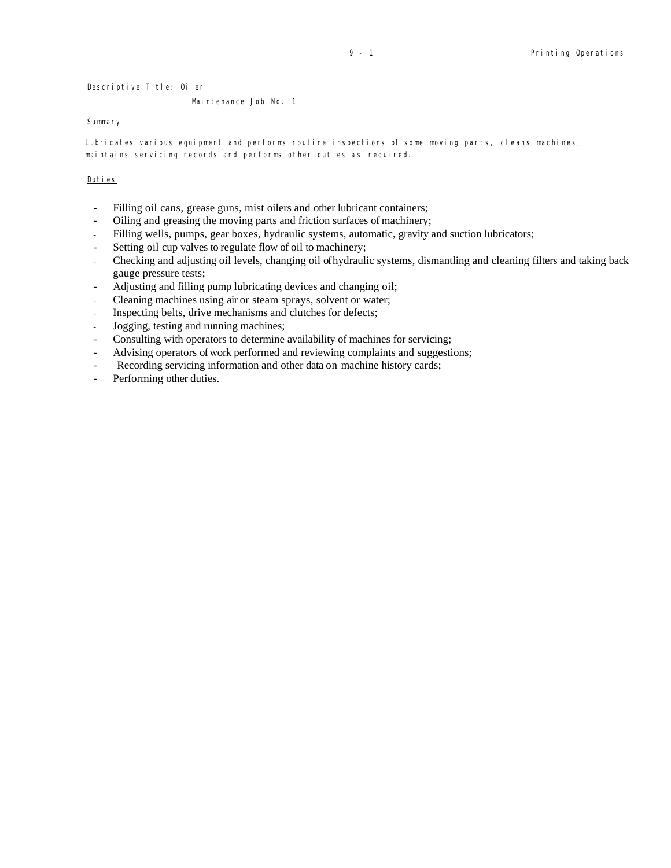Descriptive Title: Oiler

Maintenance Job No. 1

#### **Summary**

Lubricates various equipment and performs routine inspections of some moving parts, cleans machines; maintains servicing records and performs other duties as required.

- Filling oil cans, grease guns, mist oilers and other lubricant containers;
- Oiling and greasing the moving parts and friction surfaces of machinery;
- Filling wells, pumps, gear boxes, hydraulic systems, automatic, gravity and suction lubricators;
- Setting oil cup valves to regulate flow of oil to machinery;
- Checking and adjusting oil levels, changing oil of hydraulic systems, dismantling and cleaning filters and taking back gauge pressure tests;
- Adjusting and filling pump lubricating devices and changing oil;
- Cleaning machines using air or steam sprays, solvent or water;
- Inspecting belts, drive mechanisms and clutches for defects;
- Jogging, testing and running machines;
- Consulting with operators to determine availability of machines for servicing;
- Advising operators of work performed and reviewing complaints and suggestions;
- Recording servicing information and other data on machine history cards;
- Performing other duties.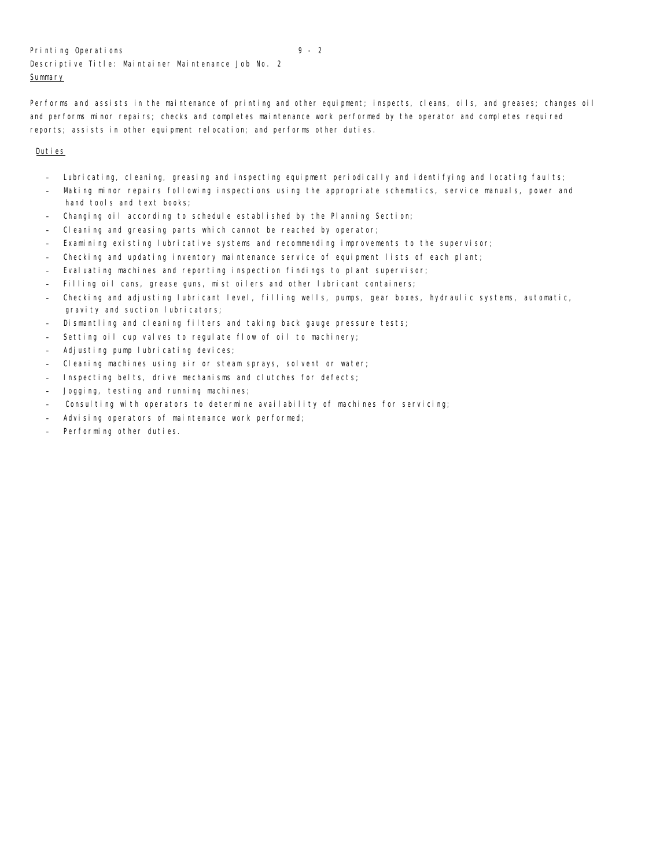# Printing Operations 9 - 2 Descriptive Title: Maintainer Maintenance Job No. 2 **Summary**

Performs and assists in the maintenance of printing and other equipment; inspects, cleans, oils, and greases; changes oil and performs minor repairs; checks and completes maintenance work performed by the operator and completes required reports; assists in other equipment relocation; and performs other duties.

- Lubricating, cleaning, greasing and inspecting equipment periodically and identifying and locating faults;
- Making minor repairs following inspections using the appropriate schematics, service manuals, power and hand tools and text books;
- Changing oil according to schedule established by the Planning Section;
- Cleaning and greasing parts which cannot be reached by operator;
- Examining existing lubricative systems and recommending improvements to the supervisor;
- Checking and updating inventory maintenance service of equipment lists of each plant;
- Evaluating machines and reporting inspection findings to plant supervisor;
- Filling oil cans, grease guns, mist oilers and other lubricant containers;
- Checking and adjusting lubricant level, filling wells, pumps, gear boxes, hydraulic systems, automatic, gravity and suction lubricators;
- Dismantling and cleaning filters and taking back gauge pressure tests;
- Setting oil cup valves to regulate flow of oil to machinery;
- Adjusting pump lubricating devices;
- Cleaning machines using air or steam sprays, solvent or water;
- Inspecting belts, drive mechanisms and clutches for defects;
- Jogging, testing and running machines;
- Consulting with operators to determine availability of machines for servicing;
- Advising operators of maintenance work performed;
- Performing other duties.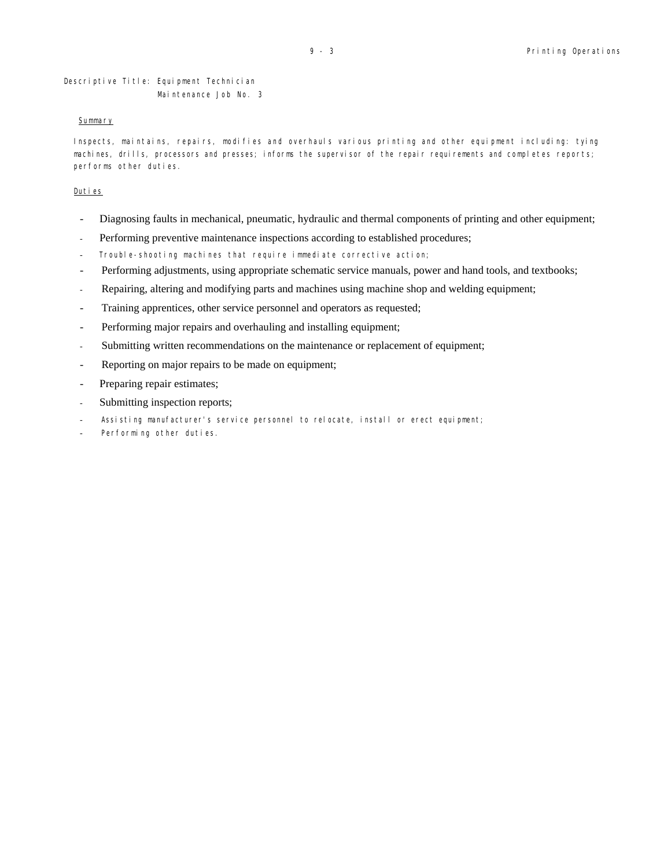Descriptive Title: Equipment Technician Maintenance Job No. 3

#### **Summary**

Inspects, maintains, repairs, modifies and overhauls various printing and other equipment including: tying machines, drills, processors and presses; informs the supervisor of the repair requirements and completes reports; performs other duties.

- Diagnosing faults in mechanical, pneumatic, hydraulic and thermal components of printing and other equipment;
- Performing preventive maintenance inspections according to established procedures;
- Trouble-shooting machines that require immediate corrective action;
- Performing adjustments, using appropriate schematic service manuals, power and hand tools, and textbooks;
- Repairing, altering and modifying parts and machines using machine shop and welding equipment;
- Training apprentices, other service personnel and operators as requested;
- Performing major repairs and overhauling and installing equipment;
- Submitting written recommendations on the maintenance or replacement of equipment;
- Reporting on major repairs to be made on equipment;
- Preparing repair estimates;
- Submitting inspection reports;
- Assisting manufacturer's service personnel to relocate, install or erect equipment;
- Performing other duties.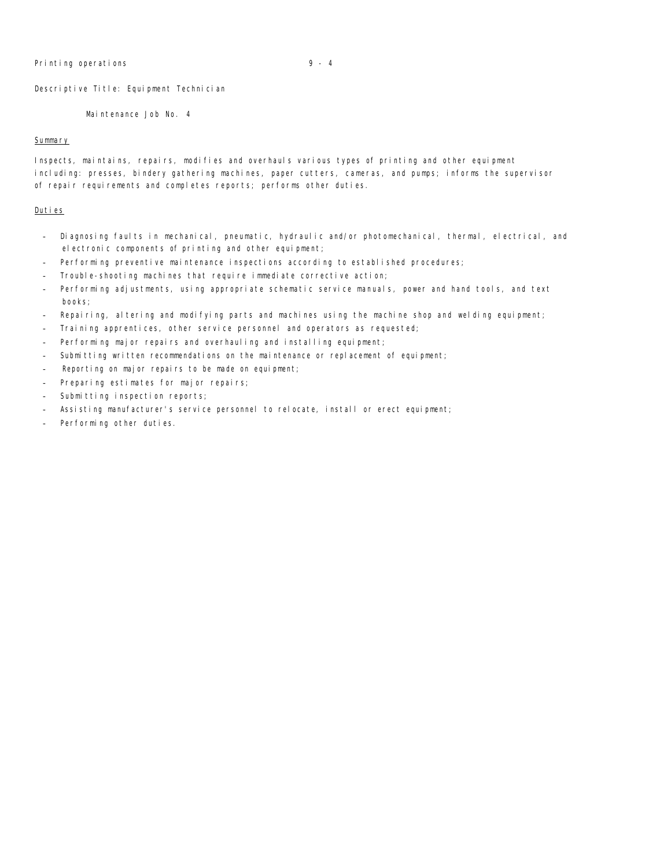Descriptive Title: Equipment Technician

Maintenance Job No. 4

#### Summary

Inspects, maintains, repairs, modifies and overhauls various types of printing and other equipment including: presses, bindery gathering machines, paper cutters, cameras, and pumps; informs the supervisor of repair requirements and completes reports; performs other duties.

- Diagnosing faults in mechanical, pneumatic, hydraulic and/or photomechanical, thermal, electrical, and electronic components of printing and other equipment;
- Performing preventive maintenance inspections according to established procedures;
- Trouble-shooting machines that require immediate corrective action;
- Performing adjustments, using appropriate schematic service manuals, power and hand tools, and text books;
- Repairing, altering and modifying parts and machines using the machine shop and welding equipment;
- Training apprentices, other service personnel and operators as requested;
- Performing major repairs and overhauling and installing equipment;
- Submitting written recommendations on the maintenance or replacement of equipment;
- Reporting on major repairs to be made on equipment;
- Preparing estimates for major repairs;
- Submitting inspection reports;
- Assisting manufacturer's service personnel to relocate, install or erect equipment;
- Performing other duties.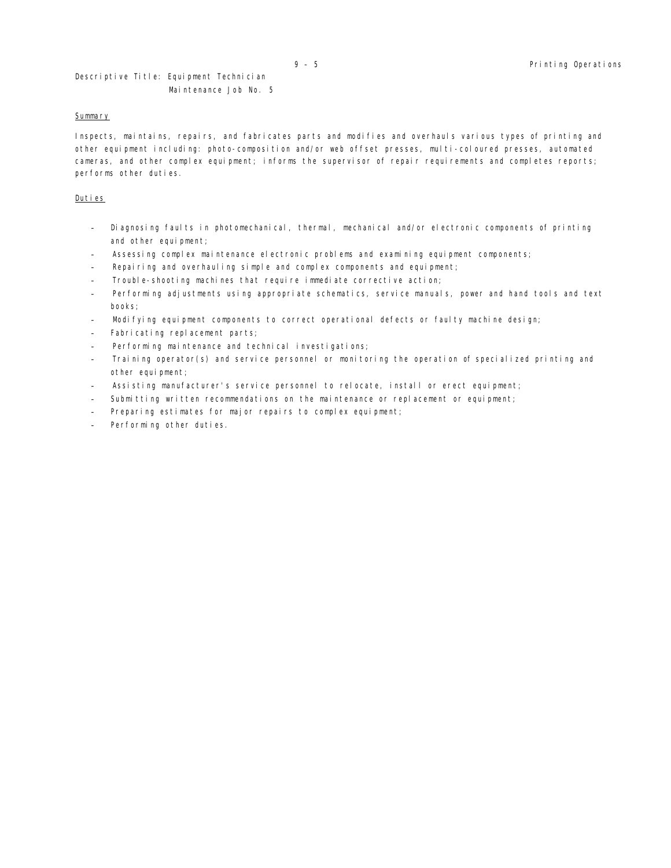# Descriptive Title: Equipment Technician Maintenance Job No. 5

## **Summary**

Inspects, maintains, repairs, and fabricates parts and modifies and overhauls various types of printing and other equipment including: photo-composition and/or web offset presses, multi-coloured presses, automated cameras, and other complex equipment; informs the supervisor of repair requirements and completes reports; performs other duties.

- Diagnosing faults in photomechanical, thermal, mechanical and/or electronic components of printing and other equipment;
- Assessing complex maintenance electronic problems and examining equipment components;
- Repairing and overhauling simple and complex components and equipment;
- Trouble-shooting machines that require immediate corrective action;
- Performing adjustments using appropriate schematics, service manuals, power and hand tools and text books;
- Modifying equipment components to correct operational defects or faulty machine design;
- Fabricating replacement parts;
- Performing maintenance and technical investigations;
- Training operator(s) and service personnel or monitoring the operation of specialized printing and other equipment;
- Assisting manufacturer's service personnel to relocate, install or erect equipment;
- Submitting written recommendations on the maintenance or replacement or equipment;
- Preparing estimates for major repairs to complex equipment;
- Performing other duties.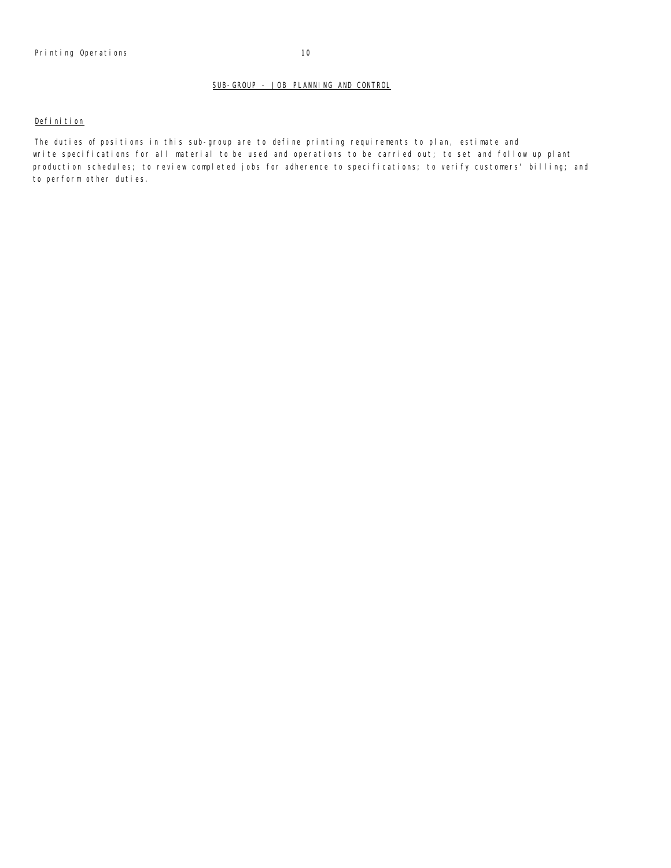# SUB-GROUP - JOB PLANNING AND CONTROL

# Definition

The duties of positions in this sub-group are to define printing requirements to plan, estimate and write specifications for all material to be used and operations to be carried out; to set and follow up plant production schedules; to review completed jobs for adherence to specifications; to verify customers' billing; and to perform other duties.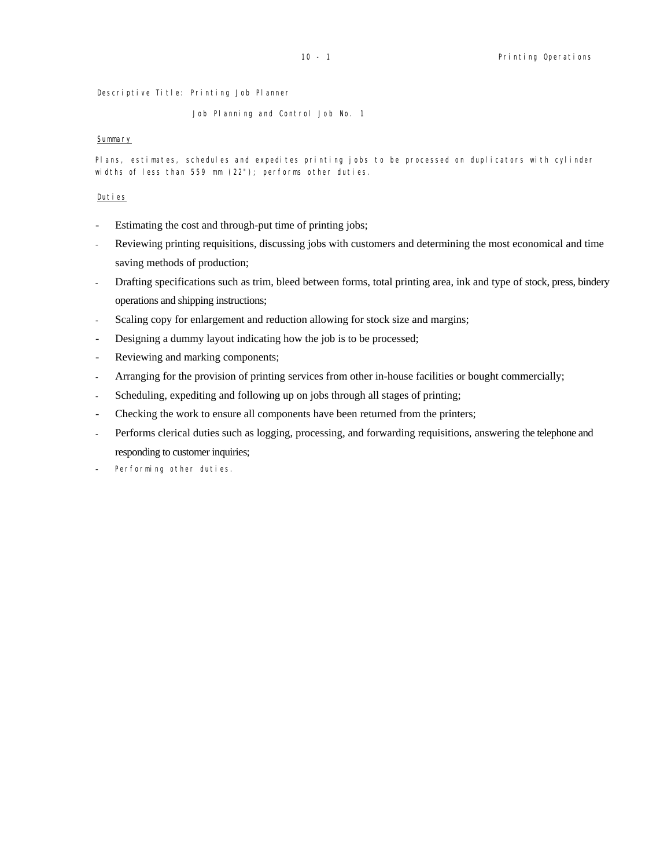Descriptive Title: Printing Job Planner

Job Planning and Control Job No. 1

## Summary

Plans, estimates, schedules and expedites printing jobs to be processed on duplicators with cylinder widths of less than 559 mm (22"); performs other duties.

- Estimating the cost and through-put time of printing jobs;
- Reviewing printing requisitions, discussing jobs with customers and determining the most economical and time saving methods of production;
- Drafting specifications such as trim, bleed between forms, total printing area, ink and type of stock, press, bindery operations and shipping instructions;
- Scaling copy for enlargement and reduction allowing for stock size and margins;
- Designing a dummy layout indicating how the job is to be processed;
- Reviewing and marking components;
- Arranging for the provision of printing services from other in-house facilities or bought commercially;
- Scheduling, expediting and following up on jobs through all stages of printing;
- Checking the work to ensure all components have been returned from the printers;
- Performs clerical duties such as logging, processing, and forwarding requisitions, answering the telephone and responding to customer inquiries;
- Performing other duties.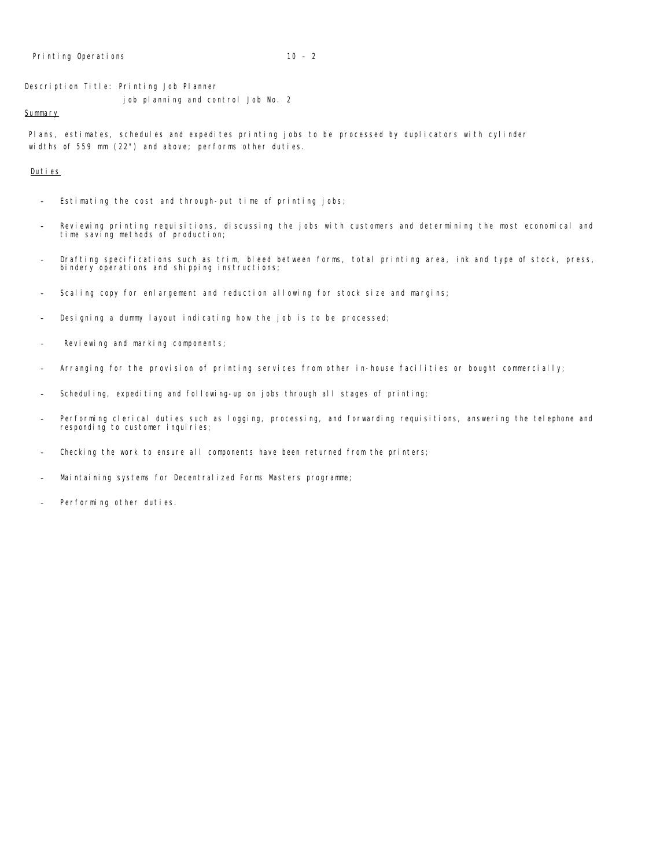Description Title: Printing Job Planner

job planning and control Job No. 2

#### Summary

Plans, estimates, schedules and expedites printing jobs to be processed by duplicators with cylinder widths of 559 mm (22") and above; performs other duties.

- Estimating the cost and through-put time of printing jobs;
- Reviewing printing requisitions, discussing the jobs with customers and determining the most economical and time saving methods of production;
- Drafting specifications such as trim, bleed between forms, total printing area, ink and type of stock, press, bindery operations and shipping instructions;
- Scaling copy for enlargement and reduction allowing for stock size and margins;
- Designing a dummy layout indicating how the job is to be processed;
- Reviewing and marking components;
- Arranging for the provision of printing services from other in-house facilities or bought commercially;
- Scheduling, expediting and following-up on jobs through all stages of printing;
- Performing clerical duties such as logging, processing, and forwarding requisitions, answering the telephone and responding to customer inquiries;
- Checking the work to ensure all components have been returned from the printers;
- Maintaining systems for Decentralized Forms Masters programme;
- Performing other duties.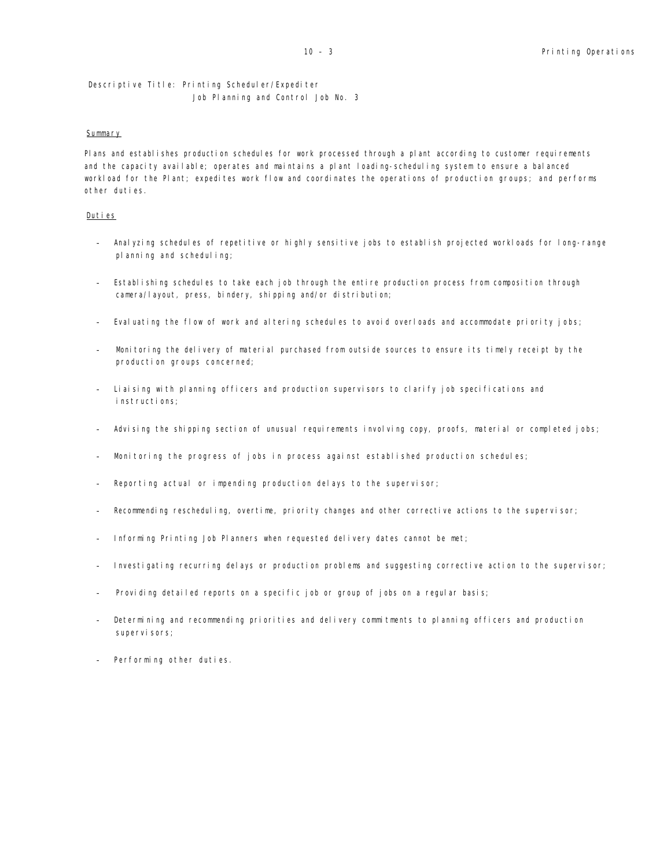Descriptive Title: Printing Scheduler/Expediter Job Planning and Control Job No. 3

#### **Summary**

Plans and establishes production schedules for work processed through a plant according to customer requirements and the capacity available; operates and maintains a plant loading-scheduling system to ensure a balanced workload for the Plant; expedites work flow and coordinates the operations of production groups; and performs other duties.

- Analyzing schedules of repetitive or highly sensitive jobs to establish projected workloads for long-range pl anning and schedul ing;
- Establishing schedules to take each job through the entire production process from composition through camera/layout, press, bindery, shipping and/or distribution;
- Evaluating the flow of work and altering schedules to avoid overloads and accommodate priority jobs;
- Monitoring the delivery of material purchased from outside sources to ensure its timely receipt by the production groups concerned;
- Liaising with planning officers and production supervisors to clarify job specifications and instructions;
- Advising the shipping section of unusual requirements involving copy, proofs, material or completed jobs;
- Monitoring the progress of jobs in process against established production schedules;
- Reporting actual or impending production delays to the supervisor;
- Recommending rescheduling, overtime, priority changes and other corrective actions to the supervisor;
- Informing Printing Job Planners when requested delivery dates cannot be met;
- Investigating recurring delays or production problems and suggesting corrective action to the supervisor;
- Providing detailed reports on a specific job or group of jobs on a regular basis;
- Determining and recommending priorities and delivery commitments to planning officers and production supervi sors;
- Performing other duties.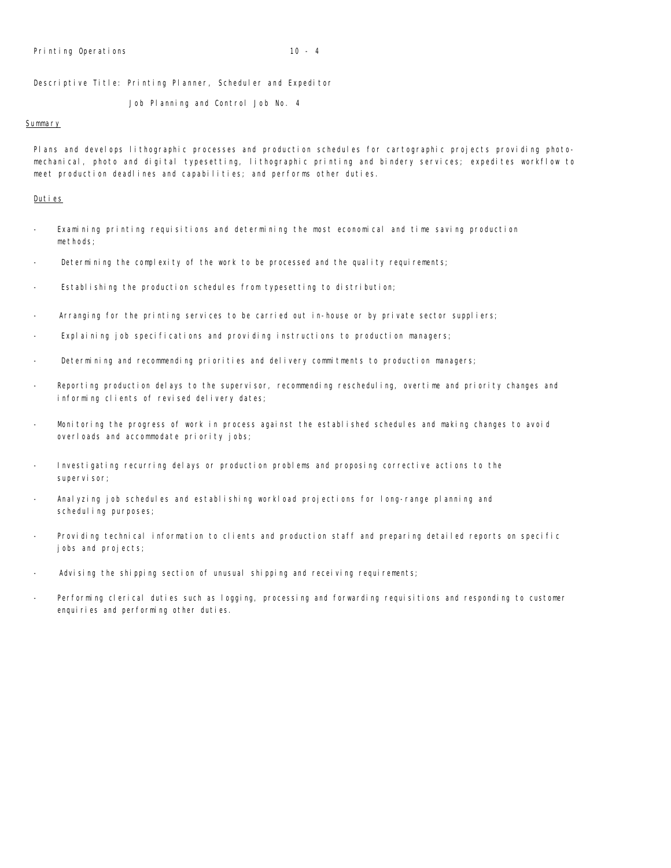Descriptive Title: Printing Planner, Scheduler and Expeditor

Job Planning and Control Job No. 4

#### **Summary**

Plans and develops lithographic processes and production schedules for cartographic projects providing photomechanical, photo and digital typesetting, lithographic printing and bindery services; expedites workflow to meet production deadlines and capabilities; and performs other duties.

- Examining printing requisitions and determining the most economical and time saving production methods;
- Determining the complexity of the work to be processed and the quality requirements;
- Establishing the production schedules from typesetting to distribution;
- Arranging for the printing services to be carried out in-house or by private sector suppliers;
- Explaining job specifications and providing instructions to production managers;
- Determining and recommending priorities and delivery commitments to production managers;
- Reporting production delays to the supervisor, recommending rescheduling, overtime and priority changes and informing clients of revised delivery dates;
- Monitoring the progress of work in process against the established schedules and making changes to avoid overloads and accommodate priority jobs;
- Investigating recurring delays or production problems and proposing corrective actions to the supervi sor:
- Analyzing job schedules and establishing workload projections for long-range planning and schedul i ng purposes;
- Providing technical information to clients and production staff and preparing detailed reports on specific jobs and projects;
- Advising the shipping section of unusual shipping and receiving requirements;
- Performing clerical duties such as logging, processing and forwarding requisitions and responding to customer enquiries and performing other duties.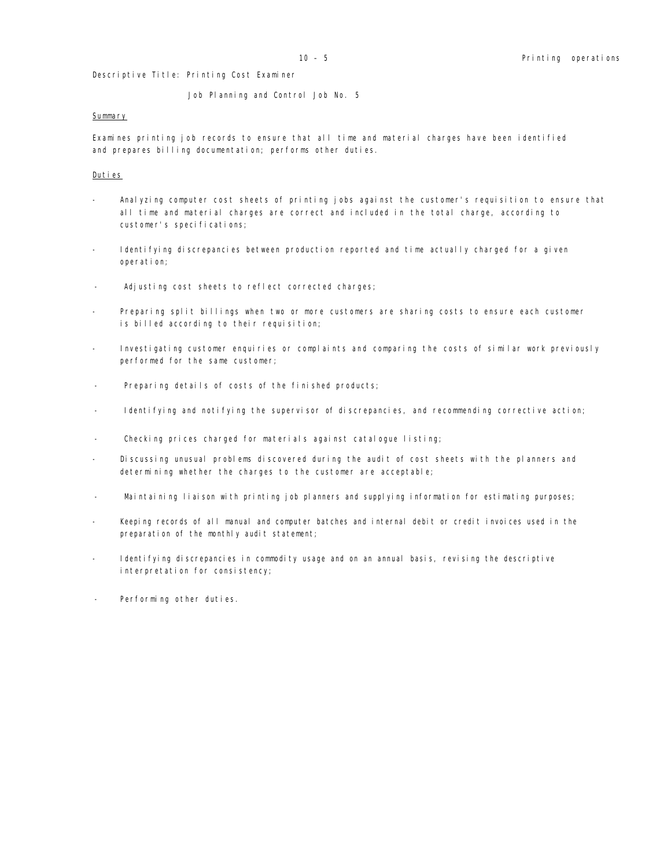Descriptive Title: Printing Cost Examiner

Job Planning and Control Job No. 5

#### Summary

Examines printing job records to ensure that all time and material charges have been identified and prepares billing documentation; performs other duties.

- Analyzing computer cost sheets of printing jobs against the customer's requisition to ensure that all time and material charges are correct and included in the total charge, according to customer's specifications;
- Identifying discrepancies between production reported and time actually charged for a given operation;
- Adjusting cost sheets to reflect corrected charges;
- Preparing split billings when two or more customers are sharing costs to ensure each customer is billed according to their requisition;
- Investigating customer enquiries or complaints and comparing the costs of similar work previously performed for the same customer;
- Preparing details of costs of the finished products;
- I dentifying and notifying the supervisor of discrepancies, and recommending corrective action;
- Checking prices charged for materials against catalogue listing;
- Discussing unusual problems discovered during the audit of cost sheets with the planners and determining whether the charges to the customer are acceptable;
- Maintaining liaison with printing job planners and supplying information for estimating purposes;
- Keeping records of all manual and computer batches and internal debit or credit invoices used in the preparation of the monthly audit statement;
- Identifying discrepancies in commodity usage and on an annual basis, revising the descriptive interpretation for consistency;
- Performing other duties.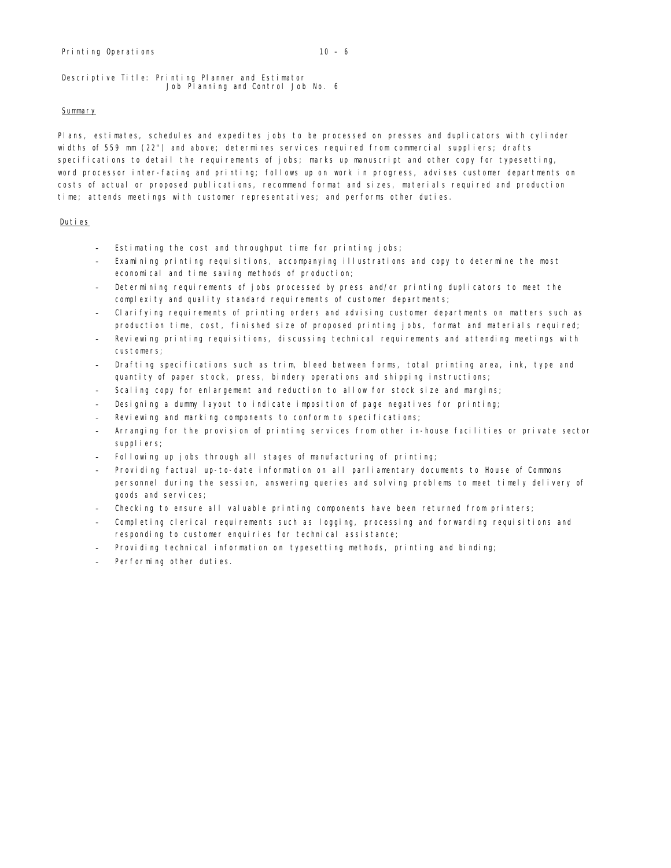Descriptive Title: Printing Planner and Estimator Job Planning and Control Job No. 6

#### Summary

Plans, estimates, schedules and expedites jobs to be processed on presses and duplicators with cylinder widths of 559 mm (22") and above; determines services required from commercial suppliers; drafts specifications to detail the requirements of jobs; marks up manuscript and other copy for typesetting, word processor inter-facing and printing; follows up on work in progress, advises customer departments on costs of actual or proposed publications, recommend format and sizes, materials required and production time; attends meetings with customer representatives; and performs other duties.

- Estimating the cost and throughput time for printing jobs;
- Examining printing requisitions, accompanying illustrations and copy to determine the most economical and time saving methods of production;
- Determining requirements of jobs processed by press and/or printing duplicators to meet the complexity and quality standard requirements of customer departments;
- Clarifying requirements of printing orders and advising customer departments on matters such as production time, cost, finished size of proposed printing jobs, format and materials required;
- Reviewing printing requisitions, discussing technical requirements and attending meetings with customers;
- Drafting specifications such as trim, bleed between forms, total printing area, ink, type and quantity of paper stock, press, bindery operations and shipping instructions;
- Scaling copy for enlargement and reduction to allow for stock size and margins;
- Designing a dummy layout to indicate imposition of page negatives for printing;
- Reviewing and marking components to conform to specifications;
- Arranging for the provision of printing services from other in-house facilities or private sector suppliers;
- Following up jobs through all stages of manufacturing of printing;
- Providing factual up-to-date information on all parliamentary documents to House of Commons personnel during the session, answering queries and solving problems to meet timely delivery of goods and services;
- Checking to ensure all valuable printing components have been returned from printers;
- Completing clerical requirements such as logging, processing and forwarding requisitions and responding to customer enquiries for technical assistance;
- Providing technical information on typesetting methods, printing and binding;
- Performing other duties.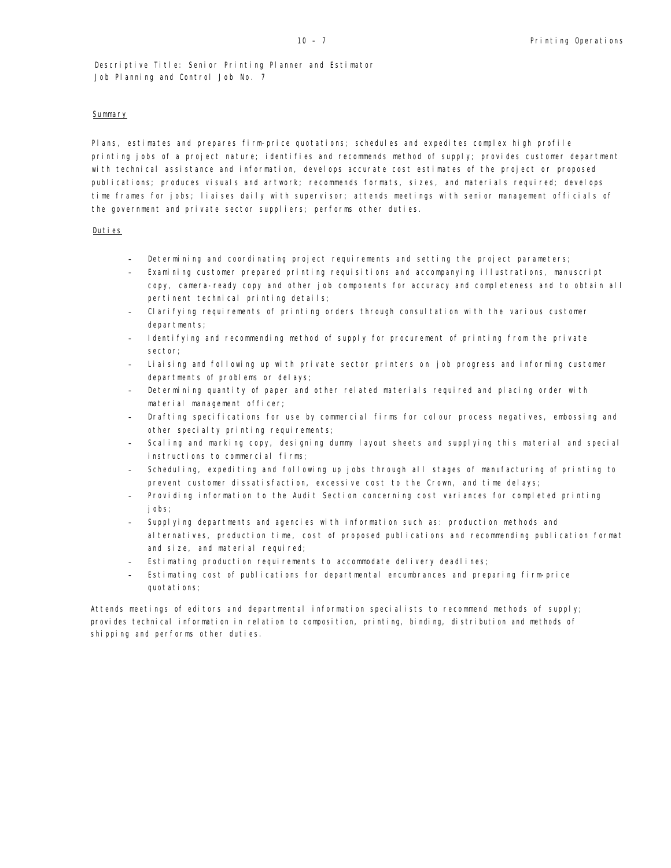Descriptive Title: Senior Printing Planner and Estimator Job Planning and Control Job No. 7

#### **Summary**

Plans, estimates and prepares firm-price quotations; schedules and expedites complex high profile printing jobs of a project nature; identifies and recommends method of supply; provides customer department with technical assistance and information, develops accurate cost estimates of the project or proposed publications; produces visuals and artwork; recommends formats, sizes, and materials required; develops time frames for jobs; liaises daily with supervisor; attends meetings with senior management officials of the government and private sector suppliers; performs other duties.

#### Duties

- Determining and coordinating project requirements and setting the project parameters;
- Examining customer prepared printing requisitions and accompanying illustrations, manuscript copy, camera-ready copy and other job components for accuracy and completeness and to obtain all pertinent technical printing details;
- Clarifying requirements of printing orders through consultation with the various customer departments;
- Identifying and recommending method of supply for procurement of printing from the private sector;
- Liaising and following up with private sector printers on job progress and informing customer departments of problems or delays;
- Determining quantity of paper and other related materials required and placing order with material management officer;
- Drafting specifications for use by commercial firms for colour process negatives, embossing and other specialty printing requirements;
- Scaling and marking copy, designing dummy layout sheets and supplying this material and special instructions to commercial firms;
- Scheduling, expediting and following up jobs through all stages of manufacturing of printing to prevent customer dissatisfaction, excessive cost to the Crown, and time delays;
- Providing information to the Audit Section concerning cost variances for completed printing jobs;
- Supplying departments and agencies with information such as: production methods and alternatives, production time, cost of proposed publications and recommending publication format and size, and material required;
- Estimating production requirements to accommodate delivery deadlines;
- Estimating cost of publications for departmental encumbrances and preparing firm-price quotations;

Attends meetings of editors and departmental information specialists to recommend methods of supply; provides technical information in relation to composition, printing, binding, distribution and methods of shipping and performs other duties.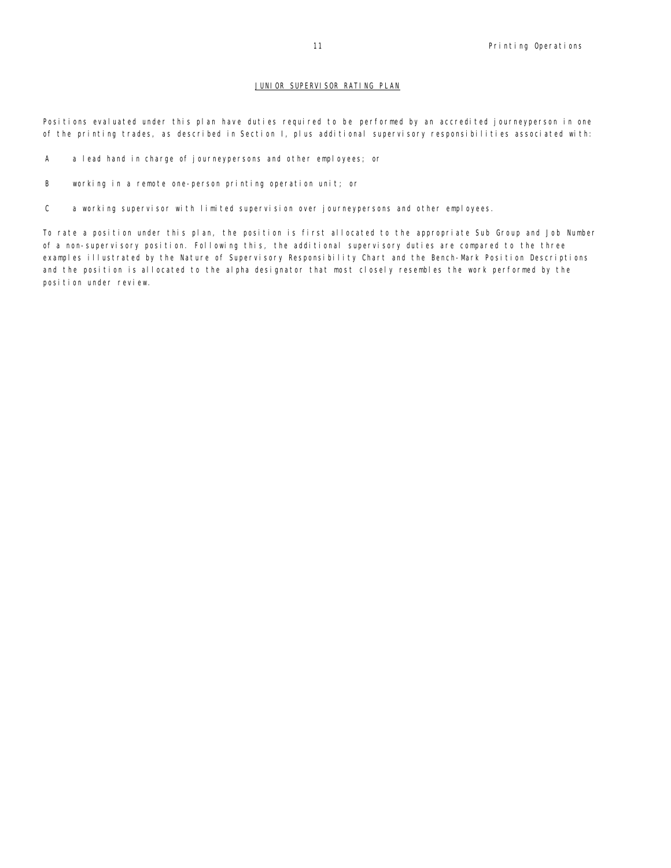# JUNIOR SUPERVISOR RATING PLAN

Positions evaluated under this plan have duties required to be performed by an accredited journeyperson in one of the printing trades, as described in Section I, plus additional supervisory responsibilities associated with:

- A a lead hand in charge of journeypersons and other employees; or
- B working in a remote one-person printing operation unit; or
- C a working supervisor with limited supervision over journeypersons and other employees.

To rate a position under this plan, the position is first allocated to the appropriate Sub Group and Job Number of a non-supervisory position. Following this, the additional supervisory duties are compared to the three examples illustrated by the Nature of Supervisory Responsibility Chart and the Bench-Mark Position Descriptions and the position is allocated to the alpha designator that most closely resembles the work performed by the position under review.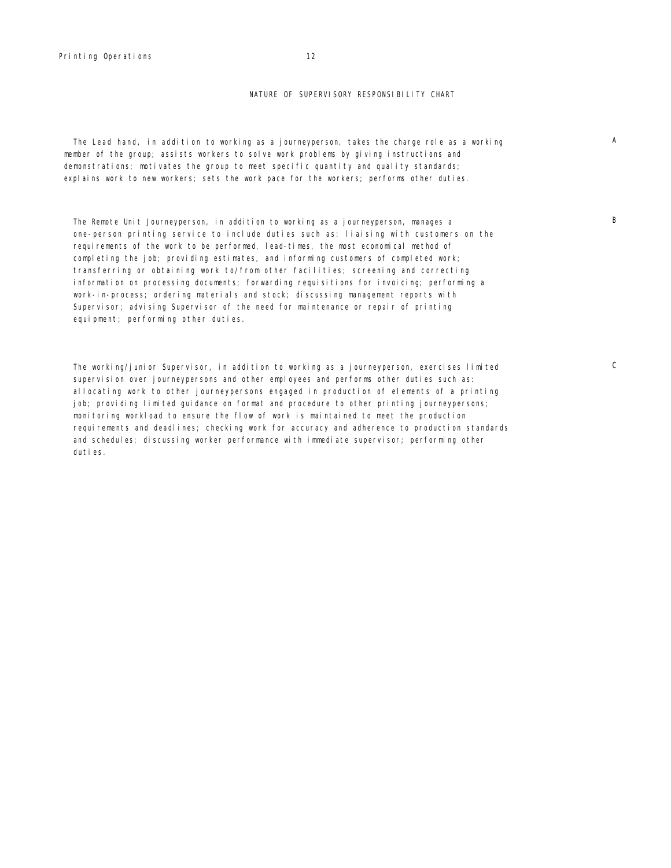Printing Operations 12

# NATURE OF SUPERVISORY RESPONSIBILITY CHART

The Lead hand, in addition to working as a journeyperson, takes the charge role as a working member of the group; assists workers to solve work problems by giving instructions and demonstrations; motivates the group to meet specific quantity and quality standards; explains work to new workers; sets the work pace for the workers; performs other duties.

The Remote Unit Journeyperson, in addition to working as a journeyperson, manages a one-person printing service to include duties such as: liaising with customers on the requirements of the work to be performed, lead-times, the most economical method of completing the job; providing estimates, and informing customers of completed work; transferring or obtaining work to/from other facilities; screening and correcting information on processing documents; forwarding requisitions for invoicing; performing a work-in-process; ordering materials and stock; discussing management reports with Supervisor; advising Supervisor of the need for maintenance or repair of printing equipment; performing other duties.

The working/junior Supervisor, in addition to working as a journeyperson, exercises limited supervision over journeypersons and other employees and performs other duties such as: allocating work to other journeypersons engaged in production of elements of a printing job; providing limited guidance on format and procedure to other printing journeypersons; monitoring workload to ensure the flow of work is maintained to meet the production requirements and deadlines; checking work for accuracy and adherence to production standards and schedules; discussing worker performance with immediate supervisor; performing other duties.

C

# A

B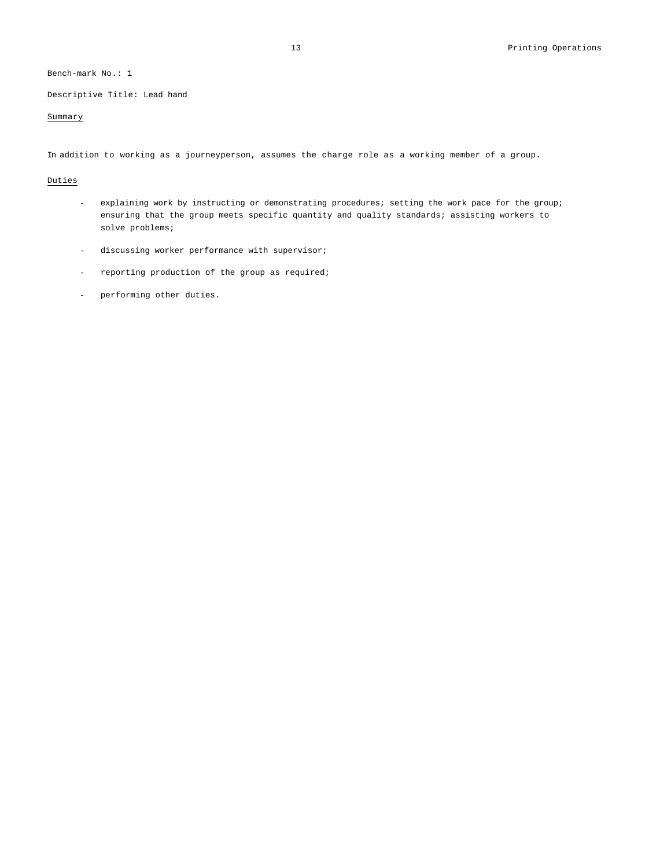# Bench-mark No.: 1

Descriptive Title: Lead hand

# Summary

In addition to working as a journeyperson, assumes the charge role as a working member of a group.

# Duties

- explaining work by instructing or demonstrating procedures; setting the work pace for the group; ensuring that the group meets specific quantity and quality standards; assisting workers to solve problems;
- discussing worker performance with supervisor;
- reporting production of the group as required;
- performing other duties.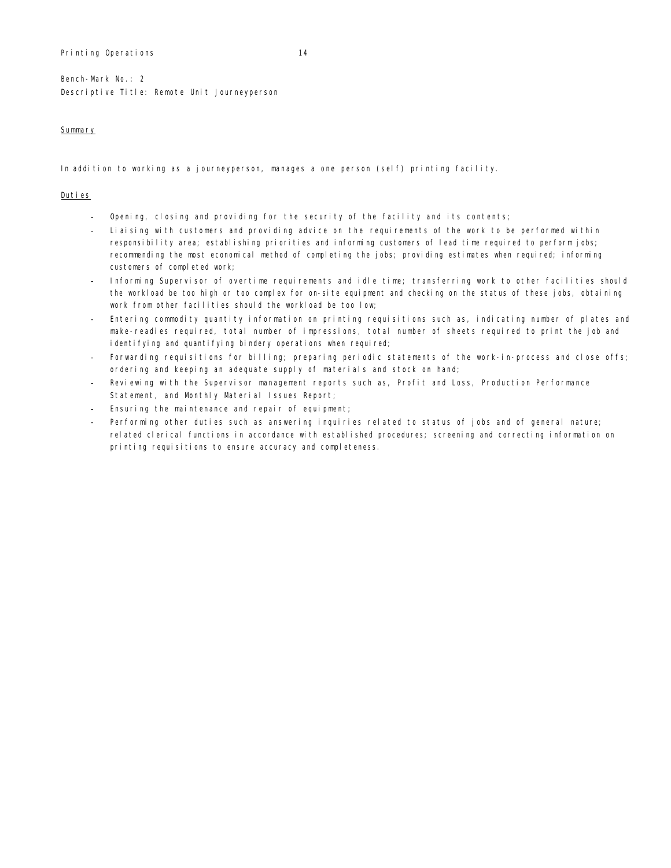# Printing Operations 14

Bench-Mark No.: 2 Descriptive Title: Remote Unit Journeyperson

# Summary

In addition to working as a journeyperson, manages a one person (self) printing facility.

#### Duties

- Opening, closing and providing for the security of the facility and its contents;
- Liaising with customers and providing advice on the requirements of the work to be performed within responsibility area; establishing priorities and informing customers of lead time required to perform jobs; recommending the most economical method of completing the jobs; providing estimates when required; informing customers of completed work;
- Informing Supervisor of overtime requirements and idle time; transferring work to other facilities should the workload be too high or too complex for on-site equipment and checking on the status of these jobs, obtaining work from other facilities should the workload be too low;
- Entering commodity quantity information on printing requisitions such as, indicating number of plates and make-readies required, total number of impressions, total number of sheets required to print the job and identifying and quantifying bindery operations when required;
- Forwarding requisitions for billing; preparing periodic statements of the work-in-process and close offs; ordering and keeping an adequate supply of materials and stock on hand;
- Reviewing with the Supervisor management reports such as, Profit and Loss, Production Performance Statement, and Monthly Material Issues Report;
- Ensuring the maintenance and repair of equipment;
- Performing other duties such as answering inquiries related to status of jobs and of general nature; related clerical functions in accordance with established procedures; screening and correcting information on printing requisitions to ensure accuracy and completeness.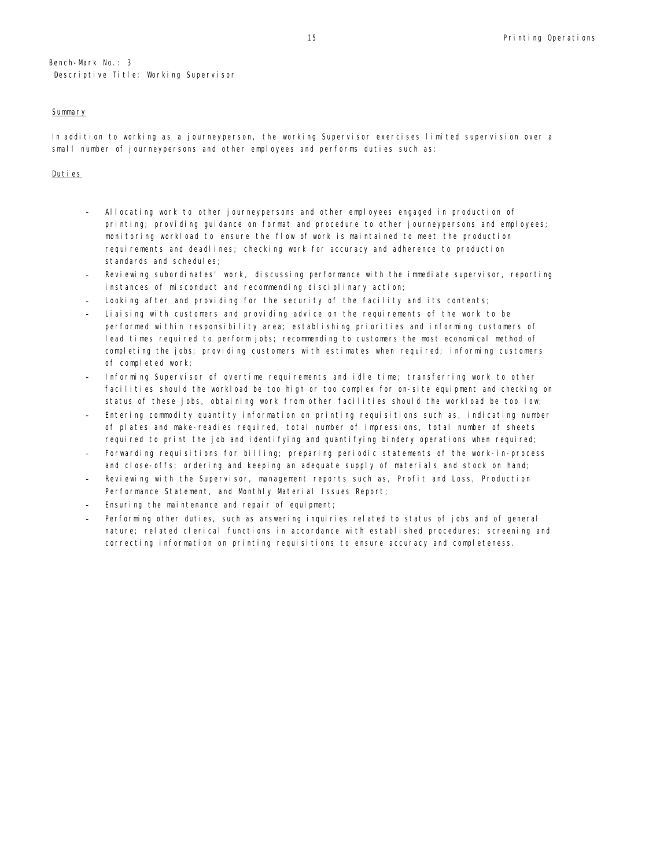Bench-Mark No.: 3 Descriptive Title: Working Supervisor

#### **Summary**

In addition to working as a journeyperson, the working Supervisor exercises limited supervision over a small number of journeypersons and other employees and performs duties such as:

# Duties

- Allocating work to other journeypersons and other employees engaged in production of printing; providing guidance on format and procedure to other journeypersons and employees; monitoring workload to ensure the flow of work is maintained to meet the production requirements and deadlines; checking work for accuracy and adherence to production standards and schedules;
- Reviewing subordinates' work, discussing performance with the immediate supervisor, reporting instances of misconduct and recommending disciplinary action;
- Looking after and providing for the security of the facility and its contents;
- Liaising with customers and providing advice on the requirements of the work to be performed within responsibility area; establishing priorities and informing customers of lead times required to perform jobs; recommending to customers the most economical method of completing the jobs; providing customers with estimates when required; informing customers of completed work;
- Informing Supervisor of overtime requirements and idle time; transferring work to other facilities should the workload be too high or too complex for on-site equipment and checking on status of these jobs, obtaining work from other facilities should the workload be too low;
- Entering commodity quantity information on printing requisitions such as, indicating number of plates and make-readies required, total number of impressions, total number of sheets required to print the job and identifying and quantifying bindery operations when required;
- Forwarding requisitions for billing; preparing periodic statements of the work-in-process and close-offs; ordering and keeping an adequate supply of materials and stock on hand;
- Reviewing with the Supervisor, management reports such as, Profit and Loss, Production Performance Statement, and Monthly Material Issues Report;
- Ensuring the maintenance and repair of equipment;
- Performing other duties, such as answering inquiries related to status of jobs and of general nature; related clerical functions in accordance with established procedures; screening and correcting information on printing requisitions to ensure accuracy and completeness.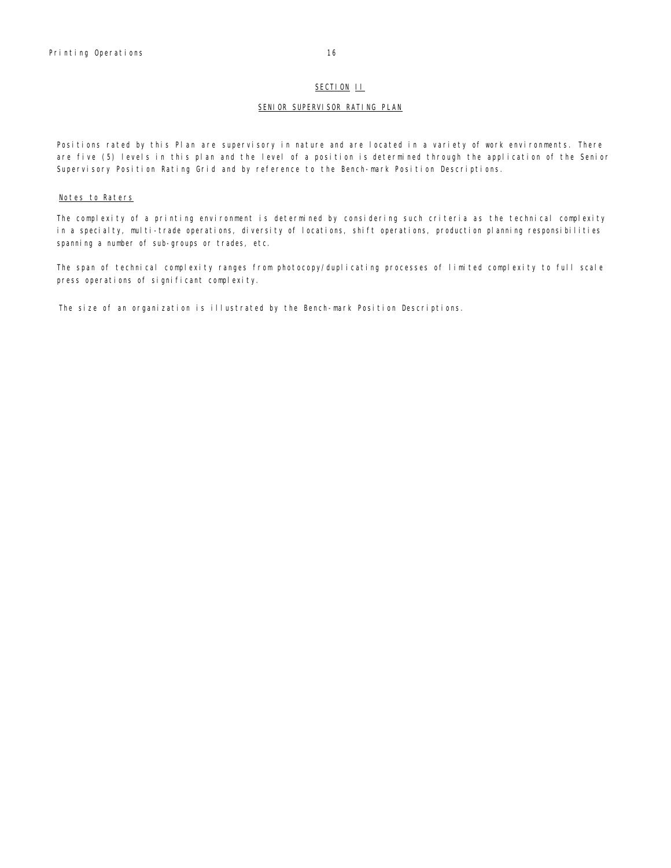#### SECTION II

# SENIOR SUPERVISOR RATING PLAN

Positions rated by this Plan are supervisory in nature and are located in a variety of work environments. There are five (5) levels in this plan and the level of a position is determined through the application of the Senior Supervisory Position Rating Grid and by reference to the Bench-mark Position Descriptions.

# Notes to Raters

The complexity of a printing environment is determined by considering such criteria as the technical complexity in a specialty, multi-trade operations, diversity of locations, shift operations, production planning responsibilities spanning a number of sub-groups or trades, etc.

The span of technical complexity ranges from photocopy/duplicating processes of limited complexity to full scale press operations of significant complexity.

The size of an organization is illustrated by the Bench-mark Position Descriptions.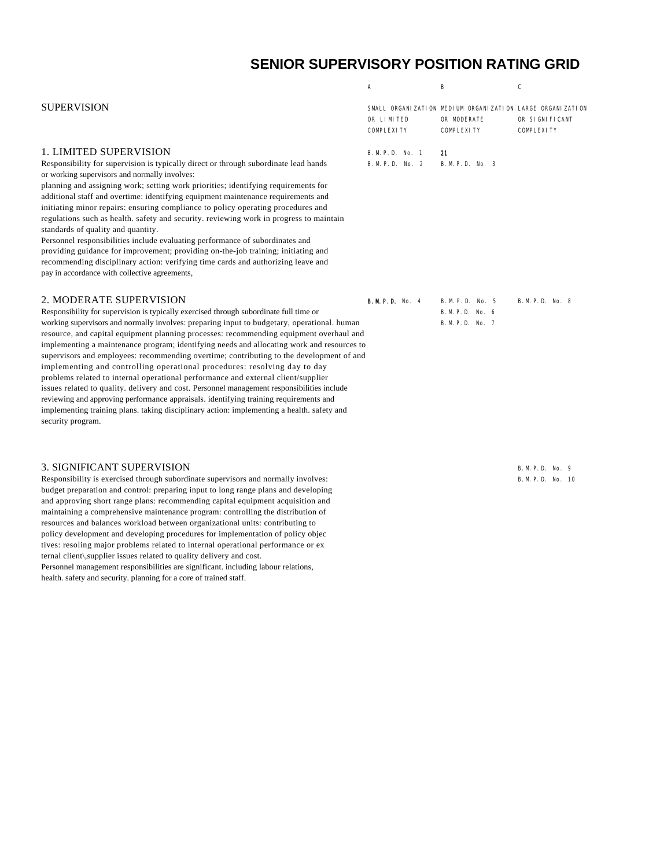# **SENIOR SUPERVISORY POSITION RATING GRID**

|                                                                                                                                                                                                                                                                                                                  | Α                               | В                                                                                             | C                                   |
|------------------------------------------------------------------------------------------------------------------------------------------------------------------------------------------------------------------------------------------------------------------------------------------------------------------|---------------------------------|-----------------------------------------------------------------------------------------------|-------------------------------------|
| <b>SUPERVISION</b>                                                                                                                                                                                                                                                                                               | OR LIMITED<br><b>COMPLEXITY</b> | SMALL ORGANIZATION MEDIUM ORGANIZATION LARGE ORGANIZATION<br>OR MODERATE<br><b>COMPLEXITY</b> | OR SIGNIFICANT<br><b>COMPLEXITY</b> |
| <b>1. LIMITED SUPERVISION</b>                                                                                                                                                                                                                                                                                    | B. M. P. D. No. 1               | 21                                                                                            |                                     |
| Responsibility for supervision is typically direct or through subordinate lead hands<br>or working supervisors and normally involves:<br>planning and assigning work; setting work priorities; identifying requirements for<br>additional staff and overtime: identifying equipment maintenance requirements and | B. M. P. D. No. 2               | B. M. P. D. No. 3                                                                             |                                     |
| initiating minor repairs: ensuring compliance to policy operating procedures and<br>regulations such as health. safety and security. reviewing work in progress to maintain<br>standards of quality and quantity.                                                                                                |                                 |                                                                                               |                                     |
| Personnel responsibilities include evaluating performance of subordinates and<br>providing guidance for improvement; providing on-the-job training; initiating and<br>recommending disciplinary action: verifying time cards and authorizing leave and                                                           |                                 |                                                                                               |                                     |
| pay in accordance with collective agreements,                                                                                                                                                                                                                                                                    |                                 |                                                                                               |                                     |
| 2. MODERATE SUPERVISION                                                                                                                                                                                                                                                                                          | <b>B. M. P. D.</b> No. 4        | B. M. P. D. No. 5                                                                             | B. M. P. D. No. 8                   |
| Responsibility for supervision is typically exercised through subordinate full time or<br>working supervisors and normally involves: preparing input to budgetary, operational. human<br>resource, and capital equipment planning processes: recommending equipment overhaul and                                 |                                 | B. M. P. D. No. 6<br>B. M. P. D. No. 7                                                        |                                     |
| implementing a maintenance program; identifying needs and allocating work and resources to<br>supervisors and employees: recommending overtime; contributing to the development of and<br>implementing and controlling operational procedures: resolving day to day                                              |                                 |                                                                                               |                                     |
| problems related to internal operational performance and external client/supplier                                                                                                                                                                                                                                |                                 |                                                                                               |                                     |

B.M.P.D. No. 9

B.M.P.D. No. 10

# 3. SIGNIFICANT SUPERVISION

security program.

Responsibility is exercised through subordinate supervisors and normally involves: budget preparation and control: preparing input to long range plans and developing and approving short range plans: recommending capital equipment acquisition and maintaining a comprehensive maintenance program: controlling the distribution of resources and balances workload between organizational units: contributing to policy development and developing procedures for implementation of policy objec tives: resoling major problems related to internal operational performance or ex ternal client\,supplier issues related to quality delivery and cost.

issues related to quality. delivery and cost. Personnel management responsibilities include reviewing and approving performance appraisals. identifying training requirements and implementing training plans. taking disciplinary action: implementing a health. safety and

Personnel management responsibilities are significant. including labour relations, health. safety and security. planning for a core of trained staff.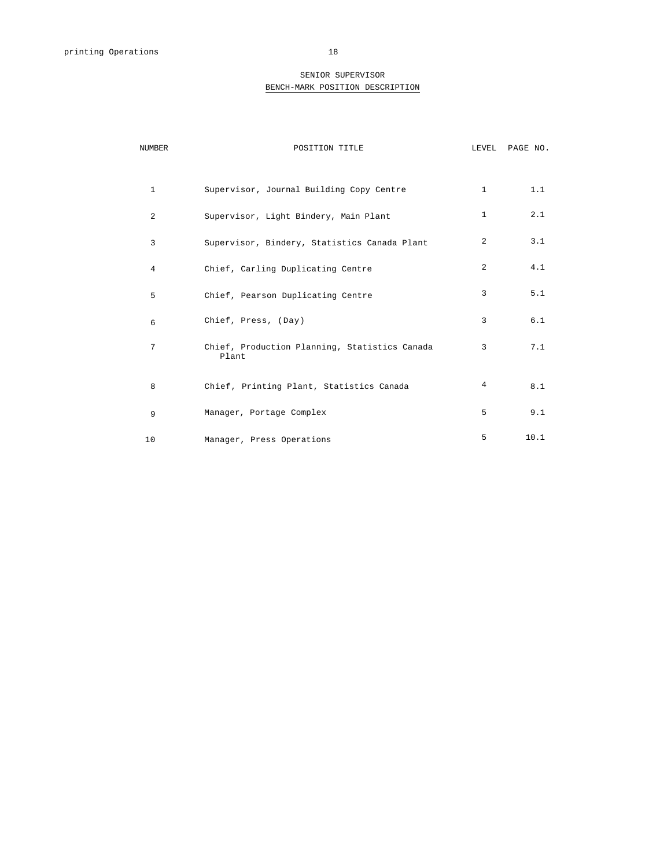# SENIOR SUPERVISOR BENCH-MARK POSITION DESCRIPTION

| <b>NUMBER</b>  | POSITION TITLE                                         | LEVEL        | PAGE NO. |
|----------------|--------------------------------------------------------|--------------|----------|
|                |                                                        |              |          |
| $\mathbf{1}$   | Supervisor, Journal Building Copy Centre               | $\mathbf{1}$ | 1.1      |
| $\overline{a}$ | Supervisor, Light Bindery, Main Plant                  | $\mathbf{1}$ | 2.1      |
| 3              | Supervisor, Bindery, Statistics Canada Plant           | 2            | 3.1      |
| 4              | Chief, Carling Duplicating Centre                      | 2            | 4.1      |
| 5              | Chief, Pearson Duplicating Centre                      | 3            | 5.1      |
| 6              | Chief, Press, (Day)                                    | 3            | 6.1      |
| 7              | Chief, Production Planning, Statistics Canada<br>Plant | 3            | 7.1      |
| 8              | Chief, Printing Plant, Statistics Canada               | 4            | 8.1      |
| 9              | Manager, Portage Complex                               | 5            | 9.1      |
| 10             | Manager, Press Operations                              | 5            | 10.1     |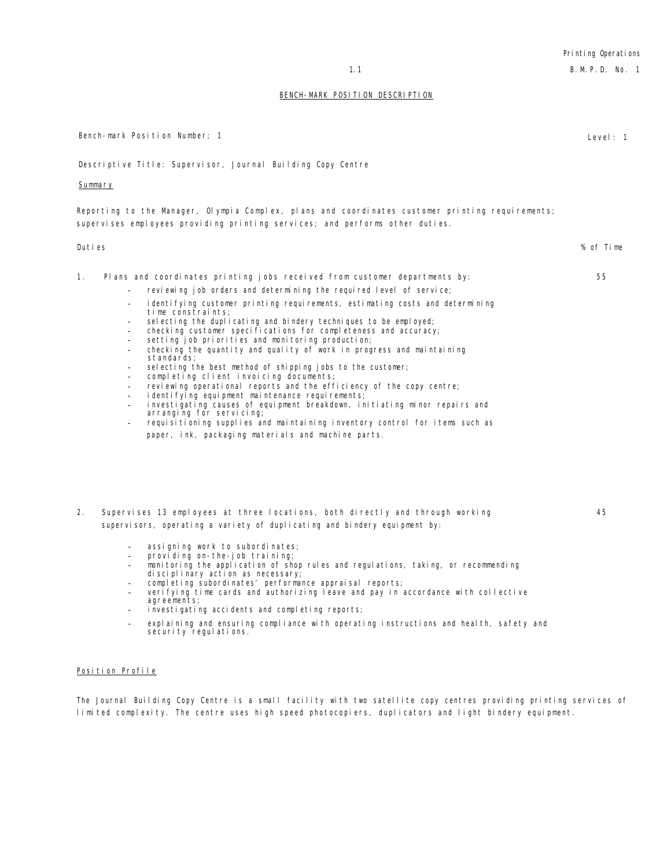# Printing Operations 1.1 **B.M.P.D. No. 1**

#### BENCH-MARK POSITION DESCRIPTION

Bench-mark Position Number; 1 level: 1 level: 1 level: 1 Descriptive Title: Supervisor, Journal Building Copy Centre **Summary** Reporting to the Manager, Olympia Complex, plans and coordinates customer printing requirements; supervises employees providing printing services; and performs other duties. Duties % of Time 1. Plans and coordinates printing jobs received from customer departments by: reviewing job orders and determining the required level of service; identifying customer printing requirements, estimating costs and determining time constraints; selecting the duplicating and bindery techniques to be employed; checking customer specifications for completeness and accuracy; setting job priorities and monitoring production; checking the quantity and quality of work in progress and maintaining standards; selecting the best method of shipping jobs to the customer; completing client invoicing documents; reviewing operational reports and the efficiency of the copy centre; i denti fying equipment maintenance requirements; investigating causes of equipment breakdown, initiating minor repairs and arranging for servicing; requisitioning supplies and maintaining inventory control for items such as paper, ink, packaging materials and machine parts. 55 2. Supervises 13 employees at three locations, both directly and through working supervisors, operating a variety of duplicating and bindery equipment by: assigning work to subordinates; providing on-the-job training; - monitoring the application of shop rules and regulations, taking, or recommending disciplinary action as necessary; completing subordinates' performance appraisal reports; verifying time cards and authorizing leave and pay in accordance with collective agreements; investigating accidents and completing reports; explaining and ensuring compliance with operating instructions and health, safety and security regulations. 45 Position Profile

The Journal Building Copy Centre is a small facility with two satellite copy centres providing printing services of limited complexity. The centre uses high speed photocopiers, duplicators and light bindery equipment.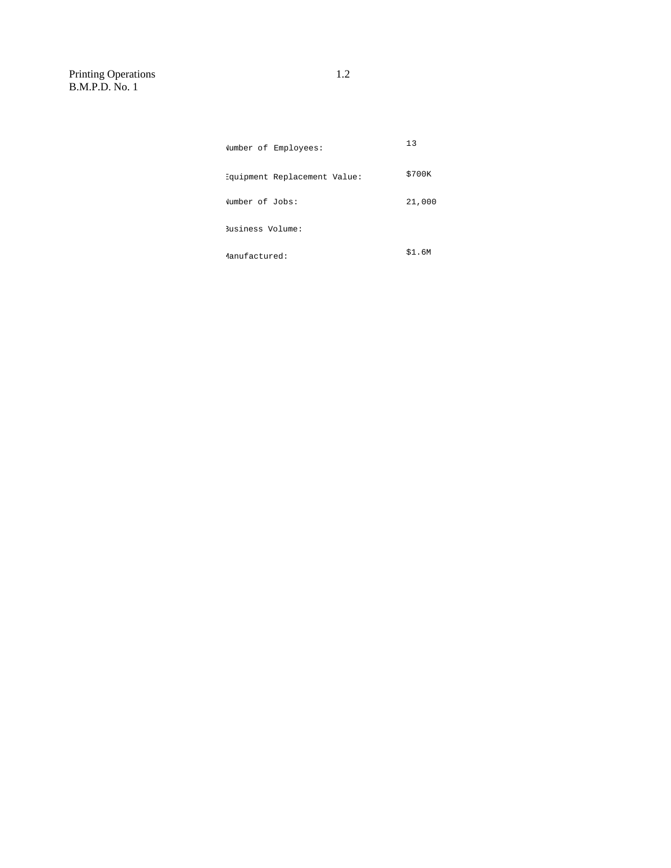Printing Operations 1.2 B.M.P.D. No. 1

| Jumber of Employees:         | 13     |
|------------------------------|--------|
| :duipment Replacement Value: | \$700K |
| Jumber of Jobs:              | 21,000 |
| Business Volume:             |        |
| Manufactured:                | \$1.6M |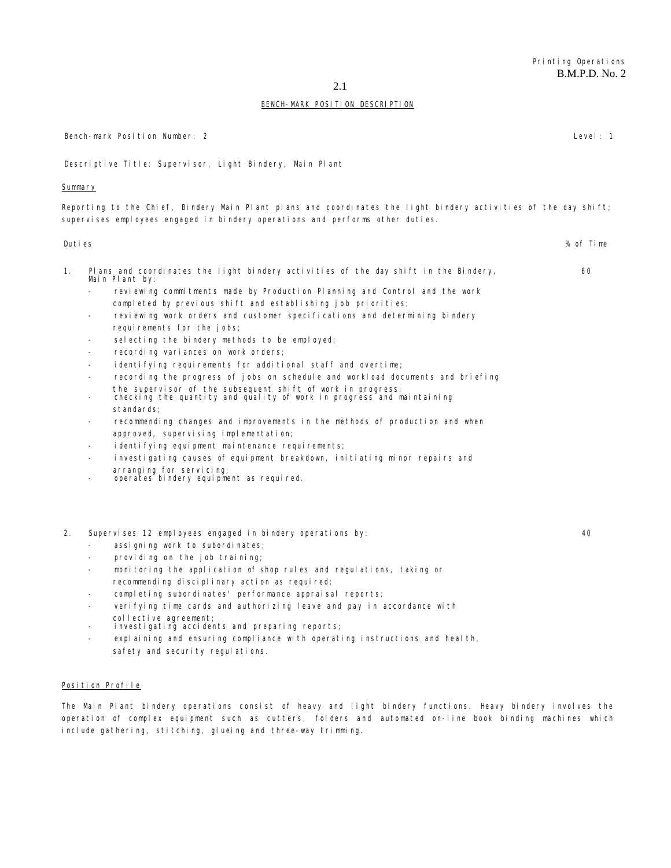# BENCH-MARK POSITION DESCRIPTION

Bench-mark Position Number: 2 Level: 1

Descriptive Title: Supervisor, Light Bindery, Main Plant

#### **Summary**

Reporting to the Chief, Bindery Main Plant plans and coordinates the light bindery activities of the day shift; supervises employees engaged in bindery operations and performs other duties.

# Duties % of Time 1. Plans and coordinates the light bindery activities of the day shift in the Bindery, Main Plant by: - reviewing commitments made by Production Planning and Control and the work completed by previous shift and establishing job priorities; reviewing work orders and customer specifications and determining bindery requirements for the jobs; selecting the bindery methods to be employed; recording variances on work orders; identifying requirements for additional staff and overtime; recording the progress of jobs on schedule and workload documents and briefing the supervisor of the subsequent shift of work in progress; - checking the quantity and quality of work in progress and maintaining standards; recommending changes and improvements in the methods of production and when approved, supervising implementation; identifying equipment maintenance requirements; investigating causes of equipment breakdown, initiating minor repairs and arranging for servicing; - operates bindery equipment as required. 60  $40$

- 2. Supervises 12 employees engaged in bindery operations by:
	- assigning work to subordinates;
	- providing on the job training;
	- monitoring the application of shop rules and regulations, taking or recommending disciplinary action as required;
	- completing subordinates' performance appraisal reports;
	- verifying time cards and authorizing leave and pay in accordance with collective agreement;
	- investigating accidents and preparing reports;
	- explaining and ensuring compliance with operating instructions and health, safety and security regulations.

# Position Profile

The Main Plant bindery operations consist of heavy and light bindery functions. Heavy bindery involves the operation of complex equipment such as cutters, folders and automated on-line book binding machines which include gathering, stitching, glueing and three-way trimming.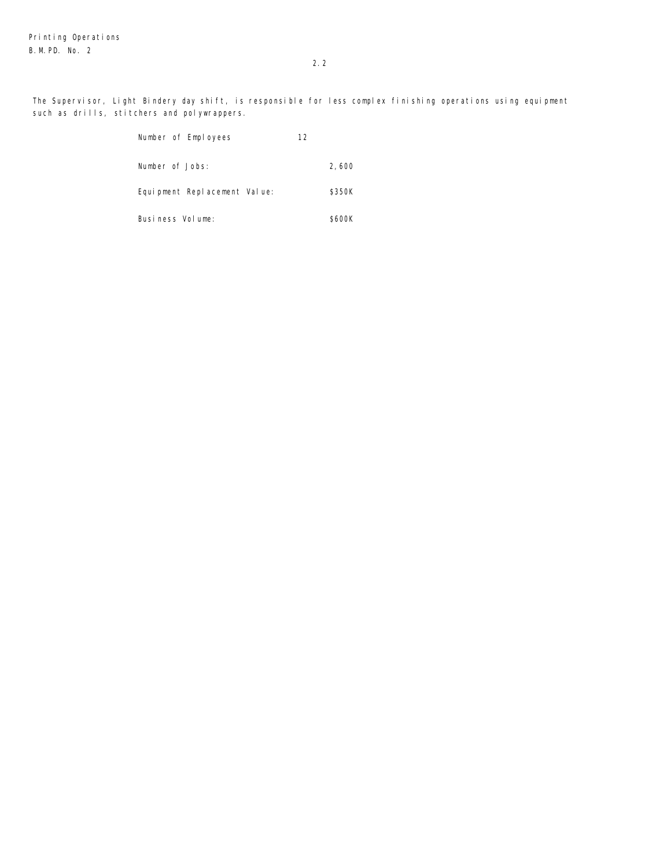The Supervisor, Light Bindery day shift, is responsible for less complex finishing operations using equipment such as drills, stitchers and polywrappers.

| Number of Employees          | 12 |        |
|------------------------------|----|--------|
| Number of Jobs:              |    | 2,600  |
| Equipment Replacement Value: |    | \$350K |
| Business Volume:             |    | \$600K |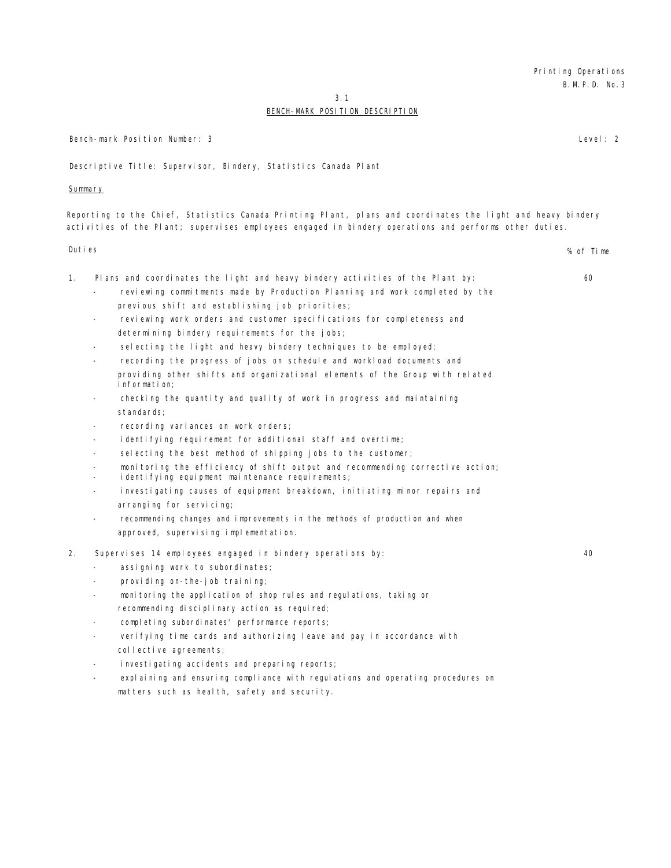Printing Operations B.M.P.D. No.3

3.1

#### BENCH-MARK POSITION DESCRIPTION

Bench-mark Position Number: 3 Level: 2 Descriptive Title: Supervisor, Bindery, Statistics Canada Plant Summary Reporting to the Chief, Statistics Canada Printing Plant, plans and coordinates the light and heavy bindery activities of the Plant; supervises employees engaged in bindery operations and performs other duties. Duties % of Time 1. Plans and coordinates the light and heavy bindery activities of the Plant by: reviewing commitments made by Production Planning and work completed by the previous shift and establishing job priorities; reviewing work orders and customer specifications for completeness and determining bindery requirements for the jobs; selecting the light and heavy bindery techniques to be employed; recording the progress of jobs on schedule and workload documents and providing other shifts and organizational elements of the Group with related information; checking the quantity and quality of work in progress and maintaining standards; recording variances on work orders; identifying requirement for additional staff and overtime; selecting the best method of shipping jobs to the customer; monitoring the efficiency of shift output and recommending corrective action; identifying equipment maintenance requirements; investigating causes of equipment breakdown, initiating minor repairs and arranging for servicing; recommending changes and improvements in the methods of production and when approved, supervising implementation. 60 2. Supervises 14 employees engaged in bindery operations by: assigning work to subordinates; providing on-the-job training; monitoring the application of shop rules and regulations, taking or recommending disciplinary action as required; completing subordinates' performance reports; verifying time cards and authorizing leave and pay in accordance with collective agreements; investigating accidents and preparing reports; explaining and ensuring compliance with regulations and operating procedures on matters such as health, safety and security. 40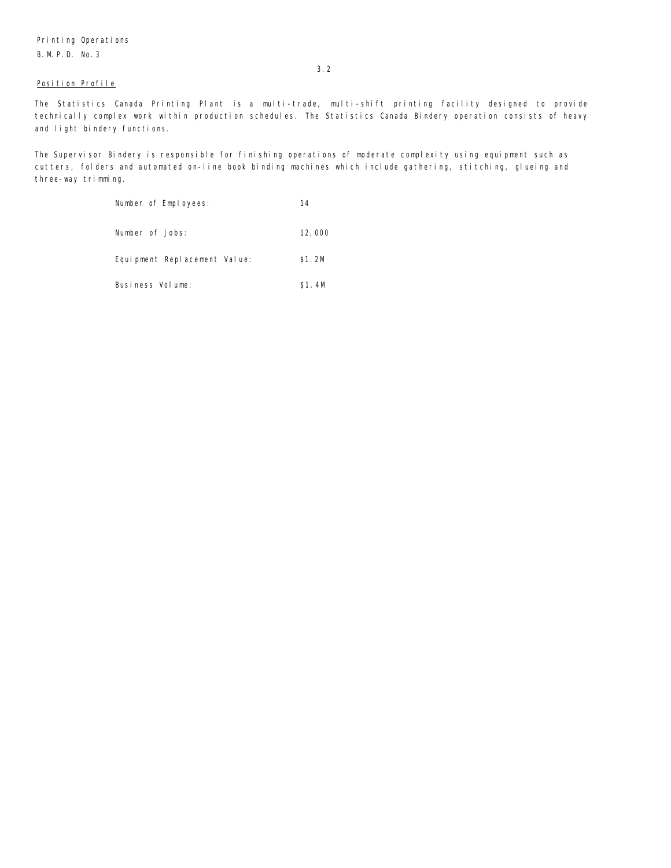# Position Profile

The Statistics Canada Printing Plant is a multi-trade, multi-shift printing facility designed to provide technically complex work within production schedules. The Statistics Canada Bindery operation consists of heavy and light bindery functions.

The Supervisor Bindery is responsible for finishing operations of moderate complexity using equipment such as cutters, folders and automated on-line book binding machines which include gathering, stitching, glueing and three-way trimming.

| Number of Employees:         | 14     |
|------------------------------|--------|
| Number of Jobs:              | 12,000 |
| Equipment Replacement Value: | \$1.2M |
| Business Volume:             | \$1.4M |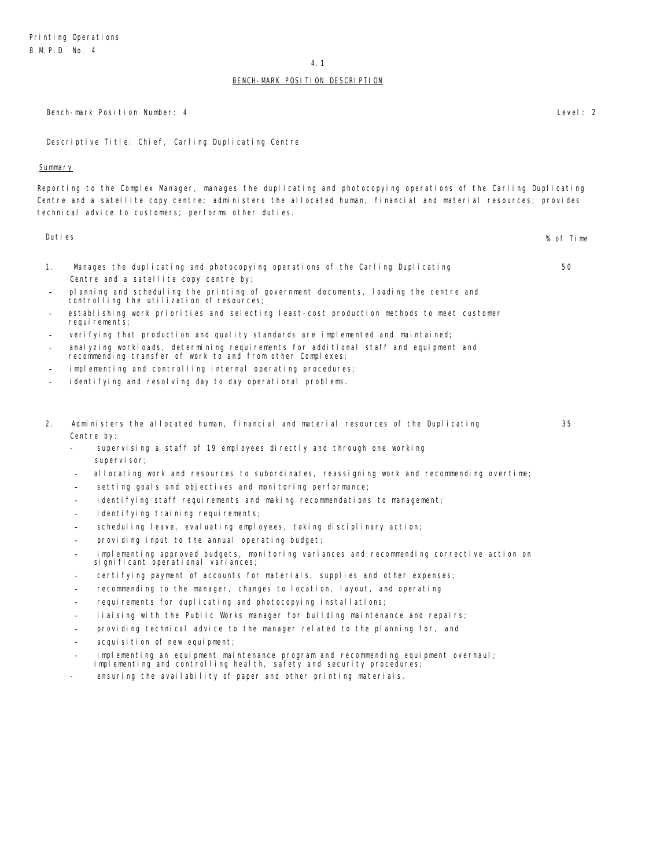4.1

#### BENCH-MARK POSITION DESCRIPTION

Bench-mark Position Number: 4 Level: 2

Descriptive Title: Chief, Carling Duplicating Centre

#### **Summary**

Reporting to the Complex Manager, manages the duplicating and photocopying operations of the Carling Duplicating Centre and a satellite copy centre; administers the allocated human, financial and material resources; provides technical advice to customers; performs other duties.

Duties % of Time

- 1. Manages the duplicating and photocopying operations of the Carling Duplicating Centre and a satellite copy centre by: 50
- planning and scheduling the printing of government documents, loading the centre and controlling the utilization of resources;
- establishing work priorities and selecting least-cost production methods to meet customer requirements;
- verifying that production and quality standards are implemented and maintained;
- analyzing workloads, determining requirements for additional staff and equipment and recommending transfer of work to and from other Complexes;
- implementing and controlling internal operating procedures;
- identifying and resolving day to day operational problems.
- 2. Administers the allocated human, financial and material resources of the Duplicating Centre by:
	- supervising a staff of 19 employees directly and through one working supervi sor;
	- allocating work and resources to subordinates, reassigning work and recommending overtime;
	- setting goals and objectives and monitoring performance;
	- identifying staff requirements and making recommendations to management;
	- identifying training requirements;
	- scheduling leave, evaluating employees, taking disciplinary action;
	- providing input to the annual operating budget;
	- implementing approved budgets, monitoring variances and recommending corrective action on significant operational variances;
	- certifying payment of accounts for materials, supplies and other expenses;
	- recommending to the manager, changes to location, layout, and operating
	- requirements for duplicating and photocopying installations;
	- liaising with the Public Works manager for building maintenance and repairs;
	- providing technical advice to the manager related to the planning for, and
	- acquisition of new equipment;
	- implementing an equipment maintenance program and recommending equipment overhaul; implementing and controlling health, safety and security procedures;
	- ensuring the availability of paper and other printing materials.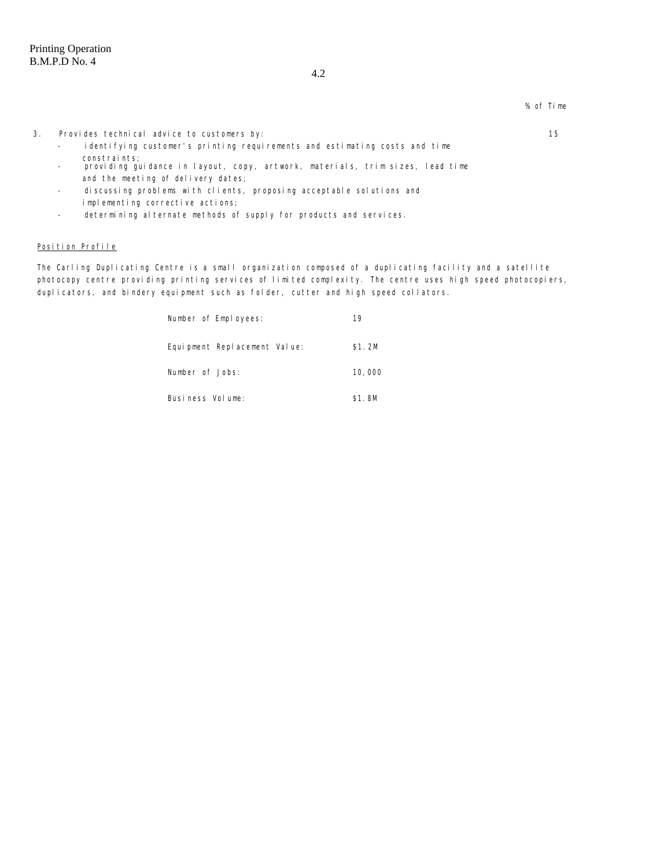% of Time

- 3. Provides technical advice to customers by:
	- identifying customer's printing requirements and estimating costs and time constraints;
	- providing guidance in layout, copy, artwork, materials, trim sizes, lead time and the meeting of delivery dates;
	- discussing problems with clients, proposing acceptable solutions and implementing corrective actions;
	- determining alternate methods of supply for products and services.

# Position Profile

The Carling Duplicating Centre is a small organization composed of a duplicating facility and a satellite photocopy centre providing printing services of limited complexity. The centre uses high speed photocopiers, duplicators, and bindery equipment such as folder, cutter and high speed collators.

| Number of Employees:         | 19     |
|------------------------------|--------|
| Equipment Replacement Value: | \$1.2M |
| Number of Jobs:              | 10,000 |
| Business Volume:             | \$1.8M |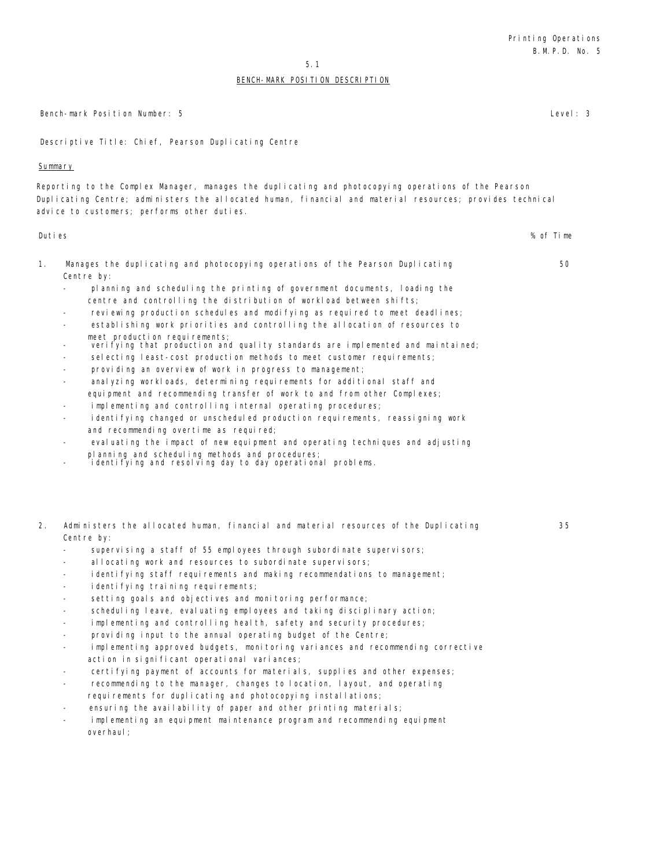#### BENCH-MARK POSITION DESCRIPTION

Descriptive Title: Chief, Pearson Duplicating Centre

#### **Summary**

Reporting to the Complex Manager, manages the duplicating and photocopying operations of the Pearson Duplicating Centre; administers the allocated human, financial and material resources; provides technical advice to customers; performs other duties.

#### Duties % of Time

1. Manages the duplicating and photocopying operations of the Pearson Duplicating Centre by:

- planning and scheduling the printing of government documents, loading the centre and controlling the distribution of workload between shifts;
- reviewing production schedules and modifying as required to meet deadlines;
- establishing work priorities and controlling the allocation of resources to meet production requirements;
- verifying that production and quality standards are implemented and maintained;
- selecting least-cost production methods to meet customer requirements;
- providing an overview of work in progress to management;
- analyzing workloads, determining requirements for additional staff and equipment and recommending transfer of work to and from other Complexes;
- implementing and controlling internal operating procedures;
- identifying changed or unscheduled production requirements, reassigning work and recommending overtime as required;
- evaluating the impact of new equipment and operating techniques and adjusting planning and scheduling methods and procedures;
- identifying and resolving day to day operational problems.
- 2. Administers the allocated human, financial and material resources of the Duplicating Centre by:
	- supervising a staff of 55 employees through subordinate supervisors;
	- allocating work and resources to subordinate supervisors;
	- identifying staff requirements and making recommendations to management;
	- identifying training requirements;
	- setting goals and objectives and monitoring performance;
	- scheduling leave, evaluating employees and taking disciplinary action;
	- implementing and controlling health, safety and security procedures;
	- providing input to the annual operating budget of the Centre;
	- implementing approved budgets, monitoring variances and recommending corrective action in significant operational variances;
	- certifying payment of accounts for materials, supplies and other expenses;
	- recommending to the manager, changes to location, layout, and operating requirements for duplicating and photocopying installations;
	- ensuring the availability of paper and other printing materials;
	- implementing an equipment maintenance program and recommending equipment overhaul;

50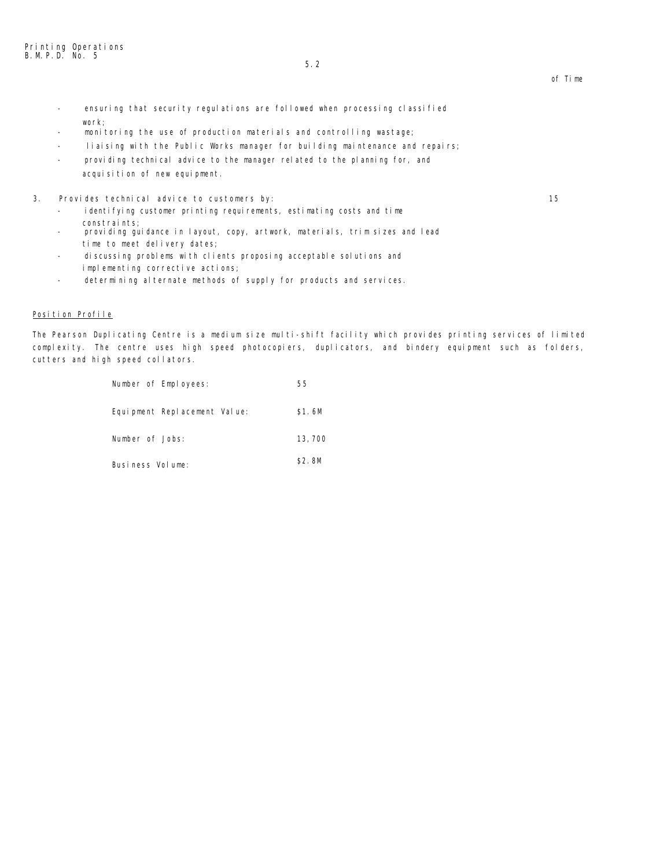15

- ensuring that security regulations are followed when processing classified work;
- monitoring the use of production materials and controlling wastage;
- liaising with the Public Works manager for building maintenance and repairs;
- providing technical advice to the manager related to the planning for, and acquisition of new equipment.
- 3. Provides technical advice to customers by:
	- identifying customer printing requirements, estimating costs and time constraints;
	- providing guidance in layout, copy, artwork, materials, trim sizes and lead time to meet delivery dates;
	- discussing problems with clients proposing acceptable solutions and implementing corrective actions;
	- determining alternate methods of supply for products and services.

# Position Profile

The Pearson Duplicating Centre is a medium size multi-shift facility which provides printing services of limited complexity. The centre uses high speed photocopiers, duplicators, and bindery equipment such as folders, cutters and high speed collators.

| Number of Employees:         | 55      |
|------------------------------|---------|
| Equipment Replacement Value: | \$1.6M  |
| Number of Jobs:              | 13, 700 |
| Business Volume:             | \$2.8M  |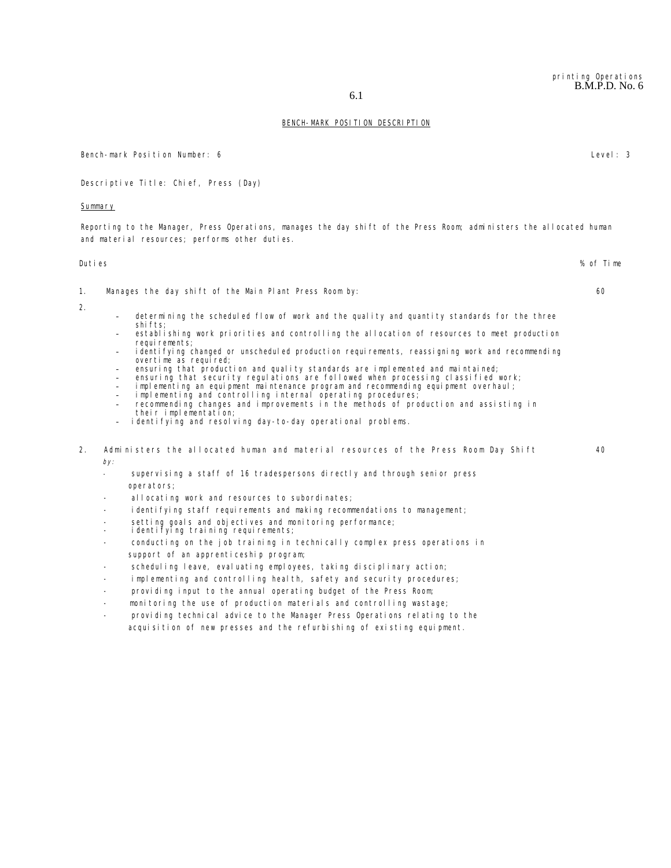#### BENCH-MARK POSITION DESCRIPTION

Bench-mark Position Number: 6 Level: 3

Descriptive Title: Chief, Press (Day)

#### **Summary**

Reporting to the Manager, Press Operations, manages the day shift of the Press Room; administers the allocated human and material resources; performs other duties.

Duties % of Time

1. Manages the day shift of the Main Plant Press Room by:

- 2.
- determining the scheduled flow of work and the quality and quantity standards for the three shi fts:
- establishing work priorities and controlling the allocation of resources to meet production requirements
- identifying changed or unscheduled production requirements, reassigning work and recommending overtime as required;
- ensuring that production and quality standards are implemented and maintained;
- ensuring that security regulations are followed when processing classified work;
- implementing an equipment maintenance program and recommending equipment overhaul; implementing and controlling internal operating procedures;
- recommending changes and improvements in the methods of production and assisting in their implementation;
- identifying and resolving day-to-day operational problems.
- 2. Administers the allocated human and material resources of the Press Room Day Shift by:
	- supervising a staff of 16 tradespersons directly and through senior press operators;
	- allocating work and resources to subordinates;
	- identifying staff requirements and making recommendations to management;
	- setting goals and objectives and monitoring performance; identifying training requirements;
	-
	- conducting on the job training in technically complex press operations in support of an apprenticeship program;
	- scheduling leave, evaluating employees, taking disciplinary action;
	- implementing and controlling health, safety and security procedures;
	- providing input to the annual operating budget of the Press Room;
	- monitoring the use of production materials and controlling wastage;
	- providing technical advice to the Manager Press Operations relating to the acquisition of new presses and the refurbishing of existing equipment.

60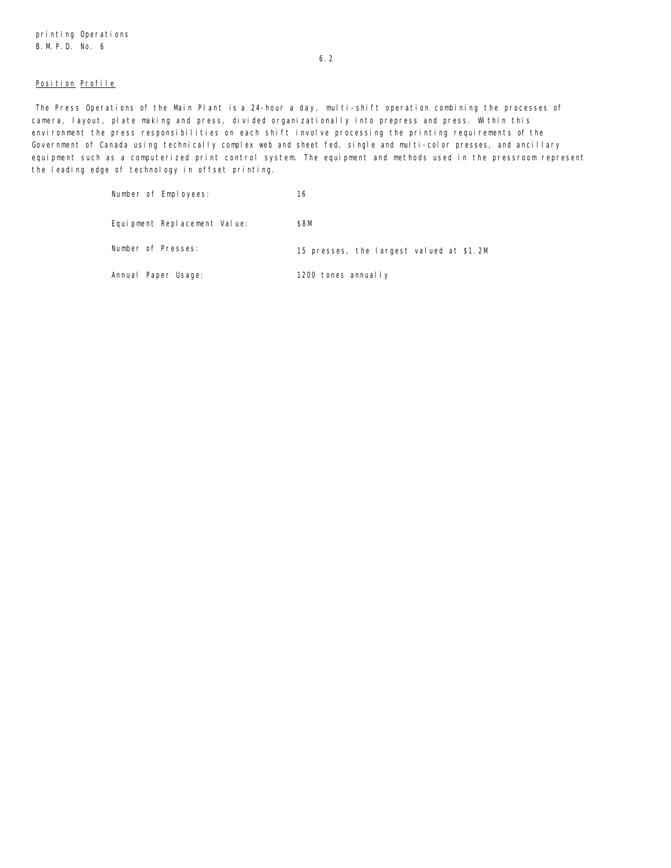# Position Profile

The Press Operations of the Main Plant is a 24-hour a day, multi-shift operation combining the processes of camera, layout, plate making and press, divided organizationally into prepress and press. Within this environment the press responsibilities on each shift involve processing the printing requirements of the Government of Canada using technically complex web and sheet fed, single and multi-color presses, and ancillary equipment such as a computerized print control system. The equipment and methods used in the pressroom represent the leading edge of technology in offset printing.

| Number of Employees:         | 16                                       |
|------------------------------|------------------------------------------|
| Equipment Replacement Value: | \$8M                                     |
| Number of Presses:           | 15 presses, the largest valued at \$1.2M |
| Annual Paper Usage:          | 1200 tones annually                      |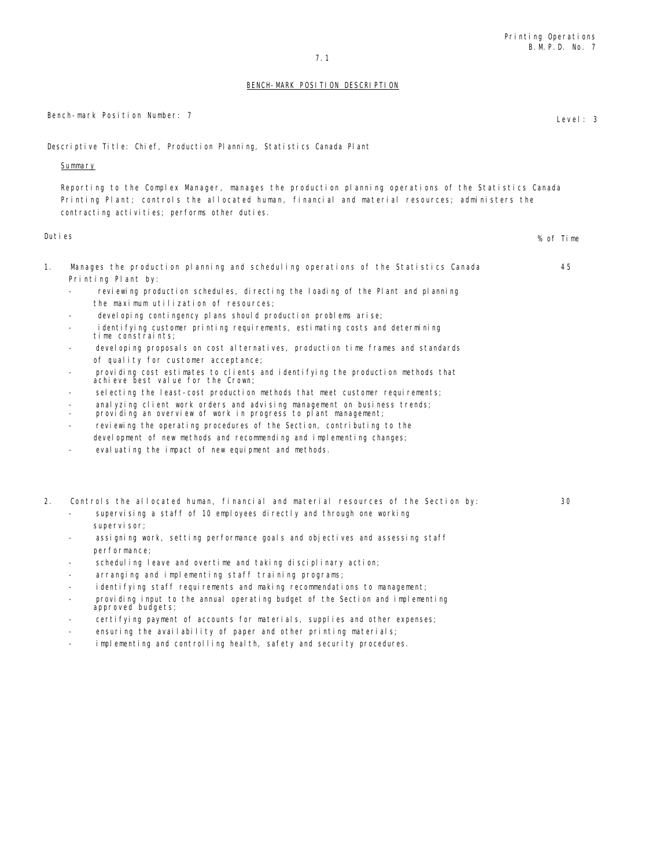#### BENCH-MARK POSITION DESCRIPTION

Bench-mark Position Number: 7 Level: 3 Descriptive Title: Chief, Production Planning, Statistics Canada Plant Summary Reporting to the Complex Manager, manages the production planning operations of the Statistics Canada Printing Plant; controls the allocated human, financial and material resources; administers the contracting activities; performs other duties. Duties % of Time 1. Manages the production planning and scheduling operations of the Statistics Canada Printing Plant by: reviewing production schedules, directing the loading of the Plant and planning the maximum utilization of resources; devel oping contingency plans should production problems arise; identifying customer printing requirements, estimating costs and determining time constraints; devel oping proposals on cost alternatives, production time frames and standards of quality for customer acceptance; providing cost estimates to clients and identifying the production methods that achieve best value for the Crown; selecting the least-cost production methods that meet customer requirements; anal yzing client work orders and advising management on business trends; providing an overview of work in progress to plant management; reviewing the operating procedures of the Section, contributing to the devel opment of new methods and recommending and implementing changes; eval uating the impact of new equipment and methods. 45 2. Controls the allocated human, financial and material resources of the Section by: supervising a staff of 10 employees directly and through one working supervi sor; assigning work, setting performance goals and objectives and assessing staff performance; scheduling leave and overtime and taking disciplinary action; arranging and implementing staff training programs; identifying staff requirements and making recommendations to management; providing input to the annual operating budget of the Section and implementing approved budgets; certifying payment of accounts for materials, supplies and other expenses; ensuring the availability of paper and other printing materials; 30

implementing and controlling health, safety and security procedures.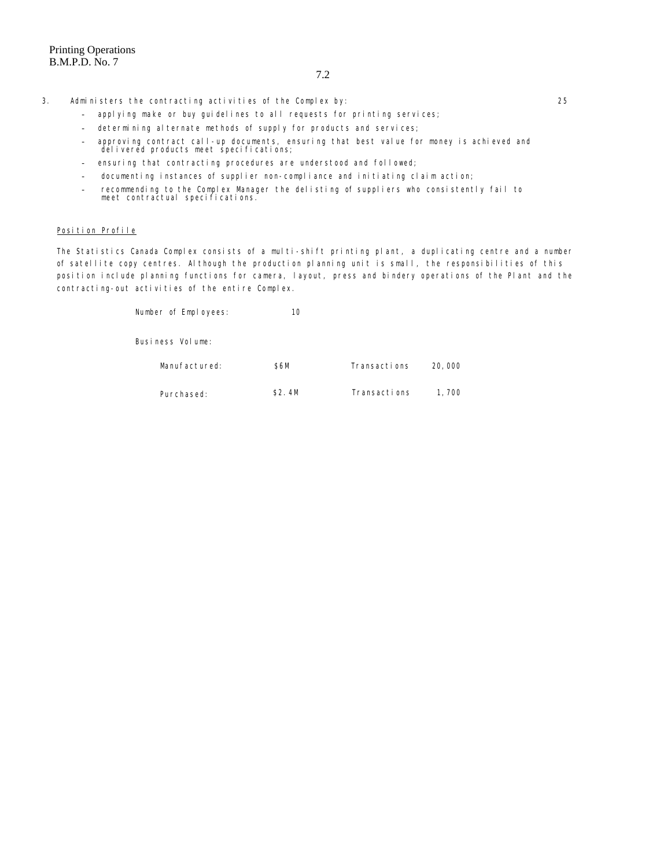- 3. Administers the contracting activities of the Complex by:
	- applying make or buy guidelines to all requests for printing services;
	- determining alternate methods of supply for products and services;
	- approving contract call-up documents, ensuring that best value for money is achieved and delivered products meet specifications;
	- ensuring that contracting procedures are understood and followed;
	- documenting instances of supplier non-compliance and initiating claim action;
	- recommending to the Complex Manager the delisting of suppliers who consistently fail to meet contractual specifications.

#### Position Profile

The Statistics Canada Complex consists of a multi-shift printing plant, a duplicating centre and a number of satellite copy centres. Although the production planning unit is small, the responsibilities of this position include planning functions for camera, layout, press and bindery operations of the Plant and the contracting-out activities of the entire Complex.

| Number of Employees: | 10     |              |        |
|----------------------|--------|--------------|--------|
| Business Volume:     |        |              |        |
| Manufactured:        | \$6M   | Transactions | 20,000 |
| Purchased:           | \$2.4M | Transactions | 1, 700 |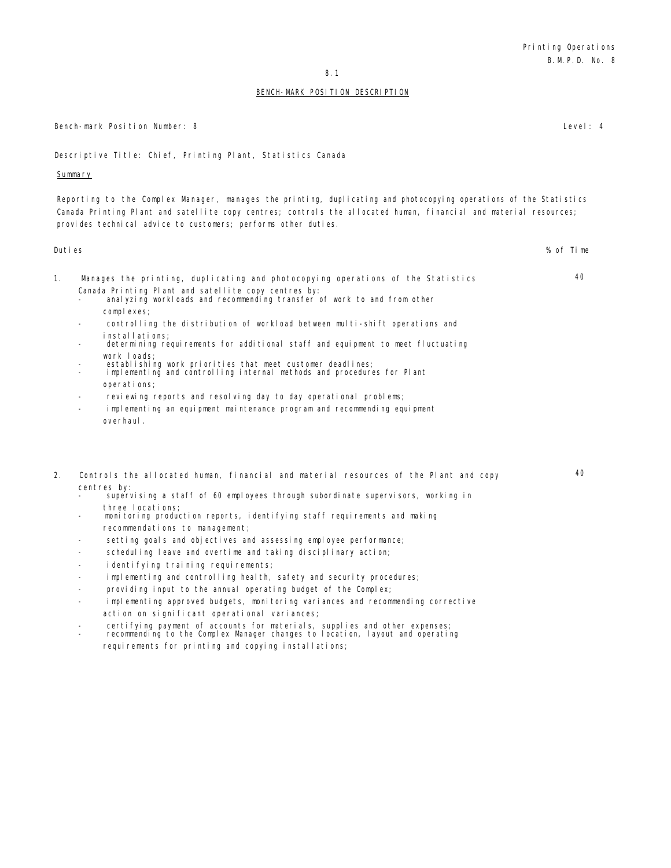40

40

#### BENCH-MARK POSITION DESCRIPTION

# Bench-mark Position Number: 8 Level: 4

# Descriptive Title: Chief, Printing Plant, Statistics Canada

# **Summary**

Reporting to the Complex Manager, manages the printing, duplicating and photocopying operations of the Statistics Canada Printing Plant and satellite copy centres; controls the allocated human, financial and material resources; provides technical advice to customers; performs other duties.

#### Duties % of Time

- 1. Manages the printing, duplicating and photocopying operations of the Statistics Canada Printing Plant and satellite copy centres by:
	- anal yzing workloads and recommending transfer of work to and from other complexes;
	- controlling the distribution of workload between multi-shift operations and installations;
	- determining requirements for additional staff and equipment to meet fluctuating work loads;
	- establishing work priorities that meet customer deadlines;
	- implementing and controlling internal methods and procedures for Plant operations;
	- reviewing reports and resolving day to day operational problems;
	- implementing an equipment maintenance program and recommending equipment overhaul.
- 2. Controls the allocated human, financial and material resources of the Plant and copy centres by:
	- supervising a staff of 60 employees through subordinate supervisors, working in three locations;
	- monitoring production reports, identifying staff requirements and making recommendations to management;
	- setting goals and objectives and assessing employee performance;
	- scheduling leave and overtime and taking disciplinary action;
	- identifying training requirements;
	- implementing and controlling health, safety and security procedures;
	- providing input to the annual operating budget of the Complex;
	- implementing approved budgets, monitoring variances and recommending corrective action on significant operational variances;
	-
	- certifying payment of accounts for materials, supplies and other expenses; recommending to the Complex Manager changes to location, layout and operating requirements for printing and copying installations;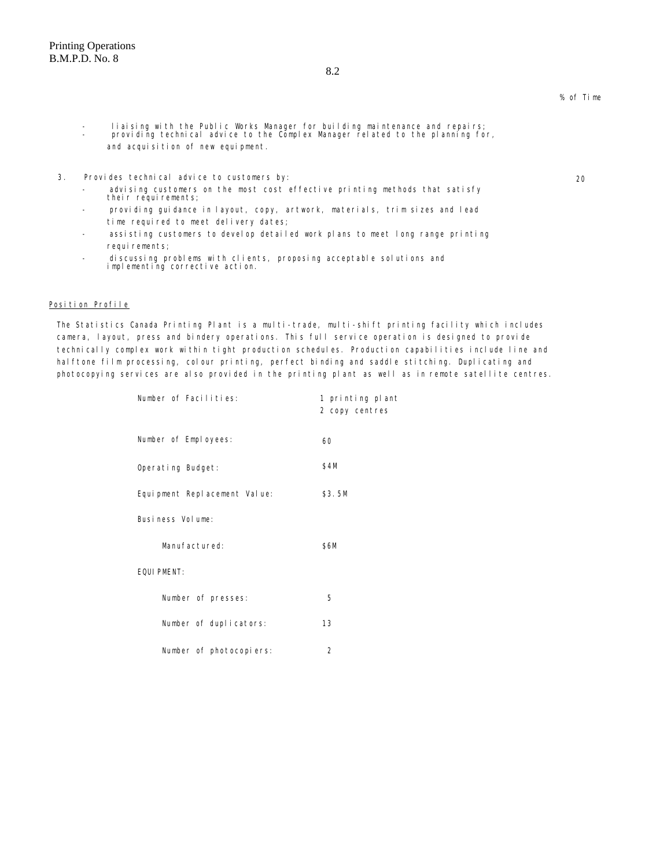20

- liaising with the Public Works Manager for building maintenance and repairs; providing technical advice to the Complex Manager related to the planning for, and acquisition of new equipment.
- 3. Provides technical advice to customers by:
	- advising customers on the most cost effective printing methods that satisfy their requirements;
	- providing guidance in layout, copy, artwork, materials, trim sizes and lead time required to meet delivery dates;
	- assisting customers to develop detailed work plans to meet long range printing requirements;
	- discussing problems with clients, proposing acceptable solutions and implementing corrective action.

#### Position Profile

The Statistics Canada Printing Plant is a multi-trade, multi-shift printing facility which includes camera, layout, press and bindery operations. This full service operation is designed to provide technically complex work within tight production schedules. Production capabilities include line and halftone film processing, colour printing, perfect binding and saddle stitching. Duplicating and photocopying services are also provided in the printing plant as well as in remote satellite centres.

| Number of Facilities:        | 1 printing plant<br>2 copy centres |
|------------------------------|------------------------------------|
| Number of Employees:         | 60                                 |
| Operating Budget:            | \$4M                               |
| Equipment Replacement Value: | \$3.5M                             |
| Business Volume:             |                                    |
| Manufactured:                | \$6M                               |
| <b>EQUI PMENT:</b>           |                                    |
| Number of presses:           | 5                                  |
| Number of duplicators:       | 13                                 |
| Number of photocopiers:      | 2                                  |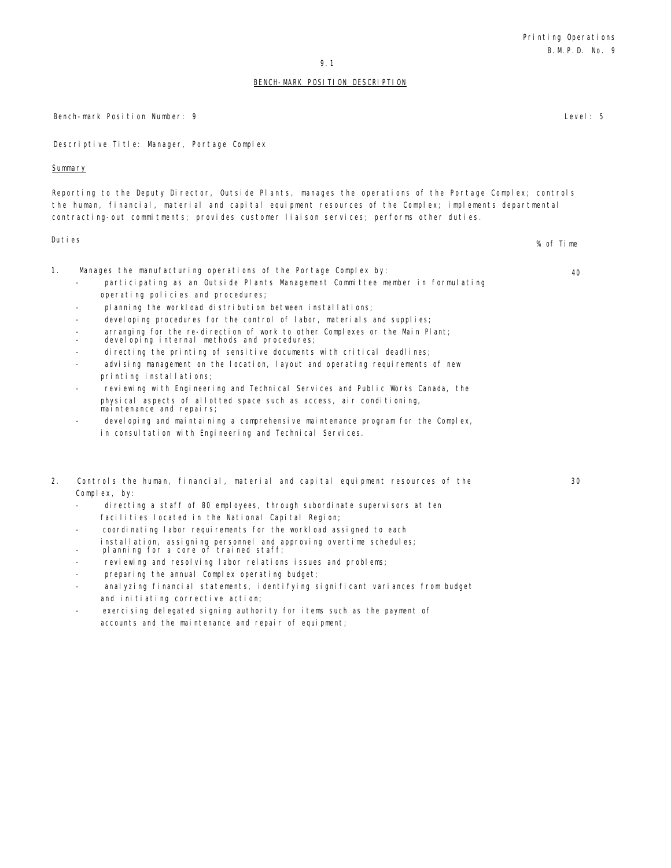#### BENCH-MARK POSITION DESCRIPTION

Bench-mark Position Number: 9 Level: 5

Descriptive Title: Manager, Portage Complex

#### Summary

Reporting to the Deputy Director, Outside Plants, manages the operations of the Portage Complex; controls the human, financial, material and capital equipment resources of the Complex; implements departmental contracting-out commitments; provides customer liaison services; performs other duties.

Duties % of Time

1. Manages the manufacturing operations of the Portage Complex by:

- participating as an Outside Plants Management Committee member in formulating operating policies and procedures;
- planning the workload distribution between installations;
- developing procedures for the control of labor, materials and supplies;
- arranging for the re-direction of work to other Complexes or the Main Plant; developing internal methods and procedures;
- 
- directing the printing of sensitive documents with critical deadlines;
- advising management on the location, layout and operating requirements of new printing installations;
- reviewing with Engineering and Technical Services and Public Works Canada, the physical aspects of allotted space such as access, air conditioning, maintenance and repairs;
- devel oping and maintaining a comprehensive maintenance program for the Complex, in consultation with Engineering and Technical Services.
- 2. Controls the human, financial, material and capital equipment resources of the Complex, by:
	- directing a staff of 80 employees, through subordinate supervisors at ten facilities located in the National Capital Region;
	- coordinating labor requirements for the workload assigned to each
	- installation, assigning personnel and approving overtime schedules; planning for a core of trained staff;
	-
	- reviewing and resolving labor relations issues and problems;
	- preparing the annual Complex operating budget;
	- anal yzing financial statements, identifying significant variances from budget and initiating corrective action;
	- exercising delegated signing authority for items such as the payment of accounts and the maintenance and repair of equipment;

40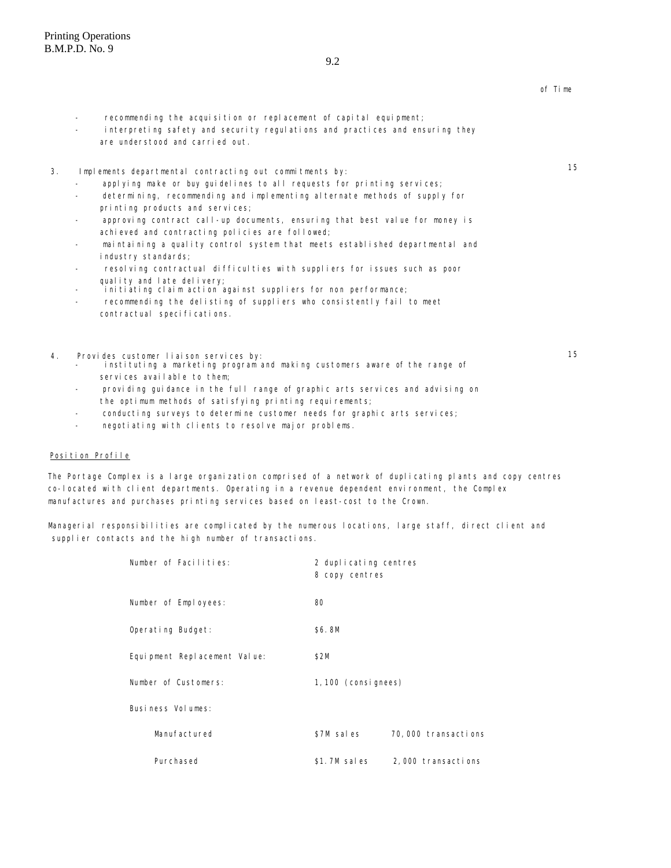15

15

- are understood and carried out.
- 3. Implements departmental contracting out commitments by:
	- applying make or buy guidelines to all requests for printing services;

recommending the acquisition or replacement of capital equipment;

interpreting safety and security regulations and practices and ensuring they

- determining, recommending and implementing alternate methods of supply for printing products and services;
- approving contract call-up documents, ensuring that best value for money is achieved and contracting policies are followed;
- maintaining a quality control system that meets established departmental and industry standards;
- resolving contractual difficulties with suppliers for issues such as poor
- quality and late delivery; initiating claim action against suppliers for non performance;
- recommending the delisting of suppliers who consistently fail to meet contractual specifications.
- 4. Provides customer liaison services by:
	- instituting a marketing program and making customers aware of the range of services available to them;
	- providing guidance in the full range of graphic arts services and advising on the optimum methods of satisfying printing requirements;
	- conducting surveys to determine customer needs for graphic arts services;
	- negotiating with clients to resolve major problems.

# Position Profile

The Portage Complex is a large organization comprised of a network of duplicating plants and copy centres co-located with client departments. Operating in a revenue dependent environment, the Complex manufactures and purchases printing services based on least-cost to the Crown.

Managerial responsibilities are complicated by the numerous locations, large staff, direct client and supplier contacts and the high number of transactions.

| Number of Facilities:        | 2 duplicating centres<br>8 copy centres |  |  |
|------------------------------|-----------------------------------------|--|--|
| Number of Employees:         | 80                                      |  |  |
| Operating Budget:            | \$6.8M                                  |  |  |
| Equipment Replacement Value: | \$2M                                    |  |  |
| Number of Customers:         | 1, 100 (consi gnees)                    |  |  |
| Business Volumes:            |                                         |  |  |
| Manufactured                 | \$7M sales<br>70,000 transactions       |  |  |
| Purchased                    | \$1.7M sales<br>2,000 transactions      |  |  |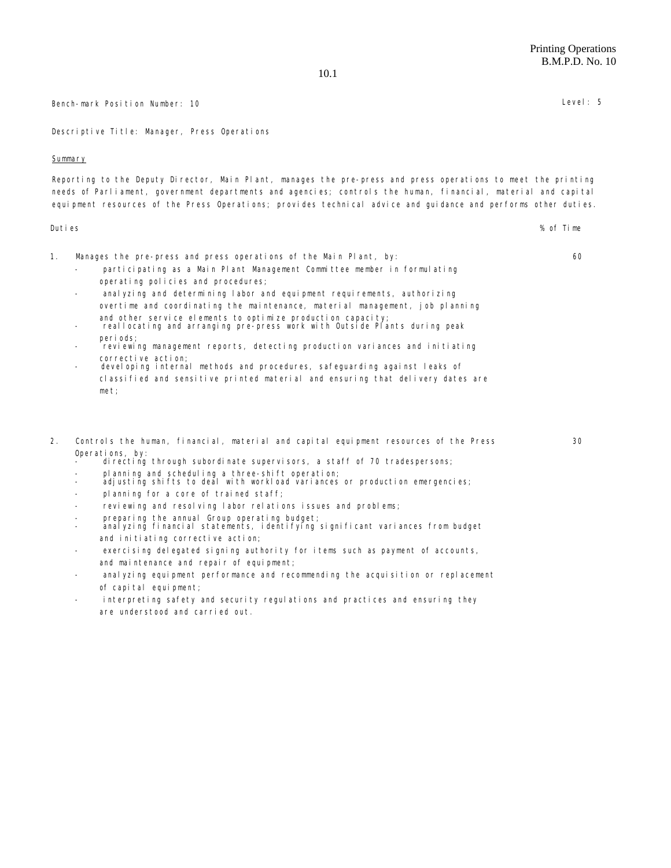Bench-mark Position Number: 10 Level: 5

Descriptive Title: Manager, Press Operations

#### Summary

Reporting to the Deputy Director, Main Plant, manages the pre-press and press operations to meet the printing needs of Parliament, government departments and agencies; controls the human, financial, material and capital equipment resources of the Press Operations; provides technical advice and guidance and performs other duties.

#### Duties % of Time

60

- 1. Manages the pre-press and press operations of the Main Plant, by:
	- participating as a Main Plant Management Committee member in formulating operating policies and procedures;
	- analyzing and determining labor and equipment requirements, authorizing overtime and coordinating the maintenance, material management, job planning and other service elements to optimize production capacity;
	- reallocating and arranging pre-press work with Outside Plants during peak peri ods;
	- reviewing management reports, detecting production variances and initiating corrective action;
	- devel oping internal methods and procedures, safeguarding against leaks of classified and sensitive printed material and ensuring that delivery dates are met;
- 2. Controls the human, financial, material and capital equipment resources of the Press Operations, by:
	- directing through subordinate supervisors, a staff of 70 tradespersons;
	- planning and scheduling a three-shift operation;
	- adjusting shifts to deal with workload variances or production emergencies;
	- planning for a core of trained staff;
	- reviewing and resolving labor relations issues and problems;
	-
	- preparing the annual Group operating budget; analyzing financial statements, identifying significant variances from budget and initiating corrective action;
	- exercising delegated signing authority for items such as payment of accounts, and maintenance and repair of equipment;
	- analyzing equipment performance and recommending the acquisition or replacement of capital equipment;
	- interpreting safety and security regulations and practices and ensuring they are understood and carried out.